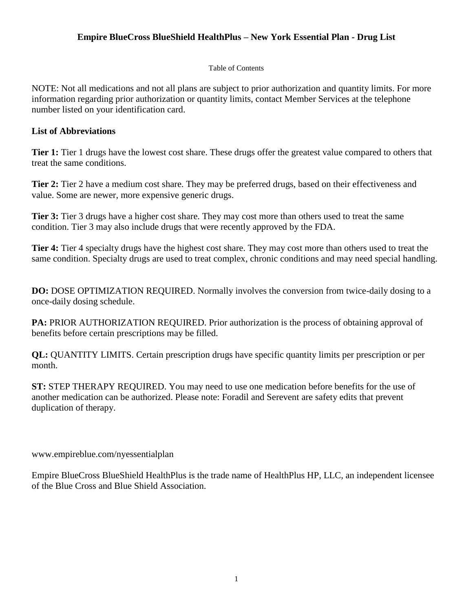## **Empire BlueCross BlueShield HealthPlus – New York Essential Plan - Drug List**

## Table of Contents

NOTE: Not all medications and not all plans are subject to prior authorization and quantity limits. For more information regarding prior authorization or quantity limits, contact Member Services at the telephone number listed on your identification card.

## **List of Abbreviations**

 **Tier 1:** Tier 1 drugs have the lowest cost share. These drugs offer the greatest value compared to others that treat the same conditions.

 value. Some are newer, more expensive generic drugs. **Tier 2:** Tier 2 have a medium cost share. They may be preferred drugs, based on their effectiveness and

 **Tier 3:** Tier 3 drugs have a higher cost share. They may cost more than others used to treat the same condition. Tier 3 may also include drugs that were recently approved by the FDA.

**Tier 4:** Tier 4 specialty drugs have the highest cost share. They may cost more than others used to treat the same condition. Specialty drugs are used to treat complex, chronic conditions and may need special handling.

**DO:** DOSE OPTIMIZATION REQUIRED. Normally involves the conversion from twice-daily dosing to a once-daily dosing schedule.

**PA: PRIOR AUTHORIZATION REQUIRED. Prior authorization is the process of obtaining approval of** benefits before certain prescriptions may be filled.

**QL:** QUANTITY LIMITS. Certain prescription drugs have specific quantity limits per prescription or per month.

**ST:** STEP THERAPY REQUIRED. You may need to use one medication before benefits for the use of another medication can be authorized. Please note: Foradil and Serevent are safety edits that prevent duplication of therapy.

[www.empireblue.com/nyessentialplan](http://www.empireblue.com/nyessentialplan) 

Empire BlueCross BlueShield HealthPlus is the trade name of HealthPlus HP, LLC, an independent licensee of the Blue Cross and Blue Shield Association.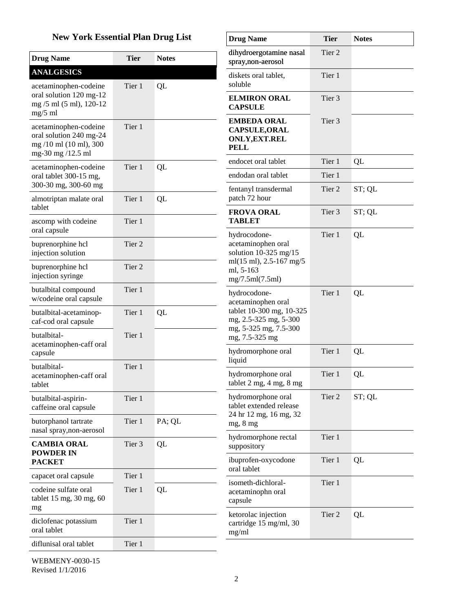## **New York Essential Plan Drug List**

| <b>New York Essential Plan Drug List</b>                                                        |             | <b>Drug Name</b> | <b>Tier</b>                                                                       | <b>Notes</b> |        |
|-------------------------------------------------------------------------------------------------|-------------|------------------|-----------------------------------------------------------------------------------|--------------|--------|
| <b>Drug Name</b>                                                                                | <b>Tier</b> | <b>Notes</b>     | dihydroergotamine nasal<br>spray, non-aerosol                                     | Tier 2       |        |
| <b>ANALGESICS</b><br>acetaminophen-codeine                                                      | Tier 1      | QL               | diskets oral tablet,<br>soluble                                                   | Tier 1       |        |
| oral solution 120 mg-12<br>mg /5 ml (5 ml), 120-12<br>$mg/5$ ml                                 |             |                  | <b>ELMIRON ORAL</b><br><b>CAPSULE</b>                                             | Tier 3       |        |
| acetaminophen-codeine<br>oral solution 240 mg-24<br>mg /10 ml (10 ml), 300<br>mg-30 mg /12.5 ml | Tier 1      |                  | <b>EMBEDA ORAL</b><br><b>CAPSULE, ORAL</b><br><b>ONLY, EXT.REL</b><br><b>PELL</b> | Tier 3       |        |
| acetaminophen-codeine                                                                           | Tier 1      | QL               | endocet oral tablet                                                               | Tier 1       | QL     |
| oral tablet 300-15 mg,<br>300-30 mg, 300-60 mg                                                  |             |                  | endodan oral tablet                                                               | Tier 1       |        |
| almotriptan malate oral<br>tablet                                                               | Tier 1      | QL               | fentanyl transdermal<br>patch 72 hour                                             | Tier 2       | ST; QL |
| ascomp with codeine                                                                             | Tier 1      |                  | <b>FROVA ORAL</b><br><b>TABLET</b>                                                | Tier 3       | ST; QL |
| oral capsule<br>buprenorphine hcl<br>injection solution                                         | Tier 2      |                  | hydrocodone-<br>acetaminophen oral<br>solution $10-325$ mg/15                     | Tier 1       | QL     |
| buprenorphine hcl<br>injection syringe                                                          | Tier 2      |                  | ml $(15 \text{ ml})$ , 2.5-167 mg/5<br>ml, 5-163<br>mg/7.5ml(7.5ml)               |              |        |
| butalbital compound<br>w/codeine oral capsule                                                   | Tier 1      |                  | hydrocodone-<br>acetaminophen oral                                                | Tier 1       | QL     |
| butalbital-acetaminop-<br>caf-cod oral capsule                                                  | Tier 1      | QL               | tablet 10-300 mg, 10-325<br>mg, 2.5-325 mg, 5-300                                 |              |        |
| butalbital-<br>acetaminophen-caff oral                                                          | Tier 1      |                  | mg, 5-325 mg, 7.5-300<br>mg, 7.5-325 mg<br>hydromorphone oral                     | Tier 1       |        |
| capsule                                                                                         |             |                  | liquid                                                                            |              | QL     |
| butalbital-<br>acetaminophen-caff oral<br>tablet                                                | Tier 1      |                  | hydromorphone oral<br>tablet $2 \text{ mg}$ , $4 \text{ mg}$ , $8 \text{ mg}$     | Tier 1       | QL     |
| butalbital-aspirin-<br>caffeine oral capsule                                                    | Tier 1      |                  | hydromorphone oral<br>tablet extended release                                     | Tier 2       | ST; QL |
| butorphanol tartrate<br>nasal spray, non-aerosol                                                | Tier 1      | PA; QL           | 24 hr 12 mg, 16 mg, 32<br>mg, 8 mg                                                |              |        |
| <b>CAMBIA ORAL</b><br><b>POWDER IN</b>                                                          | Tier 3      | QL               | hydromorphone rectal<br>suppository                                               | Tier 1       |        |
| <b>PACKET</b>                                                                                   |             |                  | ibuprofen-oxycodone<br>oral tablet                                                | Tier 1       | QL     |
| capacet oral capsule                                                                            | Tier 1      |                  | isometh-dichloral-                                                                | Tier 1       |        |
| codeine sulfate oral<br>tablet 15 mg, 30 mg, 60<br>mg                                           | Tier 1      | QL               | acetaminophn oral<br>capsule                                                      |              |        |
| diclofenac potassium<br>oral tablet                                                             | Tier 1      |                  | ketorolac injection<br>cartridge 15 mg/ml, 30<br>mg/ml                            | Tier 2       | QL     |
| diflunisal oral tablet                                                                          | Tier 1      |                  |                                                                                   |              |        |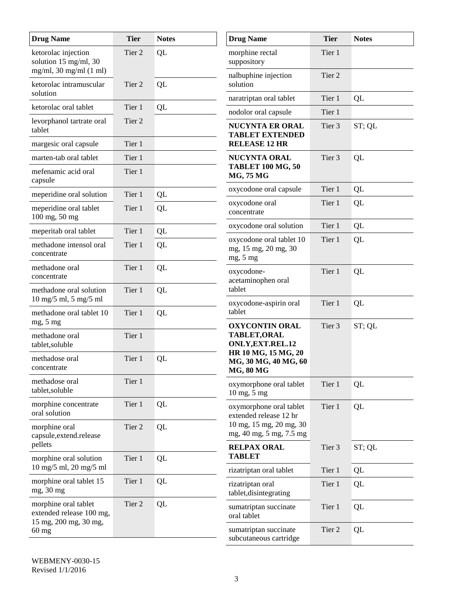| <b>Drug Name</b>                                                                   | <b>Tier</b>       | <b>Notes</b> | <b>Drug Name</b>                                                | <b>Tier</b>       | <b>Notes</b> |
|------------------------------------------------------------------------------------|-------------------|--------------|-----------------------------------------------------------------|-------------------|--------------|
| ketorolac injection<br>solution 15 mg/ml, 30<br>$mg/ml$ , 30 mg/ml (1 ml)          | Tier <sub>2</sub> | QL           | morphine rectal<br>suppository                                  | Tier 1            |              |
| ketorolac intramuscular                                                            | Tier 2            | QL           | nalbuphine injection<br>solution                                | Tier 2            |              |
| solution                                                                           |                   |              | naratriptan oral tablet                                         | Tier 1            | QL           |
| ketorolac oral tablet                                                              | Tier 1            | QL           | nodolor oral capsule                                            | Tier 1            |              |
| levorphanol tartrate oral<br>tablet                                                | Tier 2            |              | <b>NUCYNTA ER ORAL</b><br><b>TABLET EXTENDED</b>                | Tier 3            | ST; QL       |
| margesic oral capsule                                                              | Tier 1            |              | <b>RELEASE 12 HR</b>                                            |                   |              |
| marten-tab oral tablet                                                             | Tier 1            |              | <b>NUCYNTA ORAL</b>                                             | Tier 3            | QL           |
| mefenamic acid oral<br>capsule                                                     | Tier 1            |              | <b>TABLET 100 MG, 50</b><br><b>MG, 75 MG</b>                    |                   |              |
| meperidine oral solution                                                           | Tier 1            | QL           | oxycodone oral capsule                                          | Tier 1            | QL           |
| meperidine oral tablet<br>100 mg, 50 mg                                            | Tier 1            | QL           | oxycodone oral<br>concentrate                                   | Tier 1            | QL           |
| meperitab oral tablet                                                              | Tier 1            | QL           | oxycodone oral solution                                         | Tier 1            | QL           |
| methadone intensol oral<br>concentrate                                             | Tier 1            | QL           | oxycodone oral tablet 10<br>mg, 15 mg, 20 mg, 30<br>mg, 5 mg    | Tier 1            | QL           |
| methadone oral<br>concentrate                                                      | Tier 1            | QL           | oxycodone-<br>acetaminophen oral                                | Tier 1            | QL           |
| methadone oral solution<br>$10$ mg/5 ml, 5 mg/5 ml                                 | Tier 1            | QL           | tablet<br>oxycodone-aspirin oral                                | Tier 1            | QL           |
| methadone oral tablet 10<br>mg, 5 mg                                               | Tier 1            | QL           | tablet<br><b>OXYCONTIN ORAL</b>                                 | Tier 3            | ST; QL       |
| methadone oral<br>tablet, soluble                                                  | Tier 1            |              | TABLET, ORAL<br>ONLY, EXT. REL. 12                              |                   |              |
| methadose oral<br>concentrate                                                      | Tier 1            | QL           | HR 10 MG, 15 MG, 20<br>MG, 30 MG, 40 MG, 60<br><b>MG, 80 MG</b> |                   |              |
| methadose oral<br>tablet, soluble                                                  | Tier 1            |              | oxymorphone oral tablet<br>10 mg, 5 mg                          | Tier 1            | QL           |
| morphine concentrate<br>oral solution                                              | Tier 1            | QL           | oxymorphone oral tablet<br>extended release 12 hr               | Tier 1            | QL           |
| morphine oral<br>capsule, extend.release                                           | Tier 2            | QL           | 10 mg, 15 mg, 20 mg, 30<br>mg, 40 mg, 5 mg, 7.5 mg              |                   |              |
| pellets                                                                            |                   |              | <b>RELPAX ORAL</b><br><b>TABLET</b>                             | Tier 3            | ST; QL       |
| morphine oral solution<br>$10 \text{ mg}/5 \text{ ml}, 20 \text{ mg}/5 \text{ ml}$ | Tier 1            | QL           | rizatriptan oral tablet                                         | Tier 1            | QL           |
| morphine oral tablet 15<br>mg, 30 mg                                               | Tier 1            | QL           | rizatriptan oral<br>tablet, disintegrating                      | Tier 1            | QL           |
| morphine oral tablet<br>extended release 100 mg,                                   | Tier 2            | QL           | sumatriptan succinate<br>oral tablet                            | Tier 1            | QL           |
| 15 mg, 200 mg, 30 mg,<br>$60$ mg                                                   |                   |              | sumatriptan succinate<br>subcutaneous cartridge                 | Tier <sub>2</sub> | QL           |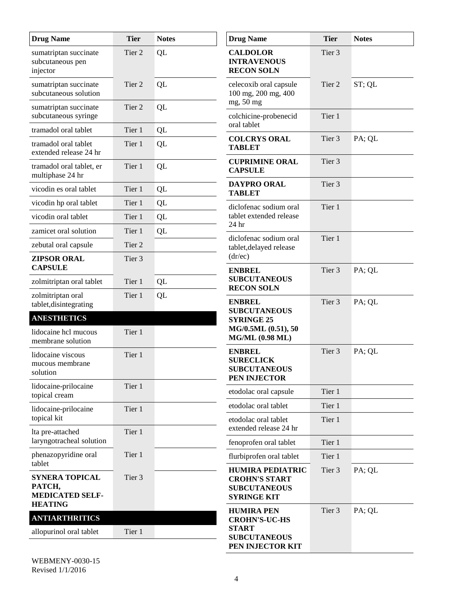| <b>Drug Name</b>                                                    | <b>Tier</b> | <b>Notes</b> | <b>Drug Name</b>                                                                             | <b>Tier</b> | <b>Notes</b> |
|---------------------------------------------------------------------|-------------|--------------|----------------------------------------------------------------------------------------------|-------------|--------------|
| sumatriptan succinate<br>subcutaneous pen<br>injector               | Tier 2      | QL           | <b>CALDOLOR</b><br><b>INTRAVENOUS</b><br><b>RECON SOLN</b>                                   | Tier 3      |              |
| sumatriptan succinate<br>subcutaneous solution                      | Tier 2      | QL           | celecoxib oral capsule<br>100 mg, 200 mg, 400<br>mg, 50 mg                                   | Tier 2      | ST; QL       |
| sumatriptan succinate<br>subcutaneous syringe                       | Tier 2      | QL           | colchicine-probenecid<br>oral tablet                                                         | Tier 1      |              |
| tramadol oral tablet                                                | Tier 1      | QL           | <b>COLCRYS ORAL</b>                                                                          | Tier 3      | PA; QL       |
| tramadol oral tablet<br>extended release 24 hr                      | Tier 1      | QL           | <b>TABLET</b>                                                                                |             |              |
| tramadol oral tablet, er<br>multiphase 24 hr                        | Tier 1      | QL           | <b>CUPRIMINE ORAL</b><br><b>CAPSULE</b>                                                      | Tier 3      |              |
| vicodin es oral tablet                                              | Tier 1      | QL           | <b>DAYPRO ORAL</b><br><b>TABLET</b>                                                          | Tier 3      |              |
| vicodin hp oral tablet                                              | Tier 1      | QL           | diclofenac sodium oral                                                                       | Tier 1      |              |
| vicodin oral tablet                                                 | Tier 1      | QL           | tablet extended release                                                                      |             |              |
| zamicet oral solution                                               | Tier 1      | QL           | 24 hr                                                                                        |             |              |
| zebutal oral capsule                                                | Tier 2      |              | diclofenac sodium oral<br>tablet, delayed release                                            | Tier 1      |              |
| <b>ZIPSOR ORAL</b><br><b>CAPSULE</b>                                | Tier 3      |              | (dr/ec)<br><b>ENBREL</b>                                                                     | Tier 3      | PA; QL       |
| zolmitriptan oral tablet                                            | Tier 1      | QL           | <b>SUBCUTANEOUS</b><br><b>RECON SOLN</b>                                                     |             |              |
| zolmitriptan oral<br>tablet, disintegrating                         | Tier 1      | QL           | <b>ENBREL</b>                                                                                | Tier 3      | PA; QL       |
| <b>ANESTHETICS</b>                                                  |             |              | <b>SUBCUTANEOUS</b><br><b>SYRINGE 25</b>                                                     |             |              |
| lidocaine hcl mucous<br>membrane solution                           | Tier 1      |              | MG/0.5ML (0.51), 50<br><b>MG/ML (0.98 ML)</b>                                                |             |              |
| lidocaine viscous<br>mucous membrane<br>solution                    | Tier 1      |              | <b>ENBREL</b><br><b>SURECLICK</b><br><b>SUBCUTANEOUS</b><br>PEN INJECTOR                     | Tier 3      | PA; QL       |
| lidocaine-prilocaine<br>topical cream                               | Tier 1      |              | etodolac oral capsule                                                                        | Tier 1      |              |
| lidocaine-prilocaine                                                | Tier 1      |              | etodolac oral tablet                                                                         | Tier 1      |              |
| topical kit<br>lta pre-attached                                     | Tier 1      |              | etodolac oral tablet<br>extended release 24 hr                                               | Tier 1      |              |
| laryngotracheal solution                                            |             |              | fenoprofen oral tablet                                                                       | Tier 1      |              |
| phenazopyridine oral                                                | Tier 1      |              | flurbiprofen oral tablet                                                                     | Tier 1      |              |
| tablet<br><b>SYNERA TOPICAL</b><br>РАТСН,<br><b>MEDICATED SELF-</b> | Tier 3      |              | <b>HUMIRA PEDIATRIC</b><br><b>CROHN'S START</b><br><b>SUBCUTANEOUS</b><br><b>SYRINGE KIT</b> | Tier 3      | PA; QL       |
| <b>HEATING</b>                                                      |             |              | <b>HUMIRA PEN</b>                                                                            | Tier 3      | PA; QL       |
| <b>ANTIARTHRITICS</b><br>allopurinol oral tablet                    | Tier 1      |              | <b>CROHN'S-UC-HS</b><br><b>START</b>                                                         |             |              |
|                                                                     |             |              | <b>SUBCUTANEOUS</b><br>PEN INJECTOR KIT                                                      |             |              |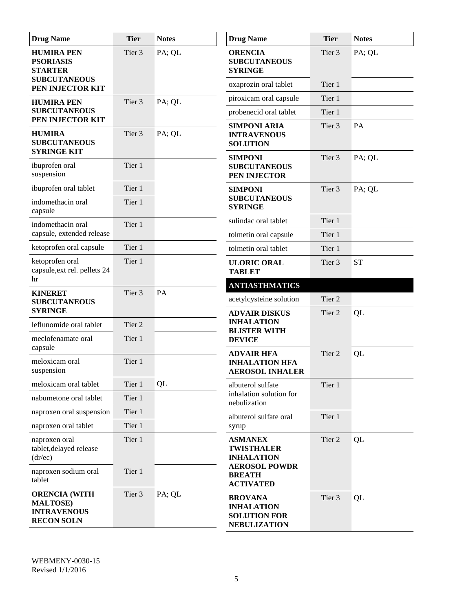| <b>Drug Name</b>                                                                    | <b>Tier</b>       | <b>Notes</b> | <b>Drug Name</b>                                                                  | <b>Tier</b>       | <b>Notes</b> |
|-------------------------------------------------------------------------------------|-------------------|--------------|-----------------------------------------------------------------------------------|-------------------|--------------|
| <b>HUMIRA PEN</b><br><b>PSORIASIS</b><br><b>STARTER</b>                             | Tier 3            | PA; QL       | <b>ORENCIA</b><br><b>SUBCUTANEOUS</b><br><b>SYRINGE</b>                           | Tier <sub>3</sub> | PA; QL       |
| <b>SUBCUTANEOUS</b><br>PEN INJECTOR KIT                                             |                   |              | oxaprozin oral tablet                                                             | Tier 1            |              |
| <b>HUMIRA PEN</b>                                                                   | Tier 3            | PA; QL       | piroxicam oral capsule                                                            | Tier 1            |              |
| <b>SUBCUTANEOUS</b><br>PEN INJECTOR KIT                                             |                   |              | probenecid oral tablet                                                            | Tier 1            |              |
| <b>HUMIRA</b><br><b>SUBCUTANEOUS</b><br><b>SYRINGE KIT</b>                          | Tier <sub>3</sub> | PA; QL       | <b>SIMPONI ARIA</b><br><b>INTRAVENOUS</b><br><b>SOLUTION</b>                      | Tier 3            | PA           |
| ibuprofen oral<br>suspension                                                        | Tier 1            |              | <b>SIMPONI</b><br><b>SUBCUTANEOUS</b><br>PEN INJECTOR                             | Tier <sub>3</sub> | PA; QL       |
| ibuprofen oral tablet                                                               | Tier 1            |              | <b>SIMPONI</b>                                                                    | Tier 3            | PA; QL       |
| indomethacin oral<br>capsule                                                        | Tier 1            |              | <b>SUBCUTANEOUS</b><br><b>SYRINGE</b>                                             |                   |              |
| indomethacin oral                                                                   | Tier 1            |              | sulindac oral tablet                                                              | Tier 1            |              |
| capsule, extended release                                                           |                   |              | tolmetin oral capsule                                                             | Tier 1            |              |
| ketoprofen oral capsule                                                             | Tier 1            |              | tolmetin oral tablet                                                              | Tier 1            |              |
| ketoprofen oral<br>capsule, ext rel. pellets 24<br>hr                               | Tier 1            |              | <b>ULORIC ORAL</b><br><b>TABLET</b>                                               | Tier 3            | <b>ST</b>    |
| <b>KINERET</b>                                                                      | Tier 3            | PA           | <b>ANTIASTHMATICS</b>                                                             |                   |              |
| <b>SUBCUTANEOUS</b>                                                                 |                   |              | acetylcysteine solution                                                           | Tier 2            |              |
| <b>SYRINGE</b>                                                                      |                   |              | <b>ADVAIR DISKUS</b>                                                              | Tier 2            | QL           |
| leflunomide oral tablet                                                             | Tier 2            |              | <b>INHALATION</b><br><b>BLISTER WITH</b>                                          |                   |              |
| meclofenamate oral<br>capsule                                                       | Tier 1            |              | <b>DEVICE</b><br><b>ADVAIR HFA</b>                                                | Tier 2            | QL           |
| meloxicam oral<br>suspension                                                        | Tier 1            |              | <b>INHALATION HFA</b><br><b>AEROSOL INHALER</b>                                   |                   |              |
| meloxicam oral tablet                                                               | Tier 1            | QL           | albuterol sulfate                                                                 | Tier 1            |              |
| nabumetone oral tablet                                                              | Tier 1            |              | inhalation solution for<br>nebulization                                           |                   |              |
| naproxen oral suspension                                                            | Tier 1            |              | albuterol sulfate oral                                                            | Tier 1            |              |
| naproxen oral tablet                                                                | Tier 1            |              | syrup                                                                             |                   |              |
| naproxen oral<br>tablet, delayed release<br>(dr/ec)                                 | Tier 1            |              | <b>ASMANEX</b><br><b>TWISTHALER</b><br><b>INHALATION</b><br><b>AEROSOL POWDR</b>  | Tier 2            | QL           |
| naproxen sodium oral<br>tablet                                                      | Tier 1            |              | <b>BREATH</b><br><b>ACTIVATED</b>                                                 |                   |              |
| <b>ORENCIA (WITH</b><br><b>MALTOSE</b> )<br><b>INTRAVENOUS</b><br><b>RECON SOLN</b> | Tier 3            | PA; QL       | <b>BROVANA</b><br><b>INHALATION</b><br><b>SOLUTION FOR</b><br><b>NEBULIZATION</b> | Tier 3            | QL           |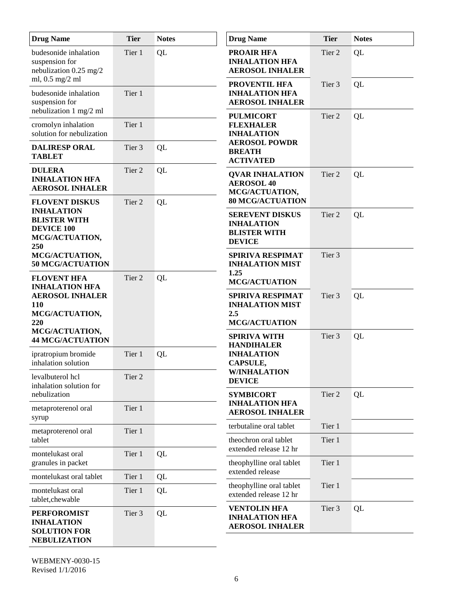| <b>Drug Name</b>                                                                                                | <b>Tier</b> | <b>Notes</b> | <b>Drug Name</b>                                                                                               | <b>Tier</b> | <b>Notes</b> |
|-----------------------------------------------------------------------------------------------------------------|-------------|--------------|----------------------------------------------------------------------------------------------------------------|-------------|--------------|
| budesonide inhalation<br>suspension for<br>nebulization 0.25 mg/2<br>ml, 0.5 mg/2 ml                            | Tier 1      | QL           | <b>PROAIR HFA</b><br><b>INHALATION HFA</b><br><b>AEROSOL INHALER</b>                                           | Tier 2      | QL           |
| budesonide inhalation<br>suspension for<br>nebulization 1 mg/2 ml                                               | Tier 1      |              | <b>PROVENTIL HFA</b><br><b>INHALATION HFA</b><br><b>AEROSOL INHALER</b>                                        | Tier 3      | QL           |
| cromolyn inhalation<br>solution for nebulization                                                                | Tier 1      |              | <b>PULMICORT</b><br><b>FLEXHALER</b><br><b>INHALATION</b>                                                      | Tier 2      | QL           |
| <b>DALIRESP ORAL</b><br><b>TABLET</b>                                                                           | Tier 3      | QL           | <b>AEROSOL POWDR</b><br><b>BREATH</b><br><b>ACTIVATED</b>                                                      |             |              |
| <b>DULERA</b><br><b>INHALATION HFA</b><br><b>AEROSOL INHALER</b>                                                | Tier 2      | QL           | <b>QVAR INHALATION</b><br><b>AEROSOL 40</b><br>MCG/ACTUATION,                                                  | Tier 2      | QL           |
| <b>FLOVENT DISKUS</b><br><b>INHALATION</b><br><b>BLISTER WITH</b><br><b>DEVICE 100</b><br>MCG/ACTUATION,<br>250 | Tier 2      | QL           | <b>80 MCG/ACTUATION</b><br><b>SEREVENT DISKUS</b><br><b>INHALATION</b><br><b>BLISTER WITH</b><br><b>DEVICE</b> | Tier 2      | QL           |
| MCG/ACTUATION,<br>50 MCG/ACTUATION                                                                              |             |              | SPIRIVA RESPIMAT<br><b>INHALATION MIST</b><br>1.25                                                             | Tier 3      |              |
| <b>FLOVENT HFA</b><br><b>INHALATION HFA</b><br><b>AEROSOL INHALER</b><br><b>110</b><br>MCG/ACTUATION,<br>220    | Tier 2      | QL           | <b>MCG/ACTUATION</b><br>SPIRIVA RESPIMAT<br><b>INHALATION MIST</b><br>2.5<br><b>MCG/ACTUATION</b>              | Tier 3      | QL           |
| MCG/ACTUATION,<br><b>44 MCG/ACTUATION</b>                                                                       |             |              | <b>SPIRIVA WITH</b><br><b>HANDIHALER</b>                                                                       | Tier 3      | QL           |
| ipratropium bromide<br>inhalation solution                                                                      | Tier 1      | QL           | <b>INHALATION</b><br>CAPSULE,                                                                                  |             |              |
| levalbuterol hcl<br>inhalation solution for                                                                     | Tier 2      |              | <b>W/INHALATION</b><br><b>DEVICE</b>                                                                           |             |              |
| nebulization<br>metaproterenol oral<br>syrup                                                                    | Tier 1      |              | <b>SYMBICORT</b><br><b>INHALATION HFA</b><br><b>AEROSOL INHALER</b>                                            | Tier 2      | QL           |
| metaproterenol oral                                                                                             | Tier 1      |              | terbutaline oral tablet                                                                                        | Tier 1      |              |
| tablet<br>montelukast oral                                                                                      | Tier 1      | QL           | theochron oral tablet<br>extended release 12 hr                                                                | Tier 1      |              |
| granules in packet                                                                                              |             |              | theophylline oral tablet<br>extended release                                                                   | Tier 1      |              |
| montelukast oral tablet                                                                                         | Tier 1      | QL           | theophylline oral tablet                                                                                       | Tier 1      |              |
| montelukast oral<br>tablet, chewable                                                                            | Tier 1      | QL           | extended release 12 hr                                                                                         |             |              |
| <b>PERFOROMIST</b><br><b>INHALATION</b><br><b>SOLUTION FOR</b><br><b>NEBULIZATION</b>                           | Tier 3      | QL           | <b>VENTOLIN HFA</b><br><b>INHALATION HFA</b><br><b>AEROSOL INHALER</b>                                         | Tier 3      | QL           |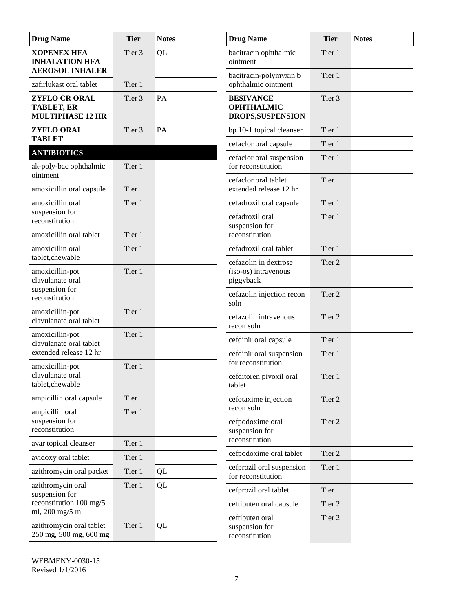| <b>Drug Name</b>                                                      | <b>Tier</b>       | <b>Notes</b> | <b>Drug Name</b>                                           | <b>Tier</b>       | <b>Notes</b> |
|-----------------------------------------------------------------------|-------------------|--------------|------------------------------------------------------------|-------------------|--------------|
| <b>XOPENEX HFA</b><br><b>INHALATION HFA</b><br><b>AEROSOL INHALER</b> | Tier 3            | QL           | bacitracin ophthalmic<br>ointment                          | Tier 1            |              |
| zafirlukast oral tablet                                               | Tier 1            |              | bacitracin-polymyxin b<br>ophthalmic ointment              | Tier 1            |              |
| <b>ZYFLO CR ORAL</b><br><b>TABLET, ER</b><br><b>MULTIPHASE 12 HR</b>  | Tier 3            | PA           | <b>BESIVANCE</b><br><b>OPHTHALMIC</b><br>DROPS, SUSPENSION | Tier 3            |              |
| <b>ZYFLO ORAL</b><br><b>TABLET</b>                                    | Tier <sub>3</sub> | PA           | bp 10-1 topical cleanser                                   | Tier 1            |              |
| <b>ANTIBIOTICS</b>                                                    |                   |              | cefaclor oral capsule                                      | Tier 1            |              |
| ak-poly-bac ophthalmic<br>ointment                                    | Tier 1            |              | cefaclor oral suspension<br>for reconstitution             | Tier 1            |              |
| amoxicillin oral capsule                                              | Tier 1            |              | cefaclor oral tablet<br>extended release 12 hr             | Tier 1            |              |
| amoxicillin oral                                                      | Tier 1            |              | cefadroxil oral capsule                                    | Tier 1            |              |
| suspension for<br>reconstitution                                      |                   |              | cefadroxil oral<br>suspension for                          | Tier 1            |              |
| amoxicillin oral tablet                                               | Tier 1            |              | reconstitution                                             |                   |              |
| amoxicillin oral<br>tablet, che wable                                 | Tier 1            |              | cefadroxil oral tablet                                     | Tier 1            |              |
| amoxicillin-pot<br>clavulanate oral                                   | Tier 1            |              | cefazolin in dextrose<br>(iso-os) intravenous<br>piggyback | Tier <sub>2</sub> |              |
| suspension for<br>reconstitution                                      |                   |              | cefazolin injection recon<br>soln                          | Tier <sub>2</sub> |              |
| amoxicillin-pot<br>clavulanate oral tablet                            | Tier 1            |              | cefazolin intravenous<br>recon soln                        | Tier <sub>2</sub> |              |
| amoxicillin-pot<br>clavulanate oral tablet                            | Tier 1            |              | cefdinir oral capsule                                      | Tier 1            |              |
| extended release 12 hr                                                | Tier 1            |              | cefdinir oral suspension<br>for reconstitution             | Tier 1            |              |
| amoxicillin-pot<br>clavulanate oral<br>tablet, chewable               |                   |              | cefditoren pivoxil oral<br>tablet                          | Tier 1            |              |
| ampicillin oral capsule                                               | Tier 1            |              | cefotaxime injection<br>recon soln                         | Tier 2            |              |
| ampicillin oral<br>suspension for<br>reconstitution                   | Tier 1            |              | cefpodoxime oral<br>suspension for                         | Tier <sub>2</sub> |              |
| avar topical cleanser                                                 | Tier 1            |              | reconstitution                                             |                   |              |
| avidoxy oral tablet                                                   | Tier 1            |              | cefpodoxime oral tablet                                    | Tier 2            |              |
| azithromycin oral packet                                              | Tier 1            | QL           | cefprozil oral suspension<br>for reconstitution            | Tier 1            |              |
| azithromycin oral<br>suspension for                                   | Tier 1            | QL           | cefprozil oral tablet                                      | Tier 1            |              |
| reconstitution 100 mg/5<br>ml, 200 mg/5 ml                            |                   |              | ceftibuten oral capsule                                    | Tier 2            |              |
| azithromycin oral tablet<br>250 mg, 500 mg, 600 mg                    | Tier 1            | QL           | ceftibuten oral<br>suspension for<br>reconstitution        | Tier 2            |              |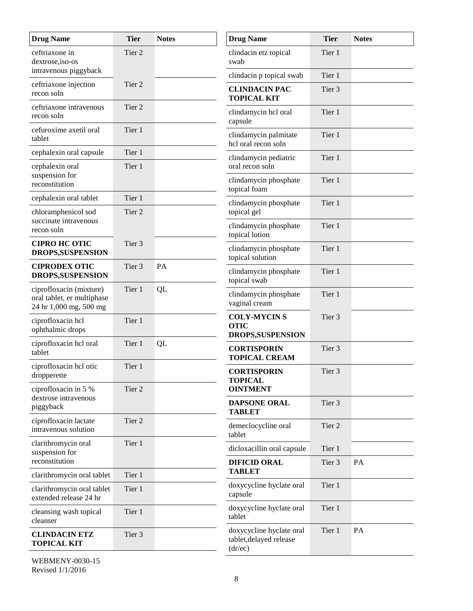| <b>Drug Name</b>                                                                | <b>Tier</b>       | <b>Notes</b> | <b>Drug Name</b>                                               | <b>Tier</b> | <b>Notes</b> |
|---------------------------------------------------------------------------------|-------------------|--------------|----------------------------------------------------------------|-------------|--------------|
| ceftriaxone in<br>dextrose, iso-os                                              | Tier <sub>2</sub> |              | clindacin etz topical<br>swab                                  | Tier 1      |              |
| intravenous piggyback                                                           |                   |              | clindacin p topical swab                                       | Tier 1      |              |
| ceftriaxone injection<br>recon soln                                             | Tier <sub>2</sub> |              | <b>CLINDACIN PAC</b><br><b>TOPICAL KIT</b>                     | Tier 3      |              |
| ceftriaxone intravenous<br>recon soln                                           | Tier 2            |              | clindamycin hcl oral<br>capsule                                | Tier 1      |              |
| cefuroxime axetil oral<br>tablet                                                | Tier 1            |              | clindamycin palmitate<br>hcl oral recon soln                   | Tier 1      |              |
| cephalexin oral capsule                                                         | Tier 1            |              | clindamycin pediatric                                          | Tier 1      |              |
| cephalexin oral                                                                 | Tier 1            |              | oral recon soln                                                |             |              |
| suspension for<br>reconstitution                                                |                   |              | clindamycin phosphate<br>topical foam                          | Tier 1      |              |
| cephalexin oral tablet                                                          | Tier 1            |              | clindamycin phosphate                                          | Tier 1      |              |
| chloramphenicol sod<br>succinate intravenous                                    | Tier <sub>2</sub> |              | topical gel                                                    |             |              |
| recon soln                                                                      |                   |              | clindamycin phosphate<br>topical lotion                        | Tier 1      |              |
| <b>CIPRO HC OTIC</b><br>DROPS, SUSPENSION                                       | Tier 3            |              | clindamycin phosphate<br>topical solution                      | Tier 1      |              |
| <b>CIPRODEX OTIC</b><br>DROPS, SUSPENSION                                       | Tier 3            | PA           | clindamycin phosphate<br>topical swab                          | Tier 1      |              |
| ciprofloxacin (mixture)<br>oral tablet, er multiphase<br>24 hr 1,000 mg, 500 mg | Tier 1            | QL           | clindamycin phosphate<br>vaginal cream                         | Tier 1      |              |
| ciprofloxacin hcl<br>ophthalmic drops                                           | Tier 1            |              | <b>COLY-MYCINS</b><br><b>OTIC</b><br>DROPS, SUSPENSION         | Tier 3      |              |
| ciprofloxacin hcl oral<br>tablet                                                | Tier 1            | QL           | <b>CORTISPORIN</b><br><b>TOPICAL CREAM</b>                     | Tier 3      |              |
| ciprofloxacin hel otic<br>dropperette                                           | Tier 1            |              | <b>CORTISPORIN</b><br><b>TOPICAL</b>                           | Tier 3      |              |
| ciprofloxacin in 5 %                                                            | Tier 2            |              | <b>OINTMENT</b>                                                |             |              |
| dextrose intravenous<br>piggyback                                               |                   |              | <b>DAPSONE ORAL</b><br><b>TABLET</b>                           | Tier 3      |              |
| ciprofloxacin lactate<br>intravenous solution                                   | Tier 2            |              | demeclocycline oral<br>tablet                                  | Tier 2      |              |
| clarithromycin oral<br>suspension for                                           | Tier 1            |              | dicloxacillin oral capsule                                     | Tier 1      |              |
| reconstitution                                                                  |                   |              | <b>DIFICID ORAL</b>                                            | Tier 3      | PA           |
| clarithromycin oral tablet                                                      | Tier 1            |              | <b>TABLET</b>                                                  |             |              |
| clarithromycin oral tablet<br>extended release 24 hr                            | Tier 1            |              | doxycycline hyclate oral<br>capsule                            | Tier 1      |              |
| cleansing wash topical<br>cleanser                                              | Tier 1            |              | doxycycline hyclate oral<br>tablet                             | Tier 1      |              |
| <b>CLINDACIN ETZ</b><br><b>TOPICAL KIT</b>                                      | Tier 3            |              | doxycycline hyclate oral<br>tablet, delayed release<br>(dr/ec) | Tier 1      | PA           |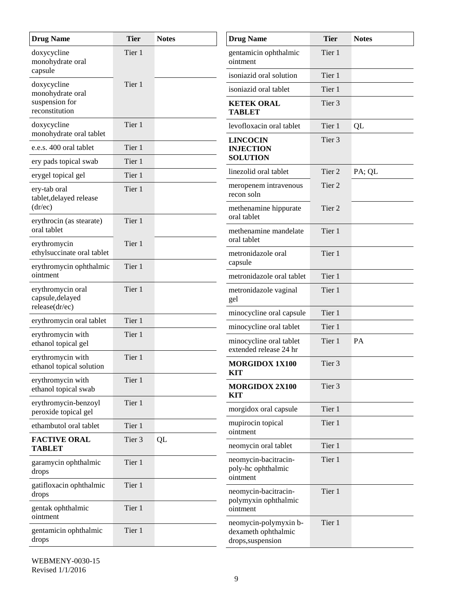| <b>Drug Name</b>                                        | <b>Tier</b> | <b>Notes</b> | <b>Drug Name</b>                                                  | <b>Tier</b>       | <b>Notes</b> |
|---------------------------------------------------------|-------------|--------------|-------------------------------------------------------------------|-------------------|--------------|
| doxycycline<br>monohydrate oral                         | Tier 1      |              | gentamicin ophthalmic<br>ointment                                 | Tier 1            |              |
| capsule                                                 |             |              | isoniazid oral solution                                           | Tier 1            |              |
| doxycycline<br>monohydrate oral                         | Tier 1      |              | isoniazid oral tablet                                             | Tier 1            |              |
| suspension for<br>reconstitution                        |             |              | <b>KETEK ORAL</b><br><b>TABLET</b>                                | Tier 3            |              |
| doxycycline<br>monohydrate oral tablet                  | Tier 1      |              | levofloxacin oral tablet                                          | Tier 1            | QL           |
| e.e.s. 400 oral tablet                                  | Tier 1      |              | <b>LINCOCIN</b><br><b>INJECTION</b>                               | Tier 3            |              |
| ery pads topical swab                                   | Tier 1      |              | <b>SOLUTION</b>                                                   |                   |              |
| erygel topical gel                                      | Tier 1      |              | linezolid oral tablet                                             | Tier 2            | PA; QL       |
| ery-tab oral<br>tablet, delayed release                 | Tier 1      |              | meropenem intravenous<br>recon soln                               | Tier 2            |              |
| (dr/ec)<br>erythrocin (as stearate)                     | Tier 1      |              | methenamine hippurate<br>oral tablet                              | Tier <sub>2</sub> |              |
| oral tablet                                             |             |              | methenamine mandelate<br>oral tablet                              | Tier 1            |              |
| erythromycin<br>ethylsuccinate oral tablet              | Tier 1      |              | metronidazole oral                                                | Tier 1            |              |
| erythromycin ophthalmic<br>ointment                     | Tier 1      |              | capsule                                                           |                   |              |
|                                                         |             |              | metronidazole oral tablet                                         | Tier 1            |              |
| erythromycin oral<br>capsule, delayed<br>release(dr/ec) | Tier 1      |              | metronidazole vaginal<br>gel                                      | Tier 1            |              |
| erythromycin oral tablet                                | Tier 1      |              | minocycline oral capsule                                          | Tier 1            |              |
| erythromycin with                                       | Tier 1      |              | minocycline oral tablet                                           | Tier 1            |              |
| ethanol topical gel                                     |             |              | minocycline oral tablet<br>extended release 24 hr                 | Tier 1            | PA           |
| erythromycin with<br>ethanol topical solution           | Tier 1      |              | <b>MORGIDOX 1X100</b><br><b>KIT</b>                               | Tier 3            |              |
| erythromycin with<br>ethanol topical swab               | Tier 1      |              | <b>MORGIDOX 2X100</b>                                             | Tier 3            |              |
| erythromycin-benzoyl<br>peroxide topical gel            | Tier 1      |              | <b>KIT</b><br>morgidox oral capsule                               | Tier 1            |              |
| ethambutol oral tablet                                  | Tier 1      |              | mupirocin topical                                                 | Tier 1            |              |
| <b>FACTIVE ORAL</b><br><b>TABLET</b>                    | Tier 3      | QL           | ointment<br>neomycin oral tablet                                  | Tier 1            |              |
| garamycin ophthalmic<br>drops                           | Tier 1      |              | neomycin-bacitracin-<br>poly-hc ophthalmic<br>ointment            | Tier 1            |              |
| gatifloxacin ophthalmic<br>drops                        | Tier 1      |              | neomycin-bacitracin-                                              | Tier 1            |              |
| gentak ophthalmic<br>ointment                           | Tier 1      |              | polymyxin ophthalmic<br>ointment                                  |                   |              |
| gentamicin ophthalmic<br>drops                          | Tier 1      |              | neomycin-polymyxin b-<br>dexameth ophthalmic<br>drops, suspension | Tier 1            |              |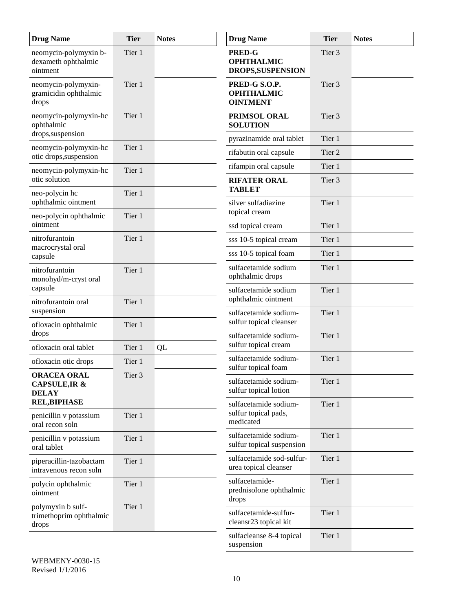| <b>Drug Name</b>                                               | <b>Tier</b> | <b>Notes</b>         | <b>Drug Name</b>                                        | <b>Tier</b>       | <b>Notes</b> |
|----------------------------------------------------------------|-------------|----------------------|---------------------------------------------------------|-------------------|--------------|
| neomycin-polymyxin b-<br>dexameth ophthalmic<br>ointment       | Tier 1      |                      | <b>PRED-G</b><br><b>OPHTHALMIC</b><br>DROPS, SUSPENSION | Tier 3            |              |
| neomycin-polymyxin-<br>gramicidin ophthalmic<br>drops          | Tier 1      |                      | PRED-G S.O.P.<br><b>OPHTHALMIC</b><br><b>OINTMENT</b>   | Tier <sub>3</sub> |              |
| neomycin-polymyxin-hc<br>ophthalmic                            | Tier 1      |                      | PRIMSOL ORAL<br><b>SOLUTION</b>                         | Tier <sub>3</sub> |              |
| drops, suspension                                              |             |                      | pyrazinamide oral tablet                                | Tier 1            |              |
| neomycin-polymyxin-hc<br>otic drops, suspension                | Tier 1      |                      | rifabutin oral capsule                                  | Tier 2            |              |
| neomycin-polymyxin-hc                                          | Tier 1      |                      | rifampin oral capsule                                   | Tier 1            |              |
| otic solution<br>neo-polycin hc                                | Tier 1      |                      | <b>RIFATER ORAL</b><br><b>TABLET</b>                    | Tier 3            |              |
| ophthalmic ointment                                            |             |                      | silver sulfadiazine<br>topical cream                    | Tier 1            |              |
| neo-polycin ophthalmic<br>ointment                             | Tier 1      |                      | ssd topical cream                                       | Tier 1            |              |
| nitrofurantoin                                                 | Tier 1      |                      | sss 10-5 topical cream                                  | Tier 1            |              |
| macrocrystal oral<br>capsule                                   |             |                      | sss 10-5 topical foam                                   | Tier 1            |              |
| nitrofurantoin<br>monohyd/m-cryst oral                         | Tier 1      |                      | sulfacetamide sodium<br>ophthalmic drops                | Tier 1            |              |
| capsule                                                        |             | sulfacetamide sodium | Tier 1                                                  |                   |              |
| nitrofurantoin oral<br>suspension                              | Tier 1      |                      | ophthalmic ointment<br>sulfacetamide sodium-            | Tier 1            |              |
| ofloxacin ophthalmic<br>drops                                  | Tier 1      |                      | sulfur topical cleanser<br>sulfacetamide sodium-        | Tier 1            |              |
| ofloxacin oral tablet                                          | Tier 1      | QL                   | sulfur topical cream                                    |                   |              |
| ofloxacin otic drops                                           | Tier 1      |                      | sulfacetamide sodium-<br>sulfur topical foam            | Tier 1            |              |
| <b>ORACEA ORAL</b><br><b>CAPSULE, IR &amp;</b><br><b>DELAY</b> | Tier 3      |                      | sulfacetamide sodium-<br>sulfur topical lotion          | Tier 1            |              |
| <b>REL,BIPHASE</b><br>penicillin v potassium                   | Tier 1      |                      | sulfacetamide sodium-<br>sulfur topical pads,           | Tier 1            |              |
| oral recon soln                                                |             |                      | medicated                                               |                   |              |
| penicillin v potassium<br>oral tablet                          | Tier 1      |                      | sulfacetamide sodium-<br>sulfur topical suspension      | Tier 1            |              |
| piperacillin-tazobactam<br>intravenous recon soln              | Tier 1      |                      | sulfacetamide sod-sulfur-<br>urea topical cleanser      | Tier 1            |              |
| polycin ophthalmic<br>ointment                                 | Tier 1      |                      | sulfacetamide-<br>prednisolone ophthalmic<br>drops      | Tier 1            |              |
| polymyxin b sulf-<br>trimethoprim ophthalmic<br>drops          | Tier 1      |                      | sulfacetamide-sulfur-<br>cleansr23 topical kit          | Tier 1            |              |
|                                                                |             |                      | sulfacleanse 8-4 topical<br>suspension                  | Tier 1            |              |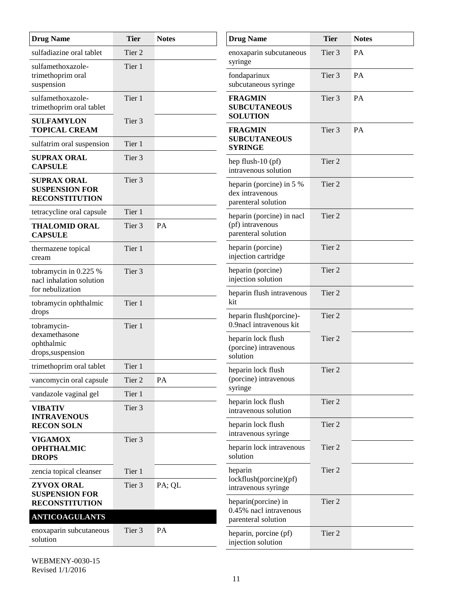| <b>Drug Name</b>                                                     | <b>Tier</b>       | <b>Notes</b>  | <b>Drug Name</b>                                                   | <b>Tier</b>       | <b>Notes</b> |
|----------------------------------------------------------------------|-------------------|---------------|--------------------------------------------------------------------|-------------------|--------------|
| sulfadiazine oral tablet                                             | Tier 2            |               | enoxaparin subcutaneous<br>syringe                                 | Tier 3            | PA           |
| sulfamethoxazole-<br>trimethoprim oral<br>suspension                 | Tier 1            |               | fondaparinux<br>subcutaneous syringe                               | Tier 3            | PA           |
| sulfamethoxazole-<br>trimethoprim oral tablet                        | Tier 1            |               | <b>FRAGMIN</b><br><b>SUBCUTANEOUS</b>                              | Tier 3            | PA           |
| <b>SULFAMYLON</b><br><b>TOPICAL CREAM</b>                            | Tier <sub>3</sub> |               | <b>SOLUTION</b><br><b>FRAGMIN</b>                                  | Tier <sub>3</sub> | PA           |
| sulfatrim oral suspension                                            | Tier 1            |               | <b>SUBCUTANEOUS</b>                                                |                   |              |
| <b>SUPRAX ORAL</b><br><b>CAPSULE</b>                                 | Tier 3            |               | <b>SYRINGE</b><br>hep flush-10 (pf)<br>intravenous solution        | Tier 2            |              |
| <b>SUPRAX ORAL</b><br><b>SUSPENSION FOR</b><br><b>RECONSTITUTION</b> | Tier <sub>3</sub> |               | heparin (porcine) in 5 %<br>dex intravenous<br>parenteral solution | Tier 2            |              |
| tetracycline oral capsule                                            | Tier 1            |               | heparin (porcine) in nacl                                          | Tier <sub>2</sub> |              |
| <b>THALOMID ORAL</b><br><b>CAPSULE</b>                               | Tier 3            | PA            | (pf) intravenous<br>parenteral solution                            |                   |              |
| thermazene topical<br>cream                                          | Tier 1            |               | heparin (porcine)<br>injection cartridge                           | Tier 2            |              |
| tobramycin in 0.225 %<br>nacl inhalation solution                    | Tier 3            |               | heparin (porcine)<br>injection solution                            | Tier 2            |              |
| for nebulization                                                     |                   |               | heparin flush intravenous<br>kit                                   | Tier 2            |              |
| tobramycin ophthalmic<br>drops                                       | Tier 1            |               | heparin flush(porcine)-                                            | Tier 2            |              |
| tobramycin-                                                          | Tier 1            |               | 0.9 nacl intravenous kit                                           |                   |              |
| dexamethasone<br>ophthalmic                                          |                   |               | heparin lock flush                                                 | Tier 2            |              |
| drops, suspension                                                    |                   |               | (porcine) intravenous<br>solution                                  |                   |              |
| trimethoprim oral tablet                                             | Tier 1            |               | heparin lock flush                                                 | Tier <sub>2</sub> |              |
| vancomycin oral capsule                                              | Tier 2            | $\mathbf{PA}$ | (porcine) intravenous<br>syringe                                   |                   |              |
| vandazole vaginal gel                                                | Tier 1            |               | heparin lock flush                                                 | Tier 2            |              |
| <b>VIBATIV</b><br><b>INTRAVENOUS</b>                                 | Tier 3            |               | intravenous solution                                               |                   |              |
| <b>RECON SOLN</b>                                                    |                   |               | heparin lock flush                                                 | Tier 2            |              |
| <b>VIGAMOX</b>                                                       | Tier 3            |               | intravenous syringe                                                |                   |              |
| <b>OPHTHALMIC</b><br><b>DROPS</b>                                    |                   |               | heparin lock intravenous<br>solution                               | Tier 2            |              |
| zencia topical cleanser                                              | Tier 1            |               | heparin<br>lock flush(porcine)(pf)                                 | Tier 2            |              |
| ZYVOX ORAL<br><b>SUSPENSION FOR</b>                                  | Tier 3            | PA; QL        | intravenous syringe                                                |                   |              |
| <b>RECONSTITUTION</b>                                                |                   |               | heparin(porcine) in<br>0.45% nacl intravenous                      | Tier 2            |              |
| <b>ANTICOAGULANTS</b>                                                |                   |               | parenteral solution                                                |                   |              |
| enoxaparin subcutaneous<br>solution                                  | Tier 3            | PA            | heparin, porcine (pf)<br>injection solution                        | Tier 2            |              |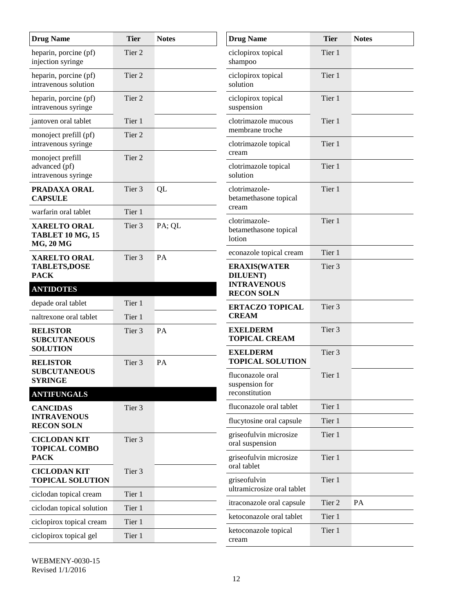| <b>Drug Name</b>                                                   | <b>Tier</b>       | <b>Notes</b> | <b>Drug Name</b>                                              | <b>Tier</b>       | <b>Notes</b> |
|--------------------------------------------------------------------|-------------------|--------------|---------------------------------------------------------------|-------------------|--------------|
| heparin, porcine (pf)<br>injection syringe                         | Tier 2            |              | ciclopirox topical<br>shampoo                                 | Tier 1            |              |
| heparin, porcine (pf)<br>intravenous solution                      | Tier 2            |              | ciclopirox topical<br>solution                                | Tier 1            |              |
| heparin, porcine (pf)<br>intravenous syringe                       | Tier <sub>2</sub> |              | ciclopirox topical<br>suspension                              | Tier 1            |              |
| jantoven oral tablet                                               | Tier 1            |              | clotrimazole mucous<br>membrane troche                        | Tier 1            |              |
| monoject prefill (pf)<br>intravenous syringe                       | Tier 2            |              | clotrimazole topical                                          | Tier 1            |              |
| monoject prefill<br>advanced (pf)<br>intravenous syringe           | Tier 2            |              | cream<br>clotrimazole topical<br>solution                     | Tier 1            |              |
| PRADAXA ORAL<br><b>CAPSULE</b>                                     | Tier 3            | QL           | clotrimazole-<br>betamethasone topical<br>cream               | Tier 1            |              |
| warfarin oral tablet                                               | Tier 1            |              | clotrimazole-                                                 | Tier 1            |              |
| <b>XARELTO ORAL</b><br><b>TABLET 10 MG, 15</b><br><b>MG, 20 MG</b> | Tier 3            | PA; QL       | betamethasone topical<br>lotion                               |                   |              |
| <b>XARELTO ORAL</b>                                                | Tier 3            | PA           | econazole topical cream                                       | Tier 1            |              |
| <b>TABLETS,DOSE</b><br><b>PACK</b>                                 |                   |              | <b>ERAXIS(WATER</b><br><b>DILUENT</b> )<br><b>INTRAVENOUS</b> | Tier <sub>3</sub> |              |
| <b>ANTIDOTES</b>                                                   |                   |              | <b>RECON SOLN</b>                                             |                   |              |
| depade oral tablet                                                 | Tier 1            |              | <b>ERTACZO TOPICAL</b>                                        | Tier 3            |              |
| naltrexone oral tablet                                             | Tier 1            |              | <b>CREAM</b>                                                  |                   |              |
| <b>RELISTOR</b><br><b>SUBCUTANEOUS</b>                             | Tier 3            | PA           | <b>EXELDERM</b><br><b>TOPICAL CREAM</b>                       | Tier 3            |              |
| <b>SOLUTION</b><br><b>RELISTOR</b>                                 | Tier 3            | PA           | <b>EXELDERM</b><br><b>TOPICAL SOLUTION</b>                    | Tier 3            |              |
| <b>SUBCUTANEOUS</b><br><b>SYRINGE</b>                              |                   |              | fluconazole oral<br>suspension for                            | Tier 1            |              |
| <b>ANTIFUNGALS</b>                                                 |                   |              | reconstitution                                                |                   |              |
| <b>CANCIDAS</b>                                                    | Tier 3            |              | fluconazole oral tablet                                       | Tier 1            |              |
| <b>INTRAVENOUS</b><br><b>RECON SOLN</b>                            |                   |              | flucytosine oral capsule                                      | Tier 1            |              |
| <b>CICLODAN KIT</b><br><b>TOPICAL COMBO</b>                        | Tier 3            |              | griseofulvin microsize<br>oral suspension                     | Tier 1            |              |
| <b>PACK</b>                                                        |                   |              | griseofulvin microsize                                        | Tier 1            |              |
| <b>CICLODAN KIT</b><br><b>TOPICAL SOLUTION</b>                     | Tier 3            |              | oral tablet<br>griseofulvin                                   | Tier 1            |              |
| ciclodan topical cream                                             | Tier 1            |              | ultramicrosize oral tablet                                    |                   |              |
| ciclodan topical solution                                          | Tier 1            |              | itraconazole oral capsule                                     | Tier 2            | PA           |
| ciclopirox topical cream                                           | Tier 1            |              | ketoconazole oral tablet                                      | Tier 1            |              |
| ciclopirox topical gel                                             | Tier 1            |              | ketoconazole topical<br>cream                                 | Tier 1            |              |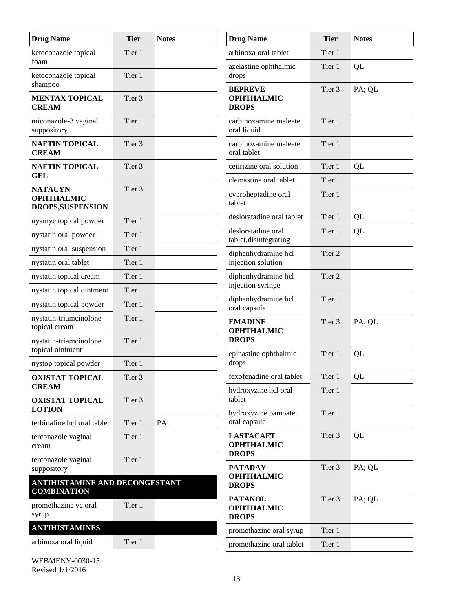| <b>Drug Name</b>                                         | <b>Tier</b>       | <b>Notes</b> | <b>Drug Name</b>                                      | <b>Tier</b>       | <b>Notes</b> |
|----------------------------------------------------------|-------------------|--------------|-------------------------------------------------------|-------------------|--------------|
| ketoconazole topical<br>foam                             | Tier 1            |              | arbinoxa oral tablet                                  | Tier 1            |              |
| ketoconazole topical                                     | Tier 1            |              | azelastine ophthalmic<br>drops                        | Tier 1            | QL           |
| shampoo<br><b>MENTAX TOPICAL</b><br><b>CREAM</b>         | Tier 3            |              | <b>BEPREVE</b><br><b>OPHTHALMIC</b><br><b>DROPS</b>   | Tier 3            | PA; QL       |
| miconazole-3 vaginal<br>suppository                      | Tier 1            |              | carbinoxamine maleate<br>oral liquid                  | Tier 1            |              |
| <b>NAFTIN TOPICAL</b><br><b>CREAM</b>                    | Tier <sub>3</sub> |              | carbinoxamine maleate<br>oral tablet                  | Tier 1            |              |
| <b>NAFTIN TOPICAL</b>                                    | Tier 3            |              | cetirizine oral solution                              | Tier 1            | QL           |
| <b>GEL</b>                                               |                   |              | clemastine oral tablet                                | Tier 1            |              |
| <b>NATACYN</b><br><b>OPHTHALMIC</b><br>DROPS, SUSPENSION | Tier <sub>3</sub> |              | cyproheptadine oral<br>tablet                         | Tier 1            |              |
| nyamyc topical powder                                    | Tier 1            |              | desloratadine oral tablet                             | Tier 1            | QL           |
| nystatin oral powder                                     | Tier 1            |              | desloratadine oral<br>tablet, disintegrating          | Tier 1            | QL           |
| nystatin oral suspension                                 | Tier 1            |              | diphenhydramine hcl                                   | Tier 2            |              |
| nystatin oral tablet                                     | Tier 1            |              | injection solution                                    |                   |              |
| nystatin topical cream                                   | Tier 1            |              | diphenhydramine hcl<br>injection syringe              | Tier <sub>2</sub> |              |
| nystatin topical ointment                                | Tier 1            |              | diphenhydramine hcl                                   | Tier 1            |              |
| nystatin topical powder                                  | Tier 1            |              | oral capsule                                          |                   |              |
| nystatin-triamcinolone<br>topical cream                  | Tier 1            |              | <b>EMADINE</b><br><b>OPHTHALMIC</b>                   | Tier 3            | PA; QL       |
| nystatin-triamcinolone<br>topical ointment               | Tier 1            |              | <b>DROPS</b><br>epinastine ophthalmic                 | Tier 1            | QL           |
| nystop topical powder                                    | Tier 1            |              | drops                                                 |                   |              |
| <b>OXISTAT TOPICAL</b>                                   | Tier 3            |              | fexofenadine oral tablet                              | Tier 1            | QL           |
| <b>CREAM</b><br><b>OXISTAT TOPICAL</b>                   | Tier 3            |              | hydroxyzine hcl oral<br>tablet                        | Tier 1            |              |
| <b>LOTION</b>                                            |                   |              | hydroxyzine pamoate                                   | Tier 1            |              |
| terbinafine hcl oral tablet                              | Tier 1            | PA           | oral capsule                                          |                   |              |
| terconazole vaginal<br>cream                             | Tier 1            |              | <b>LASTACAFT</b><br><b>OPHTHALMIC</b><br><b>DROPS</b> | Tier 3            | QL           |
| terconazole vaginal<br>suppository                       | Tier 1            |              | <b>PATADAY</b>                                        | Tier 3            | PA; QL       |
| ANTIHISTAMINE AND DECONGESTANT<br><b>COMBINATION</b>     |                   |              | <b>OPHTHALMIC</b><br><b>DROPS</b>                     |                   |              |
| promethazine vc oral<br>syrup                            | Tier 1            |              | <b>PATANOL</b><br><b>OPHTHALMIC</b><br><b>DROPS</b>   | Tier 3            | PA; QL       |
| <b>ANTIHISTAMINES</b>                                    |                   |              | promethazine oral syrup                               | Tier 1            |              |
| arbinoxa oral liquid                                     | Tier 1            |              | promethazine oral tablet                              | Tier 1            |              |
|                                                          |                   |              |                                                       |                   |              |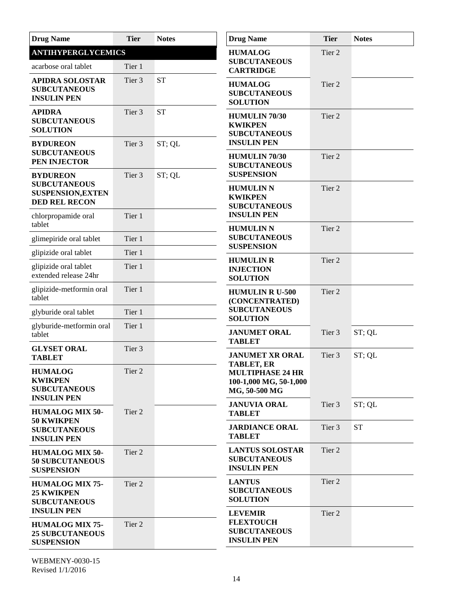| <b>Drug Name</b>                                                                           | <b>Tier</b> | <b>Notes</b> | <b>Drug Name</b>                                                                | <b>Tier</b>       | <b>Notes</b> |
|--------------------------------------------------------------------------------------------|-------------|--------------|---------------------------------------------------------------------------------|-------------------|--------------|
| <b>ANTIHYPERGLYCEMICS</b>                                                                  |             |              | <b>HUMALOG</b>                                                                  | Tier 2            |              |
| acarbose oral tablet                                                                       | Tier 1      |              | <b>SUBCUTANEOUS</b><br><b>CARTRIDGE</b>                                         |                   |              |
| <b>APIDRA SOLOSTAR</b><br><b>SUBCUTANEOUS</b><br><b>INSULIN PEN</b>                        | Tier 3      | <b>ST</b>    | <b>HUMALOG</b><br><b>SUBCUTANEOUS</b><br><b>SOLUTION</b>                        | Tier 2            |              |
| <b>APIDRA</b><br><b>SUBCUTANEOUS</b><br><b>SOLUTION</b>                                    | Tier 3      | <b>ST</b>    | <b>HUMULIN 70/30</b><br><b>KWIKPEN</b><br><b>SUBCUTANEOUS</b>                   | Tier 2            |              |
| <b>BYDUREON</b><br><b>SUBCUTANEOUS</b><br>PEN INJECTOR                                     | Tier 3      | ST; QL       | <b>INSULIN PEN</b><br><b>HUMULIN 70/30</b><br><b>SUBCUTANEOUS</b>               | Tier 2            |              |
| <b>BYDUREON</b><br><b>SUBCUTANEOUS</b><br><b>SUSPENSION, EXTEN</b><br><b>DED REL RECON</b> | Tier 3      | ST; QL       | <b>SUSPENSION</b><br><b>HUMULIN N</b><br><b>KWIKPEN</b><br><b>SUBCUTANEOUS</b>  | Tier 2            |              |
| chlorpropamide oral<br>tablet                                                              | Tier 1      |              | <b>INSULIN PEN</b><br><b>HUMULIN N</b>                                          | Tier 2            |              |
| glimepiride oral tablet                                                                    | Tier 1      |              | <b>SUBCUTANEOUS</b>                                                             |                   |              |
| glipizide oral tablet                                                                      | Tier 1      |              | <b>SUSPENSION</b>                                                               |                   |              |
| glipizide oral tablet<br>extended release 24hr                                             | Tier 1      |              | <b>HUMULIN R</b><br><b>INJECTION</b><br><b>SOLUTION</b>                         | Tier 2            |              |
| glipizide-metformin oral<br>tablet                                                         | Tier 1      |              | <b>HUMULIN R U-500</b><br>(CONCENTRATED)                                        | Tier <sub>2</sub> |              |
| glyburide oral tablet                                                                      | Tier 1      |              | <b>SUBCUTANEOUS</b><br><b>SOLUTION</b>                                          |                   |              |
| glyburide-metformin oral<br>tablet                                                         | Tier 1      |              | <b>JANUMET ORAL</b><br><b>TABLET</b>                                            | Tier 3            | ST; QL       |
| <b>GLYSET ORAL</b><br><b>TABLET</b>                                                        | Tier 3      |              | <b>JANUMET XR ORAL</b><br><b>TABLET, ER</b>                                     | Tier <sub>3</sub> | ST; QL       |
| <b>HUMALOG</b><br><b>KWIKPEN</b><br><b>SUBCUTANEOUS</b><br><b>INSULIN PEN</b>              | Tier 2      |              | <b>MULTIPHASE 24 HR</b><br>100-1,000 MG, 50-1,000<br>MG, 50-500 MG              |                   |              |
| <b>HUMALOG MIX 50-</b>                                                                     | Tier 2      |              | <b>JANUVIA ORAL</b><br><b>TABLET</b>                                            | Tier 3            | ST; QL       |
| <b>50 KWIKPEN</b><br><b>SUBCUTANEOUS</b><br><b>INSULIN PEN</b>                             |             |              | <b>JARDIANCE ORAL</b><br><b>TABLET</b>                                          | Tier 3            | <b>ST</b>    |
| <b>HUMALOG MIX 50-</b><br><b>50 SUBCUTANEOUS</b><br><b>SUSPENSION</b>                      | Tier 2      |              | <b>LANTUS SOLOSTAR</b><br><b>SUBCUTANEOUS</b><br><b>INSULIN PEN</b>             | Tier 2            |              |
| <b>HUMALOG MIX 75-</b><br><b>25 KWIKPEN</b><br><b>SUBCUTANEOUS</b><br><b>INSULIN PEN</b>   | Tier 2      |              | <b>LANTUS</b><br><b>SUBCUTANEOUS</b><br><b>SOLUTION</b>                         | Tier 2            |              |
| <b>HUMALOG MIX 75-</b><br><b>25 SUBCUTANEOUS</b><br><b>SUSPENSION</b>                      | Tier 2      |              | <b>LEVEMIR</b><br><b>FLEXTOUCH</b><br><b>SUBCUTANEOUS</b><br><b>INSULIN PEN</b> | Tier 2            |              |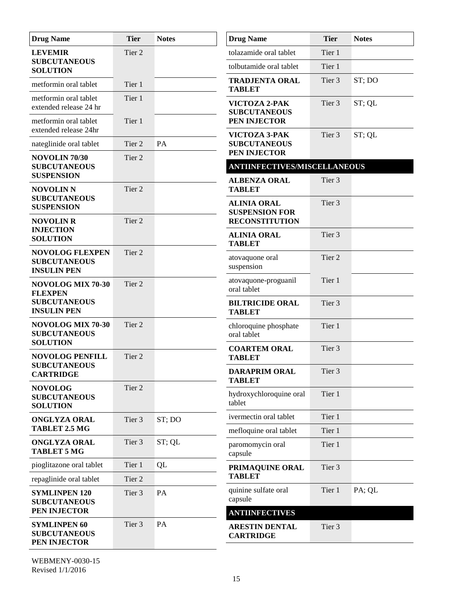| <b>Drug Name</b>                                                    | <b>Tier</b>       | <b>Notes</b> | <b>Drug Name</b>                                                   | <b>Tier</b>       | <b>Notes</b> |
|---------------------------------------------------------------------|-------------------|--------------|--------------------------------------------------------------------|-------------------|--------------|
| <b>LEVEMIR</b>                                                      | Tier <sub>2</sub> |              | tolazamide oral tablet                                             | Tier 1            |              |
| <b>SUBCUTANEOUS</b><br><b>SOLUTION</b>                              |                   |              | tolbutamide oral tablet                                            | Tier 1            |              |
| metformin oral tablet                                               | Tier 1            |              | <b>TRADJENTA ORAL</b><br><b>TABLET</b>                             | Tier <sub>3</sub> | ST; DO       |
| metformin oral tablet<br>extended release 24 hr                     | Tier 1            |              | VICTOZA 2-PAK<br><b>SUBCUTANEOUS</b>                               | Tier 3            | ST; QL       |
| metformin oral tablet<br>extended release 24hr                      | Tier 1            |              | PEN INJECTOR                                                       |                   |              |
| nateglinide oral tablet                                             | Tier 2            | PA           | VICTOZA 3-PAK<br><b>SUBCUTANEOUS</b>                               | Tier 3            | ST; QL       |
| NOVOLIN 70/30                                                       | Tier 2            |              | PEN INJECTOR                                                       |                   |              |
| <b>SUBCUTANEOUS</b><br><b>SUSPENSION</b>                            |                   |              | <b>ANTIINFECTIVES/MISCELLANEOUS</b>                                |                   |              |
| <b>NOVOLIN N</b>                                                    | Tier 2            |              | <b>ALBENZA ORAL</b><br><b>TABLET</b>                               | Tier 3            |              |
| <b>SUBCUTANEOUS</b><br><b>SUSPENSION</b>                            | Tier 2            |              | <b>ALINIA ORAL</b><br><b>SUSPENSION FOR</b>                        | Tier <sub>3</sub> |              |
| <b>NOVOLIN R</b><br><b>INJECTION</b>                                |                   |              | <b>RECONSTITUTION</b><br><b>ALINIA ORAL</b>                        | Tier <sub>3</sub> |              |
| <b>SOLUTION</b>                                                     |                   |              | <b>TABLET</b>                                                      |                   |              |
| <b>NOVOLOG FLEXPEN</b><br><b>SUBCUTANEOUS</b><br><b>INSULIN PEN</b> | Tier 2            |              | atovaquone oral<br>suspension                                      | Tier <sub>2</sub> |              |
| NOVOLOG MIX 70-30<br><b>FLEXPEN</b>                                 | Tier 2            |              | atovaquone-proguanil<br>oral tablet                                | Tier 1            |              |
| <b>SUBCUTANEOUS</b><br><b>INSULIN PEN</b>                           |                   |              | <b>BILTRICIDE ORAL</b><br><b>TABLET</b>                            | Tier <sub>3</sub> |              |
| NOVOLOG MIX 70-30<br><b>SUBCUTANEOUS</b>                            | Tier <sub>2</sub> |              | chloroquine phosphate<br>oral tablet                               | Tier 1            |              |
| <b>SOLUTION</b><br>NOVOLOG PENFILL                                  | Tier 2            |              | <b>COARTEM ORAL</b><br><b>TABLET</b>                               | Tier 3            |              |
| <b>SUBCUTANEOUS</b><br><b>CARTRIDGE</b>                             |                   |              | <b>DARAPRIM ORAL</b><br>TABLET                                     | Tier 3            |              |
| <b>NOVOLOG</b><br><b>SUBCUTANEOUS</b><br><b>SOLUTION</b>            | Tier 2            |              | hydroxychloroquine oral<br>tablet                                  | Tier 1            |              |
| <b>ONGLYZA ORAL</b>                                                 | Tier 3            | ST; DO       | ivermectin oral tablet                                             | Tier 1            |              |
| TABLET 2.5 MG                                                       |                   |              | mefloquine oral tablet                                             | Tier 1            |              |
| <b>ONGLYZA ORAL</b><br><b>TABLET 5 MG</b>                           | Tier 3            | ST; QL       | paromomycin oral<br>capsule                                        | Tier 1            |              |
| pioglitazone oral tablet                                            | Tier 1            | QL           | PRIMAQUINE ORAL                                                    | Tier 3            |              |
| repaglinide oral tablet                                             | Tier 2            |              | <b>TABLET</b>                                                      |                   |              |
| <b>SYMLINPEN 120</b><br><b>SUBCUTANEOUS</b><br>PEN INJECTOR         | Tier 3            | PA           | quinine sulfate oral<br>capsule                                    | Tier 1            | PA; QL       |
| <b>SYMLINPEN 60</b><br><b>SUBCUTANEOUS</b><br>PEN INJECTOR          | Tier 3            | PA           | <b>ANTIINFECTIVES</b><br><b>ARESTIN DENTAL</b><br><b>CARTRIDGE</b> | Tier 3            |              |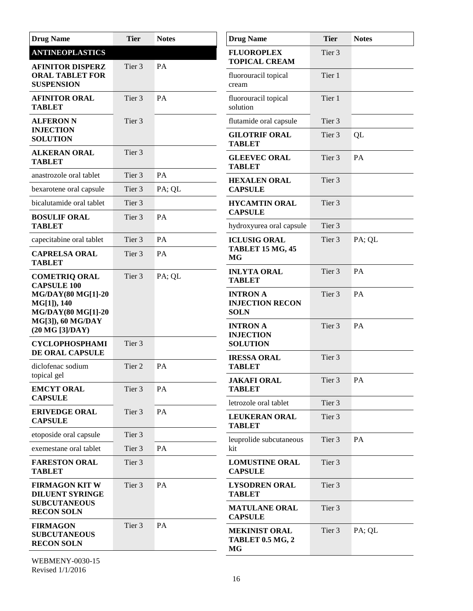| <b>Drug Name</b>                                                               | <b>Tier</b>      | <b>Notes</b> | <b>Drug Name</b>                                         | <b>Tier</b>       | <b>Notes</b> |
|--------------------------------------------------------------------------------|------------------|--------------|----------------------------------------------------------|-------------------|--------------|
| <b>ANTINEOPLASTICS</b><br><b>AFINITOR DISPERZ</b>                              | Tier 3           | PA           | <b>FLUOROPLEX</b><br><b>TOPICAL CREAM</b>                | Tier <sub>3</sub> |              |
| <b>ORAL TABLET FOR</b><br><b>SUSPENSION</b>                                    |                  |              | fluorouracil topical<br>cream                            | Tier 1            |              |
| <b>AFINITOR ORAL</b><br><b>TABLET</b>                                          | Tier 3           | PA           | fluorouracil topical<br>solution                         | Tier 1            |              |
| <b>ALFERON N</b>                                                               | Tier 3           |              | flutamide oral capsule                                   | Tier <sub>3</sub> |              |
| <b>INJECTION</b><br><b>SOLUTION</b>                                            |                  |              | <b>GILOTRIF ORAL</b><br><b>TABLET</b>                    | Tier 3            | QL           |
| <b>ALKERAN ORAL</b><br><b>TABLET</b>                                           | Tier 3           |              | <b>GLEEVEC ORAL</b><br><b>TABLET</b>                     | Tier 3            | PA           |
| anastrozole oral tablet                                                        | Tier 3           | PA           | <b>HEXALEN ORAL</b>                                      | Tier 3            |              |
| bexarotene oral capsule                                                        | Tier 3           | PA; QL       | <b>CAPSULE</b>                                           |                   |              |
| bicalutamide oral tablet<br><b>BOSULIF ORAL</b>                                | Tier 3<br>Tier 3 | PA           | <b>HYCAMTIN ORAL</b><br><b>CAPSULE</b>                   | Tier 3            |              |
| <b>TABLET</b>                                                                  |                  |              | hydroxyurea oral capsule                                 | Tier 3            |              |
| capecitabine oral tablet                                                       | Tier 3           | PA           | <b>ICLUSIG ORAL</b>                                      | Tier 3            | PA; QL       |
| <b>CAPRELSA ORAL</b><br><b>TABLET</b>                                          | Tier 3           | PA           | <b>TABLET 15 MG, 45</b><br><b>MG</b>                     |                   |              |
| Tier 3<br><b>COMETRIQ ORAL</b><br><b>CAPSULE 100</b>                           |                  | PA; QL       | <b>INLYTA ORAL</b><br><b>TABLET</b>                      | Tier 3            | PA           |
| <b>MG/DAY(80 MG[1]-20</b><br>MG[1]), 140<br><b>MG/DAY(80 MG[1]-20</b>          |                  |              | <b>INTRON A</b><br><b>INJECTION RECON</b><br><b>SOLN</b> | Tier 3            | PA           |
| MG[3]), 60 MG/DAY<br>$(20 \text{ MG} [3]/\text{DAY})$<br><b>CYCLOPHOSPHAMI</b> | Tier 3           |              | <b>INTRON A</b><br><b>INJECTION</b><br><b>SOLUTION</b>   | Tier 3            | PA           |
| DE ORAL CAPSULE                                                                |                  |              | <b>IRESSA ORAL</b>                                       | Tier 3            |              |
| diclofenac sodium<br>topical gel                                               | Tier 2           | PA           | <b>TABLET</b>                                            |                   |              |
| <b>EMCYT ORAL</b><br><b>CAPSULE</b>                                            | Tier 3           | PA           | <b>JAKAFI ORAL</b><br><b>TABLET</b>                      | Tier 3            | PA           |
|                                                                                | Tier 3           | PA           | letrozole oral tablet                                    | Tier 3            |              |
| <b>ERIVEDGE ORAL</b><br><b>CAPSULE</b>                                         |                  |              | <b>LEUKERAN ORAL</b><br><b>TABLET</b>                    | Tier 3            |              |
| etoposide oral capsule                                                         | Tier 3           |              | leuprolide subcutaneous                                  | Tier 3            | PA           |
| exemestane oral tablet                                                         | Tier 3           | PA           | kit                                                      |                   |              |
| <b>FARESTON ORAL</b><br><b>TABLET</b>                                          | Tier 3           |              | <b>LOMUSTINE ORAL</b><br><b>CAPSULE</b>                  | Tier 3            |              |
| <b>FIRMAGON KIT W</b><br><b>DILUENT SYRINGE</b>                                | Tier 3           | PA           | <b>LYSODREN ORAL</b><br><b>TABLET</b>                    | Tier 3            |              |
| <b>SUBCUTANEOUS</b><br><b>RECON SOLN</b>                                       |                  |              | <b>MATULANE ORAL</b><br><b>CAPSULE</b>                   | Tier 3            |              |
| <b>FIRMAGON</b><br><b>SUBCUTANEOUS</b><br><b>RECON SOLN</b>                    | Tier 3           | PA           | <b>MEKINIST ORAL</b><br>TABLET 0.5 MG, 2<br>MG           | Tier 3            | PA; QL       |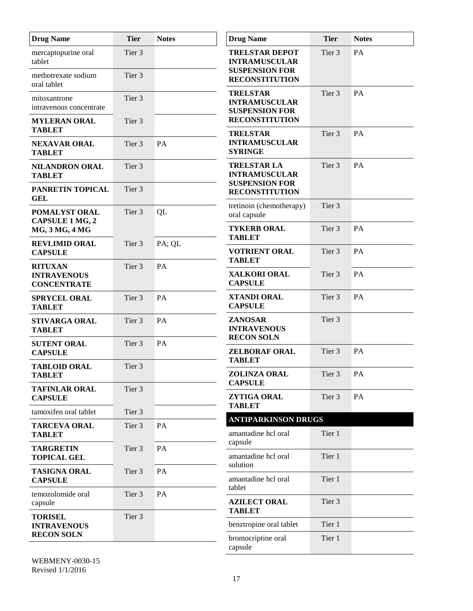| <b>Drug Name</b>                                           | <b>Tier</b>       | <b>Notes</b> | <b>Drug Name</b>                                                       | <b>Tier</b>       | <b>Notes</b> |
|------------------------------------------------------------|-------------------|--------------|------------------------------------------------------------------------|-------------------|--------------|
| mercaptopurine oral<br>tablet                              | Tier 3            |              | <b>TRELSTAR DEPOT</b><br><b>INTRAMUSCULAR</b><br><b>SUSPENSION FOR</b> | Tier 3            | PA           |
| methotrexate sodium<br>oral tablet                         | Tier <sub>3</sub> |              | <b>RECONSTITUTION</b>                                                  |                   |              |
| mitoxantrone<br>intravenous concentrate                    | Tier 3            |              | <b>TRELSTAR</b><br><b>INTRAMUSCULAR</b><br><b>SUSPENSION FOR</b>       | Tier 3            | PA           |
| <b>MYLERAN ORAL</b><br><b>TABLET</b>                       | Tier 3            |              | <b>RECONSTITUTION</b><br><b>TRELSTAR</b>                               | Tier 3            | PA           |
| <b>NEXAVAR ORAL</b><br><b>TABLET</b>                       | Tier 3            | PA           | <b>INTRAMUSCULAR</b><br><b>SYRINGE</b>                                 |                   |              |
| <b>NILANDRON ORAL</b><br><b>TABLET</b>                     | Tier 3            |              | <b>TRELSTAR LA</b><br><b>INTRAMUSCULAR</b><br><b>SUSPENSION FOR</b>    | Tier <sub>3</sub> | PA           |
| PANRETIN TOPICAL<br><b>GEL</b>                             | Tier 3            |              | <b>RECONSTITUTION</b>                                                  |                   |              |
| POMALYST ORAL<br><b>CAPSULE 1 MG, 2</b>                    | Tier 3            | QL           | tretinoin (chemotherapy)<br>oral capsule                               | Tier 3            |              |
| <b>MG, 3 MG, 4 MG</b>                                      |                   |              | <b>TYKERB ORAL</b><br><b>TABLET</b>                                    | Tier 3            | PA           |
| <b>REVLIMID ORAL</b><br><b>CAPSULE</b>                     | Tier 3            | PA; QL       | <b>VOTRIENT ORAL</b><br><b>TABLET</b>                                  | Tier 3            | PA           |
| <b>RITUXAN</b><br><b>INTRAVENOUS</b><br><b>CONCENTRATE</b> | Tier 3            | PA           | <b>XALKORI ORAL</b><br><b>CAPSULE</b>                                  | Tier 3            | PA           |
| <b>SPRYCEL ORAL</b><br><b>TABLET</b>                       | Tier 3            | PA           | <b>XTANDI ORAL</b><br><b>CAPSULE</b>                                   | Tier 3            | PA           |
| <b>STIVARGA ORAL</b><br><b>TABLET</b>                      | Tier 3            | PA           | ZANOSAR<br><b>INTRAVENOUS</b><br><b>RECON SOLN</b>                     | Tier 3            |              |
| <b>SUTENT ORAL</b><br><b>CAPSULE</b>                       | Tier 3            | PA           | <b>ZELBORAF ORAL</b><br><b>TABLET</b>                                  | Tier 3            | PA           |
| <b>TABLOID ORAL</b><br><b>TABLET</b>                       | Tier 3            |              | <b>ZOLINZA ORAL</b><br><b>CAPSULE</b>                                  | Tier <sub>3</sub> | PA           |
| <b>TAFINLAR ORAL</b><br><b>CAPSULE</b>                     | Tier 3            |              | ZYTIGA ORAL<br><b>TABLET</b>                                           | Tier 3            | PA           |
| tamoxifen oral tablet                                      | Tier 3            |              | <b>ANTIPARKINSON DRUGS</b>                                             |                   |              |
| <b>TARCEVA ORAL</b><br><b>TABLET</b>                       | Tier 3            | PA           | amantadine hcl oral<br>capsule                                         | Tier 1            |              |
| <b>TARGRETIN</b><br><b>TOPICAL GEL</b>                     | Tier 3            | PA           | amantadine hcl oral                                                    | Tier 1            |              |
| <b>TASIGNA ORAL</b><br><b>CAPSULE</b>                      | Tier 3            | PA           | solution<br>amantadine hcl oral<br>tablet                              | Tier 1            |              |
| temozolomide oral<br>capsule                               | Tier 3            | PA           | <b>AZILECT ORAL</b><br><b>TABLET</b>                                   | Tier 3            |              |
| <b>TORISEL</b><br><b>INTRAVENOUS</b>                       | Tier 3            |              | benztropine oral tablet                                                | Tier 1            |              |
| <b>RECON SOLN</b>                                          |                   |              | bromocriptine oral<br>capsule                                          | Tier 1            |              |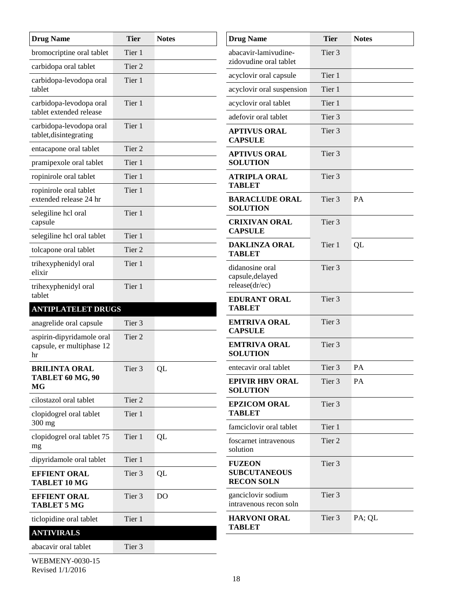| <b>Drug Name</b>                                   | <b>Tier</b>       | <b>Notes</b> | <b>Drug Name</b>                              | <b>Tier</b>       | <b>Notes</b> |
|----------------------------------------------------|-------------------|--------------|-----------------------------------------------|-------------------|--------------|
| bromocriptine oral tablet                          | Tier 1            |              | abacavir-lamivudine-                          | Tier 3            |              |
| carbidopa oral tablet                              | Tier 2            |              | zidovudine oral tablet                        |                   |              |
| carbidopa-levodopa oral<br>tablet                  | Tier 1            |              | acyclovir oral capsule                        | Tier 1<br>Tier 1  |              |
|                                                    | Tier 1            |              | acyclovir oral suspension                     | Tier 1            |              |
| carbidopa-levodopa oral<br>tablet extended release |                   |              | acyclovir oral tablet<br>adefovir oral tablet | Tier 3            |              |
| carbidopa-levodopa oral<br>tablet, disintegrating  | Tier 1            |              | <b>APTIVUS ORAL</b><br><b>CAPSULE</b>         | Tier <sub>3</sub> |              |
| entacapone oral tablet                             | Tier 2            |              | <b>APTIVUS ORAL</b>                           | Tier 3            |              |
| pramipexole oral tablet                            | Tier 1            |              | <b>SOLUTION</b>                               |                   |              |
| ropinirole oral tablet                             | Tier 1            |              | <b>ATRIPLA ORAL</b>                           | Tier <sub>3</sub> |              |
| ropinirole oral tablet<br>extended release 24 hr   | Tier 1            |              | <b>TABLET</b><br><b>BARACLUDE ORAL</b>        | Tier <sub>3</sub> | PA           |
| selegiline hcl oral<br>capsule                     | Tier 1            |              | <b>SOLUTION</b><br><b>CRIXIVAN ORAL</b>       | Tier 3            |              |
| selegiline hcl oral tablet                         | Tier 1            |              | <b>CAPSULE</b>                                |                   |              |
| tolcapone oral tablet                              | Tier <sub>2</sub> |              | <b>DAKLINZA ORAL</b><br><b>TABLET</b>         | Tier 1            | QL           |
| trihexyphenidyl oral<br>elixir                     | Tier 1            |              | didanosine oral<br>capsule, delayed           | Tier 3            |              |
| trihexyphenidyl oral                               | Tier 1            |              | release(dr/ec)                                |                   |              |
| tablet<br><b>ANTIPLATELET DRUGS</b>                |                   |              | <b>EDURANT ORAL</b><br><b>TABLET</b>          | Tier 3            |              |
| anagrelide oral capsule                            | Tier 3            |              | <b>EMTRIVA ORAL</b>                           | Tier 3            |              |
| aspirin-dipyridamole oral                          | Tier 2            |              | <b>CAPSULE</b>                                |                   |              |
| capsule, er multiphase 12<br>hr                    |                   |              | <b>EMTRIVA ORAL</b><br><b>SOLUTION</b>        | Tier 3            |              |
| <b>BRILINTA ORAL</b>                               | Tier 3            | QL           | entecavir oral tablet                         | Tier 3            | PA           |
| TABLET 60 MG, 90<br>MG                             |                   |              | <b>EPIVIR HBV ORAL</b><br><b>SOLUTION</b>     | Tier 3            | PA           |
| cilostazol oral tablet                             | Tier 2            |              | <b>EPZICOM ORAL</b>                           | Tier 3            |              |
| clopidogrel oral tablet<br>300 mg                  | Tier 1            |              | <b>TABLET</b><br>famciclovir oral tablet      | Tier 1            |              |
| clopidogrel oral tablet 75<br>mg                   | Tier 1            | QL           | foscarnet intravenous<br>solution             | Tier 2            |              |
| dipyridamole oral tablet                           | Tier 1            |              | <b>FUZEON</b>                                 | Tier 3            |              |
| <b>EFFIENT ORAL</b><br><b>TABLET 10 MG</b>         | Tier 3            | QL           | <b>SUBCUTANEOUS</b><br><b>RECON SOLN</b>      |                   |              |
| <b>EFFIENT ORAL</b><br><b>TABLET 5 MG</b>          | Tier 3            | <b>DO</b>    | ganciclovir sodium<br>intravenous recon soln  | Tier 3            |              |
| ticlopidine oral tablet                            | Tier 1            |              | <b>HARVONI ORAL</b>                           | Tier 3            | PA; QL       |
| <b>ANTIVIRALS</b>                                  |                   |              | <b>TABLET</b>                                 |                   |              |
| abacavir oral tablet                               | Tier 3            |              |                                               |                   |              |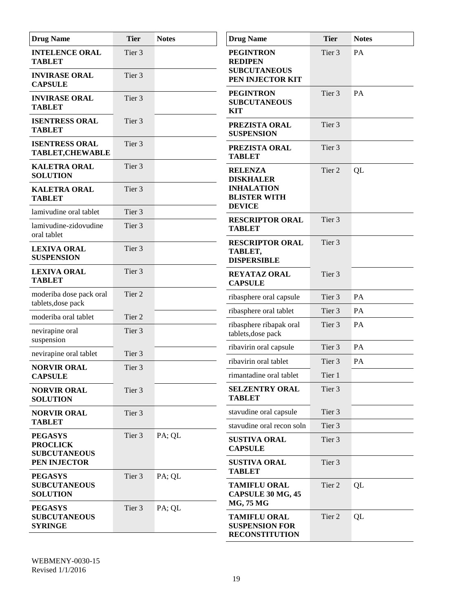| <b>Drug Name</b>                                         | <b>Tier</b>       | <b>Notes</b> | <b>Drug Name</b>                                                      | <b>Tier</b>       | <b>Notes</b> |
|----------------------------------------------------------|-------------------|--------------|-----------------------------------------------------------------------|-------------------|--------------|
| <b>INTELENCE ORAL</b><br><b>TABLET</b>                   | Tier 3            |              | <b>PEGINTRON</b><br><b>REDIPEN</b>                                    | Tier <sub>3</sub> | PA           |
| <b>INVIRASE ORAL</b><br><b>CAPSULE</b>                   | Tier 3            |              | <b>SUBCUTANEOUS</b><br>PEN INJECTOR KIT                               |                   |              |
| <b>INVIRASE ORAL</b><br><b>TABLET</b>                    | Tier 3            |              | <b>PEGINTRON</b><br><b>SUBCUTANEOUS</b><br><b>KIT</b>                 | Tier 3            | PA           |
| <b>ISENTRESS ORAL</b><br><b>TABLET</b>                   | Tier <sub>3</sub> |              | PREZISTA ORAL<br><b>SUSPENSION</b>                                    | Tier <sub>3</sub> |              |
| <b>ISENTRESS ORAL</b><br><b>TABLET, CHEWABLE</b>         | Tier 3            |              | PREZISTA ORAL<br><b>TABLET</b>                                        | Tier <sub>3</sub> |              |
| <b>KALETRA ORAL</b><br><b>SOLUTION</b>                   | Tier 3            |              | <b>RELENZA</b><br><b>DISKHALER</b>                                    | Tier 2            | QL           |
| <b>KALETRA ORAL</b><br><b>TABLET</b>                     | Tier 3            |              | <b>INHALATION</b><br><b>BLISTER WITH</b><br><b>DEVICE</b>             |                   |              |
| lamivudine oral tablet                                   | Tier 3            |              | <b>RESCRIPTOR ORAL</b>                                                | Tier <sub>3</sub> |              |
| lamivudine-zidovudine<br>oral tablet                     | Tier 3            |              | <b>TABLET</b>                                                         |                   |              |
| <b>LEXIVA ORAL</b><br><b>SUSPENSION</b>                  | Tier 3            |              | <b>RESCRIPTOR ORAL</b><br>TABLET,<br><b>DISPERSIBLE</b>               | Tier 3            |              |
| <b>LEXIVA ORAL</b><br><b>TABLET</b>                      | Tier 3            |              | <b>REYATAZ ORAL</b><br><b>CAPSULE</b>                                 | Tier 3            |              |
| moderiba dose pack oral<br>tablets, dose pack            | Tier 2            |              | ribasphere oral capsule                                               | Tier 3            | PA           |
| moderiba oral tablet                                     | Tier 2            |              | ribasphere oral tablet                                                | Tier 3            | PA           |
| nevirapine oral<br>suspension                            | Tier <sub>3</sub> |              | ribasphere ribapak oral<br>tablets, dose pack                         | Tier 3            | PA           |
| nevirapine oral tablet                                   | Tier 3            |              | ribavirin oral capsule                                                | Tier 3            | PA           |
| <b>NORVIR ORAL</b>                                       | Tier 3            |              | ribavirin oral tablet                                                 | Tier 3            | PA           |
| <b>CAPSULE</b>                                           |                   |              | rimantadine oral tablet                                               | Tier 1            |              |
| <b>NORVIR ORAL</b><br><b>SOLUTION</b>                    | Tier 3            |              | <b>SELZENTRY ORAL</b><br><b>TABLET</b>                                | Tier 3            |              |
| <b>NORVIR ORAL</b>                                       | Tier 3            |              | stavudine oral capsule                                                | Tier 3            |              |
| <b>TABLET</b>                                            |                   |              | stavudine oral recon soln                                             | Tier 3            |              |
| <b>PEGASYS</b><br><b>PROCLICK</b><br><b>SUBCUTANEOUS</b> | Tier 3            | PA; QL       | <b>SUSTIVA ORAL</b><br><b>CAPSULE</b>                                 | Tier 3            |              |
| PEN INJECTOR                                             |                   |              | <b>SUSTIVA ORAL</b><br><b>TABLET</b>                                  | Tier 3            |              |
| <b>PEGASYS</b><br><b>SUBCUTANEOUS</b><br><b>SOLUTION</b> | Tier 3            | PA; QL       | <b>TAMIFLU ORAL</b><br>CAPSULE 30 MG, 45<br><b>MG, 75 MG</b>          | Tier 2            | QL           |
| <b>PEGASYS</b><br><b>SUBCUTANEOUS</b><br><b>SYRINGE</b>  | Tier 3            | PA; QL       | <b>TAMIFLU ORAL</b><br><b>SUSPENSION FOR</b><br><b>RECONSTITUTION</b> | Tier 2            | QL           |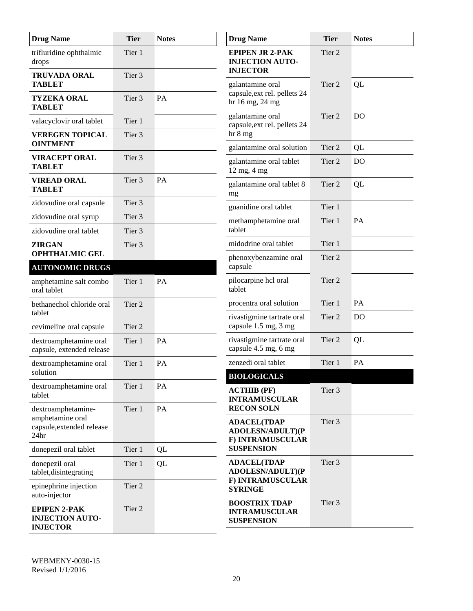| <b>Drug Name</b>                                                 | <b>Tier</b>       | <b>Notes</b> | <b>Drug Name</b>                                                    | <b>Tier</b>       | <b>Notes</b>   |
|------------------------------------------------------------------|-------------------|--------------|---------------------------------------------------------------------|-------------------|----------------|
| trifluridine ophthalmic<br>drops                                 | Tier 1            |              | <b>EPIPEN JR 2-PAK</b><br><b>INJECTION AUTO-</b><br><b>INJECTOR</b> | Tier <sub>2</sub> |                |
| <b>TRUVADA ORAL</b><br><b>TABLET</b>                             | Tier 3            |              | galantamine oral                                                    | Tier 2            | QL             |
| <b>TYZEKA ORAL</b><br><b>TABLET</b>                              | Tier 3            | PA           | capsule, ext rel. pellets 24<br>hr 16 mg, 24 mg                     |                   |                |
| valacyclovir oral tablet                                         | Tier 1            |              | galantamine oral<br>capsule, ext rel. pellets 24                    | Tier <sub>2</sub> | D <sub>O</sub> |
| <b>VEREGEN TOPICAL</b>                                           | Tier 3            |              | hr 8 mg                                                             |                   |                |
| <b>OINTMENT</b>                                                  |                   |              | galantamine oral solution                                           | Tier 2            | QL             |
| <b>VIRACEPT ORAL</b><br><b>TABLET</b>                            | Tier 3            |              | galantamine oral tablet<br>12 mg, 4 mg                              | Tier 2            | D <sub>O</sub> |
| <b>VIREAD ORAL</b><br><b>TABLET</b>                              | Tier 3            | PA           | galantamine oral tablet 8<br>mg                                     | Tier 2            | QL             |
| zidovudine oral capsule                                          | Tier <sub>3</sub> |              | guanidine oral tablet                                               | Tier 1            |                |
| zidovudine oral syrup                                            | Tier <sub>3</sub> |              | methamphetamine oral                                                | Tier 1            | PA             |
| zidovudine oral tablet                                           | Tier 3            |              | tablet                                                              |                   |                |
| <b>ZIRGAN</b><br><b>OPHTHALMIC GEL</b>                           | Tier 3            |              | midodrine oral tablet                                               | Tier 1            |                |
| <b>AUTONOMIC DRUGS</b>                                           |                   |              | phenoxybenzamine oral<br>capsule                                    | Tier 2            |                |
| amphetamine salt combo<br>oral tablet                            | Tier 1            | <b>PA</b>    | pilocarpine hcl oral<br>tablet                                      | Tier 2            |                |
| bethanechol chloride oral                                        | Tier 2            |              | procentra oral solution                                             | Tier 1            | PA             |
| tablet                                                           |                   |              | rivastigmine tartrate oral<br>capsule 1.5 mg, 3 mg                  | Tier 2            | D <sub>O</sub> |
| cevimeline oral capsule                                          | Tier 2            |              | rivastigmine tartrate oral                                          | Tier 2            | QL             |
| dextroamphetamine oral<br>capsule, extended release              | Tier 1            | PA           | capsule 4.5 mg, 6 mg                                                |                   |                |
| dextroamphetamine oral                                           | Tier 1            | PA           | zenzedi oral tablet                                                 | Tier 1            | PA             |
| solution                                                         |                   |              | <b>BIOLOGICALS</b>                                                  |                   |                |
| dextroamphetamine oral<br>tablet                                 | Tier 1            | PA           | <b>ACTHIB (PF)</b><br><b>INTRAMUSCULAR</b>                          | Tier 3            |                |
| dextroamphetamine-                                               | Tier 1            | PA           | <b>RECON SOLN</b>                                                   |                   |                |
| amphetamine oral<br>capsule, extended release<br>24hr            |                   |              | <b>ADACEL(TDAP</b><br><b>ADOLESN/ADULT)(P</b>                       | Tier 3            |                |
| donepezil oral tablet                                            | Tier 1            | QL           | F) INTRAMUSCULAR<br><b>SUSPENSION</b>                               |                   |                |
| donepezil oral                                                   | Tier 1            | QL           | <b>ADACEL(TDAP</b>                                                  | Tier 3            |                |
| tablet, disintegrating                                           |                   |              | <b>ADOLESN/ADULT)(P</b>                                             |                   |                |
| epinephrine injection<br>auto-injector                           | Tier 2            |              | F) INTRAMUSCULAR<br><b>SYRINGE</b>                                  |                   |                |
| <b>EPIPEN 2-PAK</b><br><b>INJECTION AUTO-</b><br><b>INJECTOR</b> | Tier 2            |              | <b>BOOSTRIX TDAP</b><br><b>INTRAMUSCULAR</b><br><b>SUSPENSION</b>   | Tier 3            |                |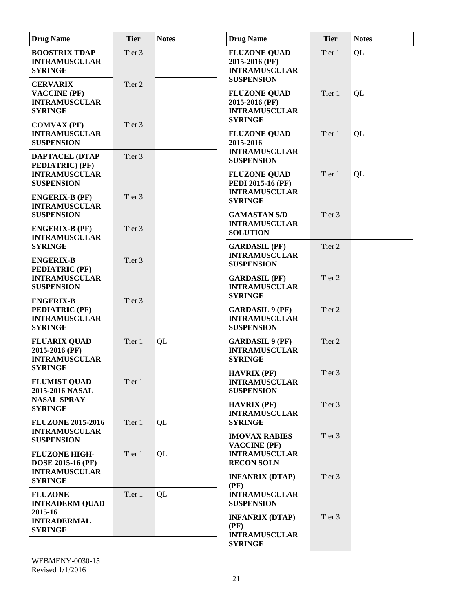| <b>Drug Name</b>                                                                      | <b>Tier</b> | <b>Notes</b> | <b>Drug Name</b>                                                                             | <b>Tier</b>       | <b>Notes</b> |
|---------------------------------------------------------------------------------------|-------------|--------------|----------------------------------------------------------------------------------------------|-------------------|--------------|
| <b>BOOSTRIX TDAP</b><br><b>INTRAMUSCULAR</b><br><b>SYRINGE</b>                        | Tier 3      |              | <b>FLUZONE QUAD</b><br>2015-2016 (PF)<br><b>INTRAMUSCULAR</b><br><b>SUSPENSION</b>           | Tier 1            | QL           |
| <b>CERVARIX</b><br><b>VACCINE (PF)</b><br><b>INTRAMUSCULAR</b><br><b>SYRINGE</b>      | Tier 2      |              | <b>FLUZONE QUAD</b><br>2015-2016 (PF)<br><b>INTRAMUSCULAR</b><br><b>SYRINGE</b>              | Tier 1            | QL           |
| <b>COMVAX (PF)</b><br><b>INTRAMUSCULAR</b><br><b>SUSPENSION</b>                       | Tier 3      |              | <b>FLUZONE QUAD</b><br>2015-2016                                                             | Tier 1            | QL           |
| <b>DAPTACEL (DTAP</b><br>PEDIATRIC) (PF)<br><b>INTRAMUSCULAR</b><br><b>SUSPENSION</b> | Tier 3      |              | <b>INTRAMUSCULAR</b><br><b>SUSPENSION</b><br><b>FLUZONE QUAD</b><br><b>PEDI 2015-16 (PF)</b> | Tier 1            | QL           |
| <b>ENGERIX-B (PF)</b><br><b>INTRAMUSCULAR</b>                                         | Tier 3      |              | <b>INTRAMUSCULAR</b><br><b>SYRINGE</b>                                                       |                   |              |
| <b>SUSPENSION</b><br><b>ENGERIX-B (PF)</b><br><b>INTRAMUSCULAR</b>                    | Tier 3      |              | <b>GAMASTAN S/D</b><br><b>INTRAMUSCULAR</b><br><b>SOLUTION</b>                               | Tier 3            |              |
| <b>SYRINGE</b><br><b>ENGERIX-B</b>                                                    | Tier 3      |              | <b>GARDASIL (PF)</b><br><b>INTRAMUSCULAR</b><br><b>SUSPENSION</b>                            | Tier <sub>2</sub> |              |
| <b>PEDIATRIC (PF)</b><br><b>INTRAMUSCULAR</b><br><b>SUSPENSION</b>                    |             |              | <b>GARDASIL (PF)</b><br><b>INTRAMUSCULAR</b><br><b>SYRINGE</b>                               | Tier 2            |              |
| <b>ENGERIX-B</b><br><b>PEDIATRIC (PF)</b><br><b>INTRAMUSCULAR</b><br><b>SYRINGE</b>   | Tier 3      |              | <b>GARDASIL 9 (PF)</b><br><b>INTRAMUSCULAR</b><br><b>SUSPENSION</b>                          | Tier 2            |              |
| <b>FLUARIX QUAD</b><br>2015-2016 (PF)<br><b>INTRAMUSCULAR</b><br><b>SYRINGE</b>       | Tier 1      | QL           | <b>GARDASIL 9 (PF)</b><br><b>INTRAMUSCULAR</b><br><b>SYRINGE</b>                             | Tier <sub>2</sub> |              |
| <b>FLUMIST QUAD</b><br>2015-2016 NASAL                                                | Tier 1      |              | <b>HAVRIX (PF)</b><br><b>INTRAMUSCULAR</b><br><b>SUSPENSION</b>                              | Tier <sub>3</sub> |              |
| <b>NASAL SPRAY</b><br><b>SYRINGE</b><br><b>FLUZONE 2015-2016</b>                      | Tier 1      | QL           | <b>HAVRIX (PF)</b><br><b>INTRAMUSCULAR</b><br><b>SYRINGE</b>                                 | Tier 3            |              |
| <b>INTRAMUSCULAR</b><br><b>SUSPENSION</b>                                             |             |              | <b>IMOVAX RABIES</b><br><b>VACCINE (PF)</b>                                                  | Tier 3            |              |
| <b>FLUZONE HIGH-</b><br><b>DOSE 2015-16 (PF)</b><br><b>INTRAMUSCULAR</b>              | Tier 1      | QL           | <b>INTRAMUSCULAR</b><br><b>RECON SOLN</b>                                                    |                   |              |
| <b>SYRINGE</b><br><b>FLUZONE</b>                                                      | Tier 1      | QL           | <b>INFANRIX (DTAP)</b><br>(PF)<br><b>INTRAMUSCULAR</b>                                       | Tier 3            |              |
| <b>INTRADERM QUAD</b><br>2015-16<br><b>INTRADERMAL</b><br><b>SYRINGE</b>              |             |              | <b>SUSPENSION</b><br><b>INFANRIX (DTAP)</b><br>(PF)<br><b>INTRAMUSCULAR</b>                  | Tier 3            |              |
|                                                                                       |             |              | <b>SYRINGE</b>                                                                               |                   |              |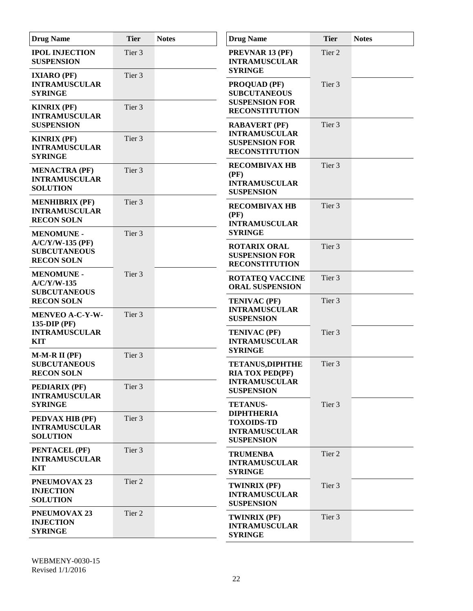| <b>Drug Name</b>                                                                    | <b>Tier</b>       | <b>Notes</b> | <b>Drug Name</b>                                                                        | <b>Tier</b>       | <b>Notes</b> |
|-------------------------------------------------------------------------------------|-------------------|--------------|-----------------------------------------------------------------------------------------|-------------------|--------------|
| <b>IPOL INJECTION</b><br><b>SUSPENSION</b>                                          | Tier 3            |              | PREVNAR 13 (PF)<br><b>INTRAMUSCULAR</b><br><b>SYRINGE</b>                               | Tier <sub>2</sub> |              |
| <b>IXIARO (PF)</b><br><b>INTRAMUSCULAR</b><br><b>SYRINGE</b>                        | Tier 3            |              | <b>PROQUAD (PF)</b><br><b>SUBCUTANEOUS</b><br><b>SUSPENSION FOR</b>                     | Tier <sub>3</sub> |              |
| <b>KINRIX (PF)</b><br><b>INTRAMUSCULAR</b><br><b>SUSPENSION</b>                     | Tier 3            |              | <b>RECONSTITUTION</b><br><b>RABAVERT (PF)</b>                                           | Tier 3            |              |
| <b>KINRIX (PF)</b><br><b>INTRAMUSCULAR</b><br><b>SYRINGE</b>                        | Tier <sub>3</sub> |              | <b>INTRAMUSCULAR</b><br><b>SUSPENSION FOR</b><br><b>RECONSTITUTION</b>                  |                   |              |
| <b>MENACTRA (PF)</b><br><b>INTRAMUSCULAR</b><br><b>SOLUTION</b>                     | Tier 3            |              | <b>RECOMBIVAX HB</b><br>(PF)<br><b>INTRAMUSCULAR</b><br><b>SUSPENSION</b>               | Tier <sub>3</sub> |              |
| <b>MENHIBRIX (PF)</b><br><b>INTRAMUSCULAR</b><br><b>RECON SOLN</b>                  | Tier 3            |              | <b>RECOMBIVAX HB</b><br>(PF)<br><b>INTRAMUSCULAR</b>                                    | Tier 3            |              |
| <b>MENOMUNE -</b><br>$A/C/Y/W-135$ (PF)<br><b>SUBCUTANEOUS</b><br><b>RECON SOLN</b> | Tier 3            |              | <b>SYRINGE</b><br><b>ROTARIX ORAL</b><br><b>SUSPENSION FOR</b><br><b>RECONSTITUTION</b> | Tier <sub>3</sub> |              |
| <b>MENOMUNE -</b><br>$A/C/Y/W-135$<br><b>SUBCUTANEOUS</b>                           | Tier <sub>3</sub> |              | <b>ROTATEQ VACCINE</b><br><b>ORAL SUSPENSION</b>                                        | Tier <sub>3</sub> |              |
| <b>RECON SOLN</b><br><b>MENVEO A-C-Y-W-</b>                                         | Tier 3            |              | <b>TENIVAC (PF)</b><br><b>INTRAMUSCULAR</b><br><b>SUSPENSION</b>                        | Tier 3            |              |
| 135-DIP (PF)<br><b>INTRAMUSCULAR</b><br><b>KIT</b>                                  |                   |              | <b>TENIVAC (PF)</b><br><b>INTRAMUSCULAR</b>                                             | Tier <sub>3</sub> |              |
| $M-M-R II (PF)$<br><b>SUBCUTANEOUS</b><br><b>RECON SOLN</b>                         | Tier 3            |              | <b>SYRINGE</b><br><b>TETANUS, DIPHTHE</b><br><b>RIA TOX PED(PF)</b>                     | Tier 3            |              |
| PEDIARIX (PF)<br><b>INTRAMUSCULAR</b><br><b>SYRINGE</b>                             | Tier 3            |              | <b>INTRAMUSCULAR</b><br><b>SUSPENSION</b><br><b>TETANUS-</b>                            | Tier 3            |              |
| PEDVAX HIB (PF)<br><b>INTRAMUSCULAR</b><br><b>SOLUTION</b>                          | Tier 3            |              | <b>DIPHTHERIA</b><br><b>TOXOIDS-TD</b><br><b>INTRAMUSCULAR</b><br><b>SUSPENSION</b>     |                   |              |
| PENTACEL (PF)<br><b>INTRAMUSCULAR</b><br><b>KIT</b>                                 | Tier 3            |              | <b>TRUMENBA</b><br><b>INTRAMUSCULAR</b><br><b>SYRINGE</b>                               | Tier 2            |              |
| <b>PNEUMOVAX 23</b><br><b>INJECTION</b><br><b>SOLUTION</b>                          | Tier 2            |              | TWINRIX (PF)<br><b>INTRAMUSCULAR</b><br><b>SUSPENSION</b>                               | Tier 3            |              |
| <b>PNEUMOVAX 23</b><br><b>INJECTION</b><br><b>SYRINGE</b>                           | Tier 2            |              | TWINRIX (PF)<br><b>INTRAMUSCULAR</b><br><b>SYRINGE</b>                                  | Tier 3            |              |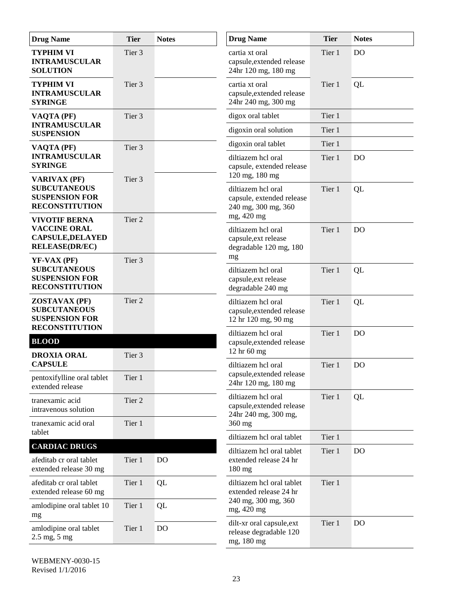| <b>Drug Name</b>                                                                                | <b>Tier</b> | <b>Notes</b>   | <b>Drug Name</b>                                                                     | <b>Tier</b> | <b>Notes</b>   |
|-------------------------------------------------------------------------------------------------|-------------|----------------|--------------------------------------------------------------------------------------|-------------|----------------|
| <b>TYPHIM VI</b><br><b>INTRAMUSCULAR</b><br><b>SOLUTION</b>                                     | Tier 3      |                | cartia xt oral<br>capsule, extended release<br>24hr 120 mg, 180 mg                   | Tier 1      | D <sub>O</sub> |
| <b>TYPHIM VI</b><br><b>INTRAMUSCULAR</b><br><b>SYRINGE</b>                                      | Tier 3      |                | cartia xt oral<br>capsule, extended release<br>24hr 240 mg, 300 mg                   | Tier 1      | QL             |
| VAQTA (PF)                                                                                      | Tier 3      |                | digox oral tablet                                                                    | Tier 1      |                |
| <b>INTRAMUSCULAR</b><br><b>SUSPENSION</b>                                                       |             |                | digoxin oral solution                                                                | Tier 1      |                |
| VAQTA (PF)                                                                                      | Tier 3      |                | digoxin oral tablet                                                                  | Tier 1      |                |
| <b>INTRAMUSCULAR</b><br><b>SYRINGE</b>                                                          |             |                | diltiazem hcl oral<br>capsule, extended release<br>120 mg, 180 mg                    | Tier 1      | <b>DO</b>      |
| <b>VARIVAX (PF)</b><br><b>SUBCUTANEOUS</b><br><b>SUSPENSION FOR</b><br><b>RECONSTITUTION</b>    | Tier 3      |                | diltiazem hcl oral<br>capsule, extended release<br>240 mg, 300 mg, 360<br>mg, 420 mg | Tier 1      | QL             |
| <b>VIVOTIF BERNA</b><br><b>VACCINE ORAL</b><br><b>CAPSULE, DELAYED</b><br><b>RELEASE(DR/EC)</b> | Tier 2      |                | diltiazem hcl oral<br>capsule, ext release<br>degradable 120 mg, 180                 | Tier 1      | D <sub>O</sub> |
| $YF-VAX(PF)$<br><b>SUBCUTANEOUS</b><br><b>SUSPENSION FOR</b><br><b>RECONSTITUTION</b>           | Tier 3      |                | mg<br>diltiazem hcl oral<br>capsule, ext release<br>degradable 240 mg                | Tier 1      | QL             |
| <b>ZOSTAVAX (PF)</b><br><b>SUBCUTANEOUS</b><br><b>SUSPENSION FOR</b><br><b>RECONSTITUTION</b>   | Tier 2      |                | diltiazem hcl oral<br>capsule, extended release<br>12 hr 120 mg, 90 mg               | Tier 1      | QL             |
| <b>BLOOD</b>                                                                                    |             |                | diltiazem hcl oral<br>capsule, extended release                                      | Tier 1      | <b>DO</b>      |
| <b>DROXIA ORAL</b>                                                                              | Tier 3      |                | 12 hr 60 mg                                                                          |             |                |
| <b>CAPSULE</b>                                                                                  |             |                | diltiazem hcl oral                                                                   | Tier 1      | <b>DO</b>      |
| pentoxifylline oral tablet<br>extended release                                                  | Tier 1      |                | capsule, extended release<br>24hr 120 mg, 180 mg                                     |             |                |
| tranexamic acid<br>intravenous solution                                                         | Tier 2      |                | diltiazem hcl oral<br>capsule, extended release<br>24hr 240 mg, 300 mg,              | Tier 1      | QL             |
| tranexamic acid oral<br>tablet                                                                  | Tier 1      |                | 360 mg                                                                               |             |                |
| <b>CARDIAC DRUGS</b>                                                                            |             |                | diltiazem hcl oral tablet                                                            | Tier 1      |                |
| afeditab cr oral tablet<br>extended release 30 mg                                               | Tier 1      | <b>DO</b>      | diltiazem hcl oral tablet<br>extended release 24 hr<br>180 mg                        | Tier 1      | D <sub>O</sub> |
| afeditab cr oral tablet<br>extended release 60 mg                                               | Tier 1      | QL             | diltiazem hcl oral tablet<br>extended release 24 hr                                  | Tier 1      |                |
| amlodipine oral tablet 10<br>mg                                                                 | Tier 1      | QL             | 240 mg, 300 mg, 360<br>mg, 420 mg                                                    |             |                |
| amlodipine oral tablet<br>$2.5$ mg, $5$ mg                                                      | Tier 1      | D <sub>O</sub> | dilt-xr oral capsule, ext<br>release degradable 120<br>mg, 180 mg                    | Tier 1      | D <sub>O</sub> |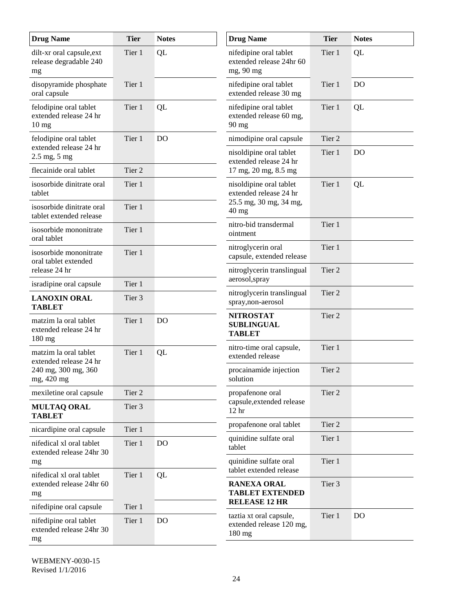| <b>Drug Name</b>                                                    | <b>Tier</b>       | <b>Notes</b>   | <b>Drug Name</b>                                                        | <b>Tier</b> | <b>Notes</b>   |
|---------------------------------------------------------------------|-------------------|----------------|-------------------------------------------------------------------------|-------------|----------------|
| dilt-xr oral capsule, ext<br>release degradable 240<br>mg           | Tier 1            | QL             | nifedipine oral tablet<br>extended release 24hr 60<br>mg, 90 mg         | Tier 1      | QL             |
| disopyramide phosphate<br>oral capsule                              | Tier 1            |                | nifedipine oral tablet<br>extended release 30 mg                        | Tier 1      | <b>DO</b>      |
| felodipine oral tablet<br>extended release 24 hr<br>$10 \text{ mg}$ | Tier 1            | QL             | nifedipine oral tablet<br>extended release 60 mg,<br>$90$ mg            | Tier 1      | QL             |
| felodipine oral tablet                                              | Tier 1            | <b>DO</b>      | nimodipine oral capsule                                                 | Tier 2      |                |
| extended release 24 hr<br>$2.5 \text{ mg}, 5 \text{ mg}$            |                   |                | nisoldipine oral tablet<br>extended release 24 hr                       | Tier 1      | <b>DO</b>      |
| flecainide oral tablet                                              | Tier <sub>2</sub> |                | 17 mg, 20 mg, 8.5 mg                                                    |             |                |
| isosorbide dinitrate oral<br>tablet                                 | Tier 1            |                | nisoldipine oral tablet<br>extended release 24 hr                       | Tier 1      | QL             |
| isosorbide dinitrate oral<br>tablet extended release                | Tier 1            |                | 25.5 mg, 30 mg, 34 mg,<br>$40$ mg                                       |             |                |
| isosorbide mononitrate<br>oral tablet                               | Tier 1            |                | nitro-bid transdermal<br>ointment                                       | Tier 1      |                |
| isosorbide mononitrate<br>oral tablet extended                      | Tier 1            |                | nitroglycerin oral<br>capsule, extended release                         | Tier 1      |                |
| release 24 hr                                                       |                   |                | nitroglycerin translingual<br>aerosol, spray                            | Tier 2      |                |
| isradipine oral capsule                                             | Tier 1            |                | nitroglycerin translingual                                              | Tier 2      |                |
| <b>LANOXIN ORAL</b><br><b>TABLET</b>                                | Tier 3            |                | spray, non-aerosol                                                      |             |                |
| matzim la oral tablet<br>extended release 24 hr<br>$180 \text{ mg}$ | Tier 1            | <b>DO</b>      | <b>NITROSTAT</b><br><b>SUBLINGUAL</b><br><b>TABLET</b>                  | Tier 2      |                |
| matzim la oral tablet<br>extended release 24 hr                     | Tier 1            | QL             | nitro-time oral capsule,<br>extended release                            | Tier 1      |                |
| 240 mg, 300 mg, 360<br>mg, 420 mg                                   |                   |                | procainamide injection<br>solution                                      | Tier 2      |                |
| mexiletine oral capsule                                             | Tier 2            |                | propafenone oral                                                        | Tier 2      |                |
| <b>MULTAQ ORAL</b><br><b>TABLET</b>                                 | Tier 3            |                | capsule, extended release<br>12 <sub>hr</sub>                           |             |                |
| nicardipine oral capsule                                            | Tier 1            |                | propafenone oral tablet                                                 | Tier 2      |                |
| nifedical xl oral tablet<br>extended release 24hr 30                | Tier 1            | <b>DO</b>      | quinidine sulfate oral<br>tablet                                        | Tier 1      |                |
| mg                                                                  |                   |                | quinidine sulfate oral<br>tablet extended release                       | Tier 1      |                |
| nifedical xl oral tablet<br>extended release 24hr 60<br>mg          | Tier 1            | QL             | <b>RANEXA ORAL</b><br><b>TABLET EXTENDED</b>                            | Tier 3      |                |
| nifedipine oral capsule                                             | Tier 1            |                | <b>RELEASE 12 HR</b>                                                    |             |                |
| nifedipine oral tablet<br>extended release 24hr 30<br>mg            | Tier 1            | D <sub>O</sub> | taztia xt oral capsule,<br>extended release 120 mg,<br>$180 \text{ mg}$ | Tier 1      | D <sub>O</sub> |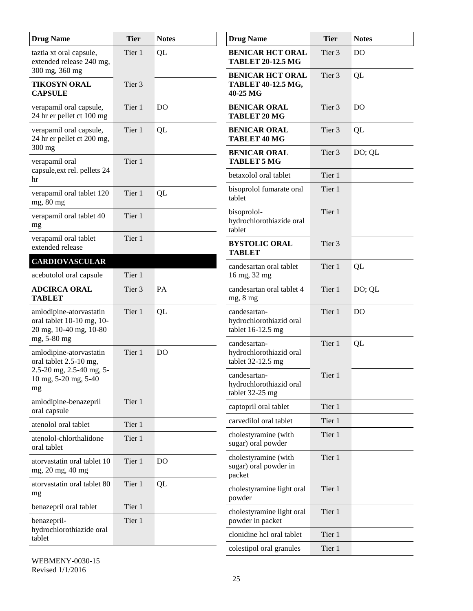| <b>Drug Name</b>                                                               | <b>Tier</b> | <b>Notes</b>   | <b>Drug Name</b>                                             | <b>Tier</b>       | <b>Notes</b>   |
|--------------------------------------------------------------------------------|-------------|----------------|--------------------------------------------------------------|-------------------|----------------|
| taztia xt oral capsule,<br>extended release 240 mg,                            | Tier 1      | QL             | <b>BENICAR HCT ORAL</b><br><b>TABLET 20-12.5 MG</b>          | Tier <sub>3</sub> | D <sub>O</sub> |
| 300 mg, 360 mg<br><b>TIKOSYN ORAL</b><br><b>CAPSULE</b>                        | Tier 3      |                | <b>BENICAR HCT ORAL</b><br>TABLET 40-12.5 MG,<br>40-25 MG    | Tier 3            | QL             |
| verapamil oral capsule,<br>24 hr er pellet ct 100 mg                           | Tier 1      | D <sub>O</sub> | <b>BENICAR ORAL</b><br><b>TABLET 20 MG</b>                   | Tier 3            | <b>DO</b>      |
| verapamil oral capsule,<br>24 hr er pellet ct 200 mg,<br>300 mg                | Tier 1      | QL             | <b>BENICAR ORAL</b><br><b>TABLET 40 MG</b>                   | Tier 3            | QL             |
| verapamil oral                                                                 | Tier 1      |                | <b>BENICAR ORAL</b><br><b>TABLET 5 MG</b>                    | Tier 3            | DO; QL         |
| capsule, ext rel. pellets 24<br>hr                                             |             |                | betaxolol oral tablet                                        | Tier 1            |                |
| verapamil oral tablet 120<br>mg, 80 mg                                         | Tier 1      | QL             | bisoprolol fumarate oral<br>tablet                           | Tier 1            |                |
| verapamil oral tablet 40<br>mg                                                 | Tier 1      |                | bisoprolol-<br>hydrochlorothiazide oral<br>tablet            | Tier 1            |                |
| verapamil oral tablet<br>extended release                                      | Tier 1      |                | <b>BYSTOLIC ORAL</b><br><b>TABLET</b>                        | Tier 3            |                |
| <b>CARDIOVASCULAR</b>                                                          |             |                | candesartan oral tablet                                      | Tier 1            | QL             |
| acebutolol oral capsule                                                        | Tier 1      |                | 16 mg, 32 mg                                                 |                   |                |
| <b>ADCIRCA ORAL</b><br><b>TABLET</b>                                           | Tier 3      | PA             | candesartan oral tablet 4<br>mg, 8 mg                        | Tier 1            | DO; QL         |
| amlodipine-atorvastatin<br>oral tablet 10-10 mg, 10-<br>20 mg, 10-40 mg, 10-80 | Tier 1      | QL             | candesartan-<br>hydrochlorothiazid oral<br>tablet 16-12.5 mg | Tier 1            | D <sub>O</sub> |
| mg, 5-80 mg<br>amlodipine-atorvastatin<br>oral tablet 2.5-10 mg,               | Tier 1      | D <sub>O</sub> | candesartan-<br>hydrochlorothiazid oral<br>tablet 32-12.5 mg | Tier 1            | QL             |
| 2.5-20 mg, 2.5-40 mg, 5-<br>10 mg, 5-20 mg, 5-40<br>mg                         |             |                | candesartan-<br>hydrochlorothiazid oral<br>tablet 32-25 mg   | Tier 1            |                |
| amlodipine-benazepril<br>oral capsule                                          | Tier 1      |                | captopril oral tablet                                        | Tier 1            |                |
| atenolol oral tablet                                                           | Tier 1      |                | carvedilol oral tablet                                       | Tier 1            |                |
| atenolol-chlorthalidone<br>oral tablet                                         | Tier 1      |                | cholestyramine (with<br>sugar) oral powder                   | Tier 1            |                |
| atorvastatin oral tablet 10<br>mg, 20 mg, 40 mg                                | Tier 1      | <b>DO</b>      | cholestyramine (with<br>sugar) oral powder in<br>packet      | Tier 1            |                |
| atorvastatin oral tablet 80<br>mg                                              | Tier 1      | QL             | cholestyramine light oral<br>powder                          | Tier 1            |                |
| benazepril oral tablet                                                         | Tier 1      |                | cholestyramine light oral                                    | Tier 1            |                |
| benazepril-<br>hydrochlorothiazide oral                                        | Tier 1      |                | powder in packet<br>clonidine hcl oral tablet                | Tier 1            |                |
| tablet                                                                         |             |                | colestipol oral granules                                     | Tier 1            |                |
|                                                                                |             |                |                                                              |                   |                |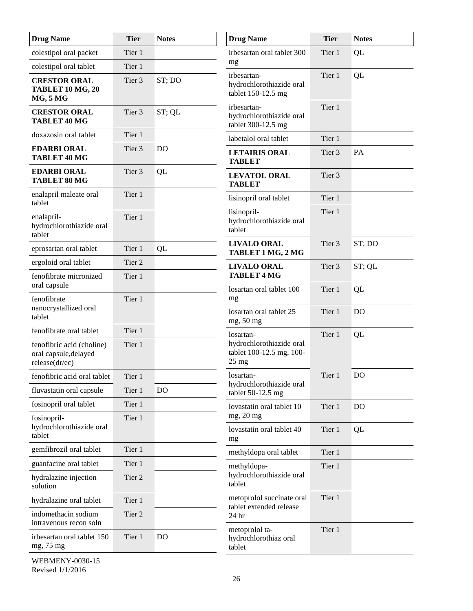| <b>Drug Name</b>                                                     | <b>Tier</b> | <b>Notes</b>   | <b>Drug Name</b>                                                        | <b>Tier</b>       | <b>Notes</b>   |
|----------------------------------------------------------------------|-------------|----------------|-------------------------------------------------------------------------|-------------------|----------------|
| colestipol oral packet                                               | Tier 1      |                | irbesartan oral tablet 300                                              | Tier 1            | QL             |
| colestipol oral tablet                                               | Tier 1      |                | mg                                                                      |                   |                |
| <b>CRESTOR ORAL</b><br><b>TABLET 10 MG, 20</b><br><b>MG, 5 MG</b>    | Tier 3      | ST; DO         | irbesartan-<br>hydrochlorothiazide oral<br>tablet 150-12.5 mg           | Tier 1            | QL             |
| <b>CRESTOR ORAL</b><br><b>TABLET 40 MG</b>                           | Tier 3      | ST; QL         | irbesartan-<br>hydrochlorothiazide oral<br>tablet 300-12.5 mg           | Tier 1            |                |
| doxazosin oral tablet                                                | Tier 1      |                | labetalol oral tablet                                                   | Tier 1            |                |
| <b>EDARBI ORAL</b><br>TABLET 40 MG                                   | Tier 3      | <b>DO</b>      | <b>LETAIRIS ORAL</b><br><b>TABLET</b>                                   | Tier 3            | PA             |
| <b>EDARBI ORAL</b><br>TABLET 80 MG                                   | Tier 3      | QL             | <b>LEVATOL ORAL</b><br><b>TABLET</b>                                    | Tier 3            |                |
| enalapril maleate oral<br>tablet                                     | Tier 1      |                | lisinopril oral tablet                                                  | Tier 1            |                |
| enalapril-<br>hydrochlorothiazide oral<br>tablet                     | Tier 1      |                | lisinopril-<br>hydrochlorothiazide oral<br>tablet                       | Tier 1            |                |
| eprosartan oral tablet                                               | Tier 1      | QL             | <b>LIVALO ORAL</b><br>TABLET 1 MG, 2 MG                                 | Tier 3            | ST; DO         |
| ergoloid oral tablet                                                 | Tier 2      |                | <b>LIVALO ORAL</b>                                                      | Tier <sub>3</sub> | ST; QL         |
| fenofibrate micronized<br>oral capsule                               | Tier 1      |                | <b>TABLET 4 MG</b>                                                      |                   |                |
| fenofibrate                                                          | Tier 1      |                | losartan oral tablet 100<br>mg                                          | Tier 1            | QL             |
| nanocrystallized oral<br>tablet                                      |             |                | losartan oral tablet 25<br>mg, 50 mg                                    | Tier 1            | D <sub>O</sub> |
| fenofibrate oral tablet                                              | Tier 1      |                | losartan-                                                               | Tier 1            | QL             |
| fenofibric acid (choline)<br>oral capsule, delayed<br>release(dr/ec) | Tier 1      |                | hydrochlorothiazide oral<br>tablet 100-12.5 mg, 100-<br>$25 \text{ mg}$ |                   |                |
| fenofibric acid oral tablet                                          | Tier 1      |                | losartan-                                                               | Tier 1            | DO             |
| fluvastatin oral capsule                                             | Tier 1      | D <sub>O</sub> | hydrochlorothiazide oral<br>tablet $50-12.5$ mg                         |                   |                |
| fosinopril oral tablet                                               | Tier 1      |                | lovastatin oral tablet 10                                               | Tier 1            | D <sub>O</sub> |
| fosinopril-<br>hydrochlorothiazide oral<br>tablet                    | Tier 1      |                | mg, 20 mg<br>lovastatin oral tablet 40                                  | Tier 1            | QL             |
| gemfibrozil oral tablet                                              | Tier 1      |                | mg<br>methyldopa oral tablet                                            | Tier 1            |                |
| guanfacine oral tablet                                               | Tier 1      |                | methyldopa-                                                             | Tier 1            |                |
| hydralazine injection<br>solution                                    | Tier 2      |                | hydrochlorothiazide oral<br>tablet                                      |                   |                |
| hydralazine oral tablet                                              | Tier 1      |                | metoprolol succinate oral                                               | Tier 1            |                |
| indomethacin sodium<br>intravenous recon soln                        | Tier 2      |                | tablet extended release<br>24 hr                                        |                   |                |
| irbesartan oral tablet 150<br>mg, 75 mg                              | Tier 1      | D <sub>O</sub> | metoprolol ta-<br>hydrochlorothiaz oral<br>tablet                       | Tier 1            |                |
| WEDMENW 0020 15                                                      |             |                |                                                                         |                   |                |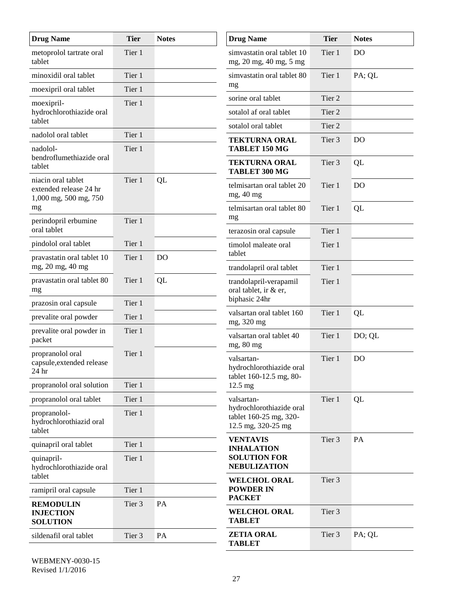| <b>Drug Name</b>                                                      | <b>Tier</b> | <b>Notes</b>   | <b>Drug Name</b>                                                  | <b>Tier</b> | <b>Notes</b>   |
|-----------------------------------------------------------------------|-------------|----------------|-------------------------------------------------------------------|-------------|----------------|
| metoprolol tartrate oral<br>tablet                                    | Tier 1      |                | simvastatin oral tablet 10<br>mg, 20 mg, 40 mg, 5 mg              | Tier 1      | D <sub>O</sub> |
| minoxidil oral tablet                                                 | Tier 1      |                | simvastatin oral tablet 80<br>mg                                  | Tier 1      | PA; QL         |
| moexipril oral tablet                                                 | Tier 1      |                | sorine oral tablet                                                | Tier 2      |                |
| moexipril-<br>hydrochlorothiazide oral<br>tablet                      | Tier 1      |                | sotalol af oral tablet                                            | Tier 2      |                |
| nadolol oral tablet                                                   | Tier 1      |                | sotalol oral tablet                                               | Tier 2      |                |
| nadolol-                                                              | Tier 1      |                | <b>TEKTURNA ORAL</b><br>TABLET 150 MG                             | Tier 3      | D <sub>O</sub> |
| bendroflumethiazide oral<br>tablet                                    |             |                | <b>TEKTURNA ORAL</b><br>TABLET 300 MG                             | Tier 3      | QL             |
| niacin oral tablet<br>extended release 24 hr<br>1,000 mg, 500 mg, 750 | Tier 1      | QL             | telmisartan oral tablet 20<br>mg, 40 mg                           | Tier 1      | D <sub>O</sub> |
| mg<br>perindopril erbumine                                            | Tier 1      |                | telmisartan oral tablet 80<br>mg                                  | Tier 1      | QL             |
| oral tablet                                                           |             |                | terazosin oral capsule                                            | Tier 1      |                |
| pindolol oral tablet                                                  | Tier 1      |                | timolol maleate oral<br>tablet                                    | Tier 1      |                |
| pravastatin oral tablet 10<br>mg, 20 mg, 40 mg                        | Tier 1      | D <sub>O</sub> | trandolapril oral tablet                                          | Tier 1      |                |
| pravastatin oral tablet 80<br>mg                                      | Tier 1      | QL             | trandolapril-verapamil<br>oral tablet, ir & er,                   | Tier 1      |                |
| prazosin oral capsule                                                 | Tier 1      |                | biphasic 24hr                                                     |             |                |
| prevalite oral powder                                                 | Tier 1      |                | valsartan oral tablet 160<br>mg, 320 mg                           | Tier 1      | QL             |
| prevalite oral powder in<br>packet                                    | Tier 1      |                | valsartan oral tablet 40<br>mg, 80 mg                             | Tier 1      | DO; QL         |
| propranolol oral<br>capsule, extended release<br>24 hr                | Tier 1      |                | valsartan-<br>hydrochlorothiazide oral<br>tablet 160-12.5 mg, 80- | Tier 1      | D <sub>O</sub> |
| propranolol oral solution                                             | Tier 1      |                | $12.5 \text{ mg}$                                                 |             |                |
| propranolol oral tablet                                               | Tier 1      |                | valsartan-<br>hydrochlorothiazide oral                            | Tier 1      | QL             |
| propranolol-<br>hydrochlorothiazid oral<br>tablet                     | Tier 1      |                | tablet 160-25 mg, 320-<br>12.5 mg, 320-25 mg                      |             |                |
| quinapril oral tablet                                                 | Tier 1      |                | <b>VENTAVIS</b><br><b>INHALATION</b>                              | Tier 3      | PA             |
| quinapril-<br>hydrochlorothiazide oral<br>tablet                      | Tier 1      |                | <b>SOLUTION FOR</b><br><b>NEBULIZATION</b>                        |             |                |
| ramipril oral capsule                                                 | Tier 1      |                | <b>WELCHOL ORAL</b><br><b>POWDER IN</b>                           | Tier 3      |                |
| <b>REMODULIN</b><br><b>INJECTION</b><br><b>SOLUTION</b>               | Tier 3      | PA             | <b>PACKET</b><br><b>WELCHOL ORAL</b><br><b>TABLET</b>             | Tier 3      |                |
| sildenafil oral tablet                                                | Tier 3      | PA             | <b>ZETIA ORAL</b>                                                 | Tier 3      | PA; QL         |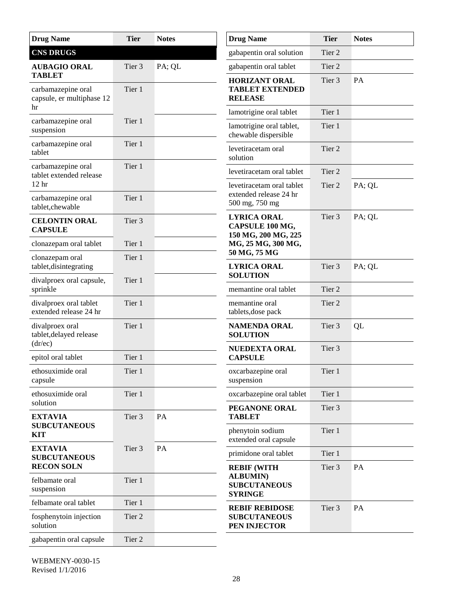| <b>Drug Name</b>                                                 | <b>Tier</b>       | <b>Notes</b> | <b>Drug Name</b>                                                      | <b>Tier</b>       | <b>Notes</b> |
|------------------------------------------------------------------|-------------------|--------------|-----------------------------------------------------------------------|-------------------|--------------|
| <b>CNS DRUGS</b>                                                 |                   |              | gabapentin oral solution                                              | Tier 2            |              |
| <b>AUBAGIO ORAL</b>                                              | Tier 3            | PA; QL       | gabapentin oral tablet                                                | Tier 2            |              |
| <b>TABLET</b><br>carbamazepine oral<br>capsule, er multiphase 12 | Tier 1            |              | <b>HORIZANT ORAL</b><br><b>TABLET EXTENDED</b><br><b>RELEASE</b>      | Tier 3            | <b>PA</b>    |
| hr                                                               |                   |              | lamotrigine oral tablet                                               | Tier 1            |              |
| carbamazepine oral<br>suspension                                 | Tier 1            |              | lamotrigine oral tablet,<br>chewable dispersible                      | Tier 1            |              |
| carbamazepine oral<br>tablet                                     | Tier 1            |              | levetiracetam oral<br>solution                                        | Tier 2            |              |
| carbamazepine oral<br>tablet extended release                    | Tier 1            |              | levetiracetam oral tablet                                             | Tier 2            |              |
| 12 <sub>hr</sub><br>carbamazepine oral<br>tablet, che wable      | Tier 1            |              | levetiracetam oral tablet<br>extended release 24 hr<br>500 mg, 750 mg | Tier 2            | PA; QL       |
| <b>CELONTIN ORAL</b><br><b>CAPSULE</b>                           | Tier 3            |              | <b>LYRICA ORAL</b><br>CAPSULE 100 MG,<br>150 MG, 200 MG, 225          | Tier <sub>3</sub> | PA; QL       |
| clonazepam oral tablet                                           | Tier 1            |              | MG, 25 MG, 300 MG,                                                    |                   |              |
| clonazepam oral<br>tablet, disintegrating                        | Tier 1            |              | 50 MG, 75 MG<br><b>LYRICA ORAL</b>                                    | Tier 3            | PA; QL       |
| divalproex oral capsule,<br>sprinkle                             | Tier 1            |              | <b>SOLUTION</b><br>memantine oral tablet                              | Tier 2            |              |
| divalproex oral tablet<br>extended release 24 hr                 | Tier 1            |              | memantine oral<br>tablets, dose pack                                  | Tier 2            |              |
| divalproex oral<br>tablet, delayed release                       | Tier 1            |              | <b>NAMENDA ORAL</b><br><b>SOLUTION</b>                                | Tier 3            | QL           |
| (dr/ec)<br>epitol oral tablet                                    | Tier 1            |              | <b>NUEDEXTA ORAL</b><br><b>CAPSULE</b>                                | Tier 3            |              |
| ethosuximide oral<br>capsule                                     | Tier 1            |              | oxcarbazepine oral<br>suspension                                      | Tier 1            |              |
| ethosuximide oral                                                | Tier 1            |              | oxcarbazepine oral tablet                                             | Tier 1            |              |
| solution<br><b>EXTAVIA</b>                                       | Tier 3            | PA           | PEGANONE ORAL<br><b>TABLET</b>                                        | Tier 3            |              |
| <b>SUBCUTANEOUS</b><br><b>KIT</b>                                |                   |              | phenytoin sodium<br>extended oral capsule                             | Tier 1            |              |
| <b>EXTAVIA</b><br><b>SUBCUTANEOUS</b>                            | Tier <sub>3</sub> | PA           | primidone oral tablet                                                 | Tier 1            |              |
| <b>RECON SOLN</b><br>felbamate oral                              | Tier 1            |              | <b>REBIF (WITH</b><br><b>ALBUMIN</b> )                                | Tier 3            | PA           |
| suspension                                                       |                   |              | <b>SUBCUTANEOUS</b><br><b>SYRINGE</b>                                 |                   |              |
| felbamate oral tablet                                            | Tier 1            |              | <b>REBIF REBIDOSE</b>                                                 | Tier 3            | PA           |
| fosphenytoin injection<br>solution                               | Tier 2            |              | <b>SUBCUTANEOUS</b><br>PEN INJECTOR                                   |                   |              |
| gabapentin oral capsule                                          | Tier 2            |              |                                                                       |                   |              |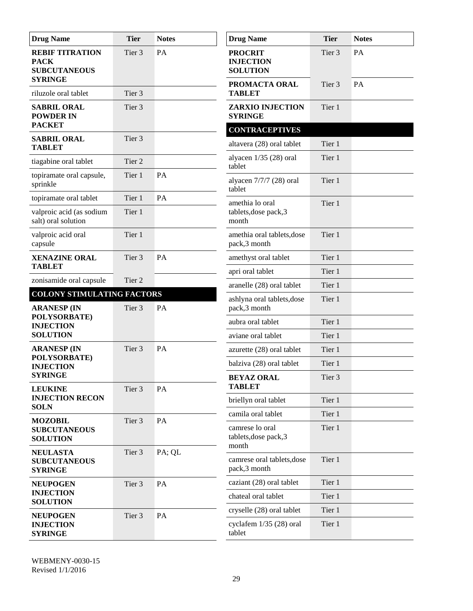| <b>Drug Name</b>                                                               | <b>Tier</b> | <b>Notes</b> | <b>Drug Name</b>                                      | <b>Tier</b> | <b>Notes</b> |
|--------------------------------------------------------------------------------|-------------|--------------|-------------------------------------------------------|-------------|--------------|
| <b>REBIF TITRATION</b><br><b>PACK</b><br><b>SUBCUTANEOUS</b><br><b>SYRINGE</b> | Tier 3      | PA           | <b>PROCRIT</b><br><b>INJECTION</b><br><b>SOLUTION</b> | Tier 3      | PA           |
| riluzole oral tablet                                                           | Tier 3      |              | PROMACTA ORAL<br><b>TABLET</b>                        | Tier 3      | PA           |
| <b>SABRIL ORAL</b><br><b>POWDER IN</b>                                         | Tier 3      |              | <b>ZARXIO INJECTION</b><br><b>SYRINGE</b>             | Tier 1      |              |
| <b>PACKET</b>                                                                  |             |              | <b>CONTRACEPTIVES</b>                                 |             |              |
| <b>SABRIL ORAL</b><br><b>TABLET</b>                                            | Tier 3      |              | altavera (28) oral tablet                             | Tier 1      |              |
| tiagabine oral tablet                                                          | Tier 2      |              | alyacen $1/35$ (28) oral<br>tablet                    | Tier 1      |              |
| topiramate oral capsule,<br>sprinkle                                           | Tier 1      | PA           | alyacen $7/7/7$ (28) oral<br>tablet                   | Tier 1      |              |
| topiramate oral tablet                                                         | Tier 1      | PA           | amethia lo oral                                       | Tier 1      |              |
| valproic acid (as sodium<br>salt) oral solution                                | Tier 1      |              | tablets, dose pack, 3<br>month                        |             |              |
| valproic acid oral<br>capsule                                                  | Tier 1      |              | amethia oral tablets, dose<br>pack,3 month            | Tier 1      |              |
| <b>XENAZINE ORAL</b>                                                           | Tier 3      | PA           | amethyst oral tablet                                  | Tier 1      |              |
| <b>TABLET</b>                                                                  |             |              | apri oral tablet                                      | Tier 1      |              |
| zonisamide oral capsule                                                        | Tier 2      |              | aranelle (28) oral tablet                             | Tier 1      |              |
| <b>COLONY STIMULATING FACTORS</b><br><b>ARANESP (IN</b>                        | Tier 3      | PA           | ashlyna oral tablets, dose<br>pack,3 month            | Tier 1      |              |
| POLYSORBATE)<br><b>INJECTION</b>                                               |             |              | aubra oral tablet                                     | Tier 1      |              |
| <b>SOLUTION</b>                                                                |             |              | aviane oral tablet                                    | Tier 1      |              |
| <b>ARANESP (IN</b>                                                             | Tier 3      | PA           | azurette (28) oral tablet                             | Tier 1      |              |
| POLYSORBATE)<br><b>INJECTION</b>                                               |             |              | balziva (28) oral tablet                              | Tier 1      |              |
| <b>SYRINGE</b><br><b>LEUKINE</b>                                               | Tier 3      | PA           | <b>BEYAZ ORAL</b><br><b>TABLET</b>                    | Tier 3      |              |
| <b>INJECTION RECON</b>                                                         |             |              | briellyn oral tablet                                  | Tier 1      |              |
| <b>SOLN</b>                                                                    |             |              | camila oral tablet                                    | Tier 1      |              |
| <b>MOZOBIL</b><br><b>SUBCUTANEOUS</b><br><b>SOLUTION</b>                       | Tier 3      | PA           | camrese lo oral<br>tablets, dose pack, 3<br>month     | Tier 1      |              |
| <b>NEULASTA</b><br><b>SUBCUTANEOUS</b><br><b>SYRINGE</b>                       | Tier 3      | PA; QL       | camrese oral tablets, dose<br>pack,3 month            | Tier 1      |              |
| <b>NEUPOGEN</b>                                                                | Tier 3      | PA           | caziant (28) oral tablet                              | Tier 1      |              |
| <b>INJECTION</b><br><b>SOLUTION</b>                                            |             |              | chateal oral tablet                                   | Tier 1      |              |
| <b>NEUPOGEN</b>                                                                | Tier 3      | PA           | cryselle (28) oral tablet                             | Tier 1      |              |
| <b>INJECTION</b><br><b>SYRINGE</b>                                             |             |              | cyclafem 1/35 (28) oral<br>tablet                     | Tier 1      |              |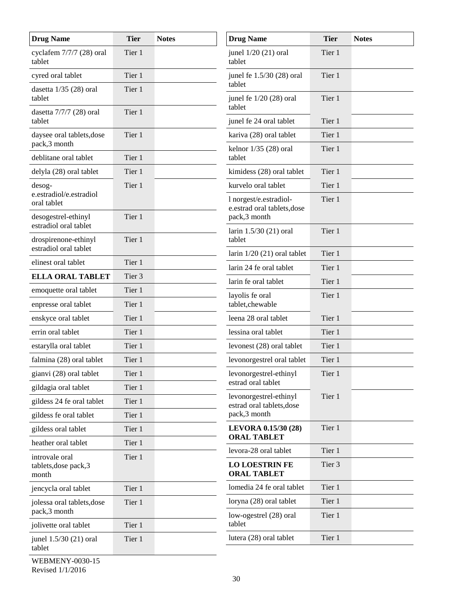| <b>Drug Name</b>                              | <b>Tier</b>      | <b>Notes</b> | <b>Drug Name</b>                                      | <b>Tier</b> | <b>Notes</b> |
|-----------------------------------------------|------------------|--------------|-------------------------------------------------------|-------------|--------------|
| cyclafem 7/7/7 (28) oral<br>tablet            | Tier 1           |              | junel $1/20$ (21) oral<br>tablet                      | Tier 1      |              |
| cyred oral tablet<br>dasetta $1/35$ (28) oral | Tier 1<br>Tier 1 |              | junel fe 1.5/30 (28) oral<br>tablet                   | Tier 1      |              |
| tablet                                        |                  |              | junel fe 1/20 (28) oral<br>tablet                     | Tier 1      |              |
| dasetta 7/7/7 (28) oral<br>tablet             | Tier 1           |              | junel fe 24 oral tablet                               | Tier 1      |              |
| daysee oral tablets, dose                     | Tier 1           |              | kariva (28) oral tablet                               | Tier 1      |              |
| pack,3 month<br>deblitane oral tablet         | Tier 1           |              | kelnor $1/35$ (28) oral<br>tablet                     | Tier 1      |              |
| delyla (28) oral tablet                       | Tier 1           |              | kimidess (28) oral tablet                             | Tier 1      |              |
| $desog-$                                      | Tier 1           |              | kurvelo oral tablet                                   | Tier 1      |              |
| e.estradiol/e.estradiol<br>oral tablet        |                  |              | l norgest/e.estradiol-<br>e.estrad oral tablets, dose | Tier 1      |              |
| desogestrel-ethinyl<br>estradiol oral tablet  | Tier 1           |              | pack,3 month                                          |             |              |
| drospirenone-ethinyl<br>estradiol oral tablet | Tier 1           |              | larin 1.5/30 (21) oral<br>tablet                      | Tier 1      |              |
| elinest oral tablet                           | Tier 1           |              | larin $1/20$ (21) oral tablet                         | Tier 1      |              |
| <b>ELLA ORAL TABLET</b>                       | Tier 3           |              | larin 24 fe oral tablet                               | Tier 1      |              |
| emoquette oral tablet                         | Tier 1           |              | larin fe oral tablet                                  | Tier 1      |              |
| enpresse oral tablet                          | Tier 1           |              | layolis fe oral<br>tablet, chewable                   | Tier 1      |              |
| enskyce oral tablet                           | Tier 1           |              | leena 28 oral tablet                                  | Tier 1      |              |
| errin oral tablet                             | Tier 1           |              | lessina oral tablet                                   | Tier 1      |              |
| estarylla oral tablet                         | Tier 1           |              | levonest (28) oral tablet                             | Tier 1      |              |
| falmina (28) oral tablet                      | Tier 1           |              | levonorgestrel oral tablet                            | Tier 1      |              |
| gianvi (28) oral tablet                       | Tier 1           |              | levonorgestrel-ethinyl                                | Tier 1      |              |
| gildagia oral tablet                          | Tier 1           |              | estrad oral tablet                                    |             |              |
| gildess 24 fe oral tablet                     | Tier 1           |              | levonorgestrel-ethinyl<br>estrad oral tablets, dose   | Tier 1      |              |
| gildess fe oral tablet                        | Tier 1           |              | pack,3 month                                          |             |              |
| gildess oral tablet                           | Tier 1           |              | LEVORA 0.15/30 (28)                                   | Tier 1      |              |
| heather oral tablet                           | Tier 1           |              | <b>ORAL TABLET</b>                                    |             |              |
| introvale oral                                | Tier 1           |              | levora-28 oral tablet                                 | Tier 1      |              |
| tablets, dose pack, 3<br>month                |                  |              | <b>LO LOESTRIN FE</b><br><b>ORAL TABLET</b>           | Tier 3      |              |
| jencycla oral tablet                          | Tier 1           |              | lomedia 24 fe oral tablet                             | Tier 1      |              |
| jolessa oral tablets, dose<br>pack,3 month    | Tier 1           |              | loryna (28) oral tablet                               | Tier 1      |              |
| jolivette oral tablet                         | Tier 1           |              | low-ogestrel (28) oral<br>tablet                      | Tier 1      |              |
| junel 1.5/30 (21) oral<br>tablet              | Tier 1           |              | lutera (28) oral tablet                               | Tier 1      |              |
|                                               |                  |              |                                                       |             |              |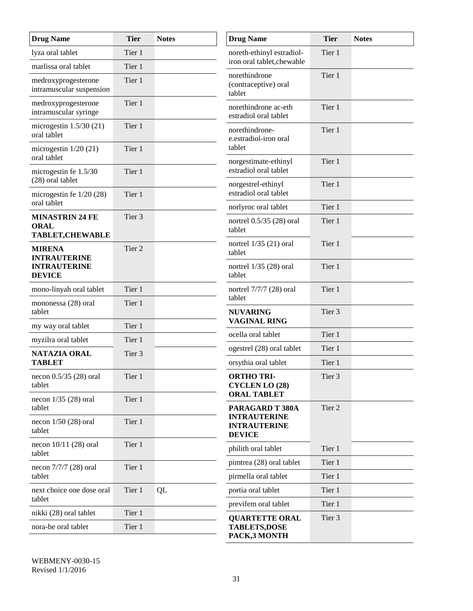| <b>Drug Name</b>                                                 | <b>Tier</b>       | <b>Notes</b> | <b>Drug Name</b>                                                 | <b>Tier</b>      | <b>Notes</b> |
|------------------------------------------------------------------|-------------------|--------------|------------------------------------------------------------------|------------------|--------------|
| lyza oral tablet                                                 | Tier 1            |              | noreth-ethinyl estradiol-<br>iron oral tablet, chewable          | Tier 1           |              |
| marlissa oral tablet                                             | Tier 1            |              |                                                                  |                  |              |
| medroxyprogesterone<br>intramuscular suspension                  | Tier 1            |              | norethindrone<br>(contraceptive) oral<br>tablet                  | Tier 1           |              |
| medroxyprogesterone<br>intramuscular syringe                     | Tier 1            |              | norethindrone ac-eth<br>estradiol oral tablet                    | Tier 1           |              |
| microgestin $1.5/30(21)$<br>oral tablet                          | Tier 1            |              | norethindrone-<br>e.estradiol-iron oral                          | Tier 1           |              |
| microgestin $1/20$ (21)<br>oral tablet                           | Tier 1            |              | tablet<br>norgestimate-ethinyl                                   | Tier 1           |              |
| microgestin fe 1.5/30<br>(28) oral tablet                        | Tier 1            |              | estradiol oral tablet<br>norgestrel-ethinyl                      | Tier 1           |              |
| microgestin fe $1/20$ (28)                                       | Tier 1            |              | estradiol oral tablet                                            |                  |              |
| oral tablet                                                      |                   |              | norlyroc oral tablet                                             | Tier 1           |              |
| <b>MINASTRIN 24 FE</b><br><b>ORAL</b><br><b>TABLET, CHEWABLE</b> | Tier <sub>3</sub> |              | nortrel $0.5/35$ (28) oral<br>tablet                             | Tier 1           |              |
| <b>MIRENA</b><br><b>INTRAUTERINE</b>                             | Tier 2            |              | nortrel $1/35$ (21) oral<br>tablet                               | Tier 1           |              |
| <b>INTRAUTERINE</b><br><b>DEVICE</b>                             |                   |              | nortrel $1/35$ (28) oral<br>tablet                               | Tier 1           |              |
| mono-linyah oral tablet                                          | Tier 1            |              | nortrel 7/7/7 (28) oral<br>tablet                                | Tier 1           |              |
| mononessa (28) oral<br>tablet                                    | Tier 1            |              | <b>NUVARING</b><br><b>VAGINAL RING</b>                           | Tier 3           |              |
| my way oral tablet                                               | Tier 1            |              |                                                                  |                  |              |
| myzilra oral tablet                                              | Tier 1            |              | ocella oral tablet                                               | Tier 1           |              |
| <b>NATAZIA ORAL</b><br><b>TABLET</b>                             | Tier 3            |              | ogestrel (28) oral tablet                                        | Tier 1<br>Tier 1 |              |
|                                                                  |                   |              | orsythia oral tablet                                             |                  |              |
| necon $0.5/35$ (28) oral<br>tablet                               | Tier 1            |              | <b>ORTHO TRI-</b><br><b>CYCLEN LO (28)</b><br><b>ORAL TABLET</b> | Tier 3           |              |
| necon $1/35$ (28) oral<br>tablet                                 | Tier 1            |              | PARAGARD T 380A                                                  | Tier 2           |              |
| necon $1/50$ (28) oral<br>tablet                                 | Tier 1            |              | <b>INTRAUTERINE</b><br><b>INTRAUTERINE</b><br><b>DEVICE</b>      |                  |              |
| necon $10/11$ (28) oral<br>tablet                                | Tier 1            |              | philith oral tablet                                              | Tier 1           |              |
| necon 7/7/7 (28) oral                                            | Tier 1            |              | pimtrea (28) oral tablet                                         | Tier 1           |              |
| tablet                                                           |                   |              | pirmella oral tablet                                             | Tier 1           |              |
| next choice one dose oral<br>tablet                              | Tier 1            | QL           | portia oral tablet                                               | Tier 1           |              |
| nikki (28) oral tablet                                           | Tier 1            |              | previfem oral tablet                                             | Tier 1           |              |
| nora-be oral tablet                                              | Tier 1            |              | <b>QUARTETTE ORAL</b><br><b>TABLETS,DOSE</b>                     | Tier 3           |              |
|                                                                  |                   |              | PACK,3 MONTH                                                     |                  |              |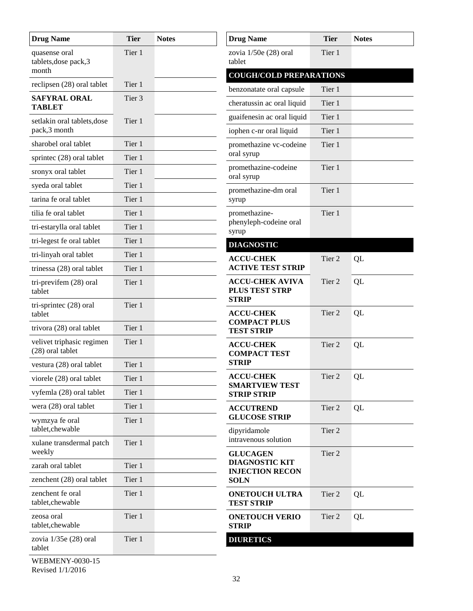| <b>Drug Name</b>                                | <b>Tier</b> | <b>Notes</b> | <b>Drug Name</b>                                         | <b>Tier</b>       | <b>Notes</b> |
|-------------------------------------------------|-------------|--------------|----------------------------------------------------------|-------------------|--------------|
| quasense oral<br>tablets, dose pack, 3<br>month | Tier 1      |              | zovia $1/50e(28)$ oral<br>tablet                         | Tier 1            |              |
| reclipsen (28) oral tablet                      | Tier 1      |              | <b>COUGH/COLD PREPARATIONS</b>                           |                   |              |
|                                                 | Tier 3      |              | benzonatate oral capsule                                 | Tier 1            |              |
| <b>SAFYRAL ORAL</b><br><b>TABLET</b>            |             |              | cheratussin ac oral liquid                               | Tier 1            |              |
| setlakin oral tablets, dose                     | Tier 1      |              | guaifenesin ac oral liquid                               | Tier 1            |              |
| pack,3 month                                    |             |              | iophen c-nr oral liquid                                  | Tier 1            |              |
| sharobel oral tablet                            | Tier 1      |              | promethazine vc-codeine                                  | Tier 1            |              |
| sprintec (28) oral tablet                       | Tier 1      |              | oral syrup                                               |                   |              |
| sronyx oral tablet                              | Tier 1      |              | promethazine-codeine<br>oral syrup                       | Tier 1            |              |
| syeda oral tablet                               | Tier 1      |              | promethazine-dm oral                                     | Tier 1            |              |
| tarina fe oral tablet                           | Tier 1      |              | syrup                                                    |                   |              |
| tilia fe oral tablet                            | Tier 1      |              | promethazine-                                            | Tier 1            |              |
| tri-estarylla oral tablet                       | Tier 1      |              | phenyleph-codeine oral<br>syrup                          |                   |              |
| tri-legest fe oral tablet                       | Tier 1      |              | <b>DIAGNOSTIC</b>                                        |                   |              |
| tri-linyah oral tablet                          | Tier 1      |              | <b>ACCU-CHEK</b>                                         | Tier 2            | QL           |
| trinessa (28) oral tablet                       | Tier 1      |              | <b>ACTIVE TEST STRIP</b>                                 |                   |              |
| tri-previfem (28) oral<br>tablet                | Tier 1      |              | <b>ACCU-CHEK AVIVA</b><br>PLUS TEST STRP<br><b>STRIP</b> | Tier 2            | QL           |
| tri-sprintec (28) oral<br>tablet                | Tier 1      |              | <b>ACCU-CHEK</b><br><b>COMPACT PLUS</b>                  | Tier 2            | QL           |
| trivora (28) oral tablet                        | Tier 1      |              | <b>TEST STRIP</b>                                        |                   |              |
| velivet triphasic regimen<br>(28) oral tablet   | Tier 1      |              | <b>ACCU-CHEK</b><br><b>COMPACT TEST</b>                  | Tier 2            | QL           |
| vestura (28) oral tablet                        | Tier 1      |              | <b>STRIP</b>                                             |                   |              |
| viorele (28) oral tablet                        | Tier 1      |              | <b>ACCU-CHEK</b><br><b>SMARTVIEW TEST</b>                | Tier <sub>2</sub> | QL           |
| vyfemla (28) oral tablet                        | Tier 1      |              | <b>STRIP STRIP</b>                                       |                   |              |
| wera (28) oral tablet                           | Tier 1      |              | <b>ACCUTREND</b>                                         | Tier 2            | QL           |
| wymzya fe oral<br>tablet, chewable              | Tier 1      |              | <b>GLUCOSE STRIP</b><br>dipyridamole                     | Tier 2            |              |
| xulane transdermal patch<br>weekly              | Tier 1      |              | intravenous solution<br><b>GLUCAGEN</b>                  | Tier 2            |              |
| zarah oral tablet                               | Tier 1      |              | <b>DIAGNOSTIC KIT</b>                                    |                   |              |
| zenchent (28) oral tablet                       | Tier 1      |              | <b>INJECTION RECON</b><br><b>SOLN</b>                    |                   |              |
| zenchent fe oral<br>tablet, che wable           | Tier 1      |              | <b>ONETOUCH ULTRA</b><br><b>TEST STRIP</b>               | Tier 2            | QL           |
| zeosa oral<br>tablet, che wable                 | Tier 1      |              | <b>ONETOUCH VERIO</b><br><b>STRIP</b>                    | Tier 2            | QL           |
| zovia $1/35e(28)$ oral<br>tablet                | Tier 1      |              | <b>DIURETICS</b>                                         |                   |              |
| <b>WEBMENY-0030-15</b>                          |             |              |                                                          |                   |              |

Revised 1/1/2016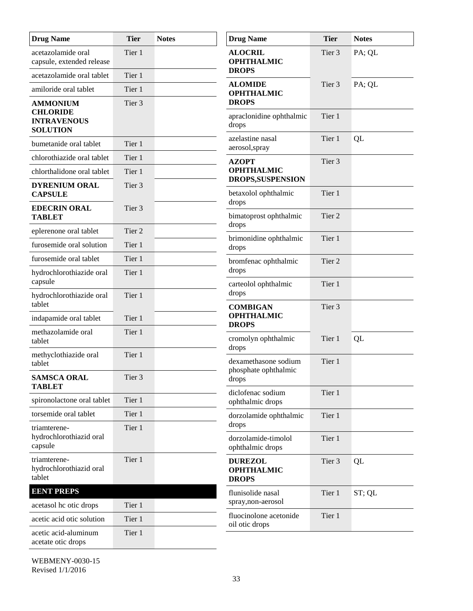| <b>Drug Name</b>                                                            | <b>Tier</b> | <b>Notes</b> | <b>Drug Name</b>                                     | <b>Tier</b> | <b>Notes</b> |
|-----------------------------------------------------------------------------|-------------|--------------|------------------------------------------------------|-------------|--------------|
| acetazolamide oral<br>capsule, extended release                             | Tier 1      |              | <b>ALOCRIL</b><br><b>OPHTHALMIC</b>                  | Tier 3      | PA; QL       |
| acetazolamide oral tablet                                                   | Tier 1      |              | <b>DROPS</b>                                         |             |              |
| amiloride oral tablet                                                       | Tier 1      |              | <b>ALOMIDE</b><br><b>OPHTHALMIC</b>                  | Tier 3      | PA; QL       |
| <b>AMMONIUM</b><br><b>CHLORIDE</b><br><b>INTRAVENOUS</b><br><b>SOLUTION</b> | Tier 3      |              | <b>DROPS</b><br>apraclonidine ophthalmic<br>drops    | Tier 1      |              |
| bumetanide oral tablet                                                      | Tier 1      |              | azelastine nasal<br>aerosol, spray                   | Tier 1      | QL           |
| chlorothiazide oral tablet                                                  | Tier 1      |              | <b>AZOPT</b>                                         | Tier 3      |              |
| chlorthalidone oral tablet                                                  | Tier 1      |              | <b>OPHTHALMIC</b>                                    |             |              |
| <b>DYRENIUM ORAL</b><br><b>CAPSULE</b>                                      | Tier 3      |              | DROPS, SUSPENSION<br>betaxolol ophthalmic            | Tier 1      |              |
| <b>EDECRIN ORAL</b><br><b>TABLET</b>                                        | Tier 3      |              | drops<br>bimatoprost ophthalmic                      | Tier 2      |              |
| eplerenone oral tablet                                                      | Tier 2      |              | drops                                                |             |              |
| furosemide oral solution                                                    | Tier 1      |              | brimonidine ophthalmic<br>drops                      | Tier 1      |              |
| furosemide oral tablet                                                      | Tier 1      |              | bromfenac ophthalmic                                 | Tier 2      |              |
| hydrochlorothiazide oral<br>capsule                                         | Tier 1      |              | drops                                                |             |              |
| hydrochlorothiazide oral<br>tablet                                          | Tier 1      |              | carteolol ophthalmic<br>drops                        | Tier 1      |              |
| indapamide oral tablet                                                      | Tier 1      |              | <b>COMBIGAN</b><br><b>OPHTHALMIC</b><br><b>DROPS</b> | Tier 3      |              |
| methazolamide oral<br>tablet                                                | Tier 1      |              | cromolyn ophthalmic                                  | Tier 1      | QL           |
| methyclothiazide oral<br>tablet                                             | Tier 1      |              | drops<br>dexamethasone sodium                        | Tier 1      |              |
| <b>SAMSCA ORAL</b><br><b>TABLET</b>                                         | Tier 3      |              | phosphate ophthalmic<br>drops                        |             |              |
| spironolactone oral tablet                                                  | Tier 1      |              | diclofenac sodium<br>ophthalmic drops                | Tier 1      |              |
| torsemide oral tablet                                                       | Tier 1      |              | dorzolamide ophthalmic                               | Tier 1      |              |
| triamterene-<br>hydrochlorothiazid oral<br>capsule                          | Tier 1      |              | drops<br>dorzolamide-timolol<br>ophthalmic drops     | Tier 1      |              |
| triamterene-<br>hydrochlorothiazid oral<br>tablet                           | Tier 1      |              | <b>DUREZOL</b><br><b>OPHTHALMIC</b><br><b>DROPS</b>  | Tier 3      | QL           |
| <b>EENT PREPS</b>                                                           |             |              | flunisolide nasal                                    | Tier 1      | ST; QL       |
| acetasol hc otic drops                                                      | Tier 1      |              | spray, non-aerosol                                   |             |              |
| acetic acid otic solution                                                   | Tier 1      |              | fluocinolone acetonide<br>oil otic drops             | Tier 1      |              |
| acetic acid-aluminum<br>acetate otic drops                                  | Tier 1      |              |                                                      |             |              |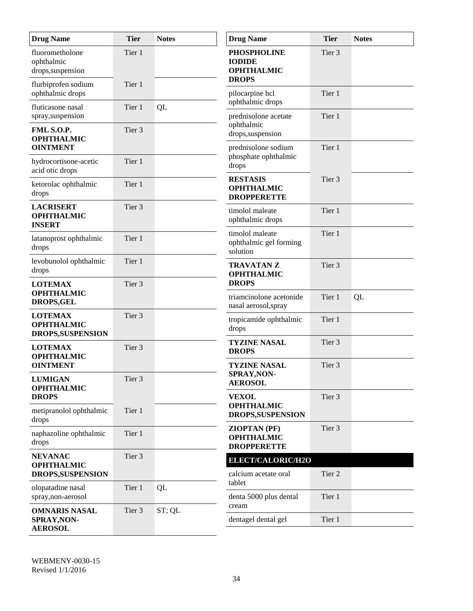| <b>Drug Name</b>                                            | <b>Tier</b>       | <b>Notes</b> | <b>Drug Name</b>                                                         | <b>Tier</b>       | <b>Notes</b> |
|-------------------------------------------------------------|-------------------|--------------|--------------------------------------------------------------------------|-------------------|--------------|
| fluorometholone<br>ophthalmic<br>drops, suspension          | Tier 1            |              | <b>PHOSPHOLINE</b><br><b>IODIDE</b><br><b>OPHTHALMIC</b><br><b>DROPS</b> | Tier 3            |              |
| flurbiprofen sodium<br>ophthalmic drops                     | Tier 1            |              | pilocarpine hcl                                                          | Tier 1            |              |
| fluticasone nasal<br>spray, suspension                      | Tier 1            | QL           | ophthalmic drops<br>prednisolone acetate                                 | Tier 1            |              |
| FML S.O.P.<br><b>OPHTHALMIC</b>                             | Tier 3            |              | ophthalmic<br>drops, suspension                                          |                   |              |
| <b>OINTMENT</b><br>hydrocortisone-acetic<br>acid otic drops | Tier 1            |              | prednisolone sodium<br>phosphate ophthalmic<br>drops                     | Tier 1            |              |
| ketorolac ophthalmic<br>drops                               | Tier 1            |              | <b>RESTASIS</b><br><b>OPHTHALMIC</b><br><b>DROPPERETTE</b>               | Tier 3            |              |
| <b>LACRISERT</b><br><b>OPHTHALMIC</b><br><b>INSERT</b>      | Tier <sub>3</sub> |              | timolol maleate<br>ophthalmic drops                                      | Tier 1            |              |
| latanoprost ophthalmic<br>drops                             | Tier 1            |              | timolol maleate<br>ophthalmic gel forming<br>solution                    | Tier 1            |              |
| levobunolol ophthalmic<br>drops                             | Tier 1            |              | <b>TRAVATAN Z</b><br><b>OPHTHALMIC</b>                                   | Tier <sub>3</sub> |              |
| <b>LOTEMAX</b><br><b>OPHTHALMIC</b>                         | Tier 3            |              | <b>DROPS</b><br>triamcinolone acetonide                                  | Tier 1            | QL           |
| <b>DROPS,GEL</b>                                            |                   |              | nasal aerosol, spray                                                     |                   |              |
| <b>LOTEMAX</b><br><b>OPHTHALMIC</b><br>DROPS, SUSPENSION    | Tier 3            |              | tropicamide ophthalmic<br>drops                                          | Tier 1            |              |
| <b>LOTEMAX</b><br><b>OPHTHALMIC</b>                         | Tier 3            |              | <b>TYZINE NASAL</b><br><b>DROPS</b>                                      | Tier <sub>3</sub> |              |
| <b>OINTMENT</b><br><b>LUMIGAN</b>                           | Tier 3            |              | <b>TYZINE NASAL</b><br>SPRAY, NON-<br><b>AEROSOL</b>                     | Tier 3            |              |
| <b>OPHTHALMIC</b><br><b>DROPS</b>                           |                   |              | <b>VEXOL</b>                                                             | Tier 3            |              |
| metipranolol ophthalmic<br>drops                            | Tier 1            |              | <b>OPHTHALMIC</b><br>DROPS, SUSPENSION                                   |                   |              |
| naphazoline ophthalmic<br>drops                             | Tier 1            |              | <b>ZIOPTAN (PF)</b><br><b>OPHTHALMIC</b><br><b>DROPPERETTE</b>           | Tier 3            |              |
| <b>NEVANAC</b>                                              | Tier 3            |              | ELECT/CALORIC/H2O                                                        |                   |              |
| <b>OPHTHALMIC</b><br>DROPS, SUSPENSION                      |                   |              | calcium acetate oral<br>tablet                                           | Tier 2            |              |
| olopatadine nasal<br>spray, non-aerosol                     | Tier 1            | QL           | denta 5000 plus dental<br>cream                                          | Tier 1            |              |
| <b>OMNARIS NASAL</b><br>SPRAY, NON-<br><b>AEROSOL</b>       | Tier 3            | ST; QL       | dentagel dental gel                                                      | Tier 1            |              |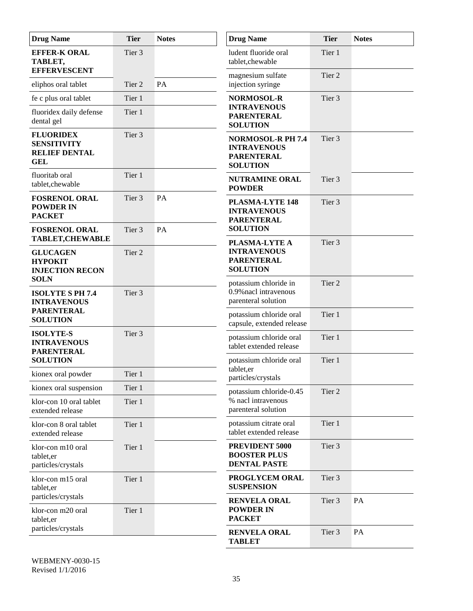| <b>Drug Name</b>                                                             | <b>Tier</b>      | <b>Notes</b> | <b>Drug Name</b>                                                                       | <b>Tier</b>       | <b>Notes</b> |
|------------------------------------------------------------------------------|------------------|--------------|----------------------------------------------------------------------------------------|-------------------|--------------|
| <b>EFFER-K ORAL</b><br>TABLET,<br><b>EFFERVESCENT</b>                        | Tier 3           |              | ludent fluoride oral<br>tablet, chewable                                               | Tier 1            |              |
| eliphos oral tablet                                                          | Tier 2           | PA           | magnesium sulfate<br>injection syringe                                                 | Tier 2            |              |
| fe c plus oral tablet                                                        | Tier 1           |              | <b>NORMOSOL-R</b>                                                                      | Tier 3            |              |
| fluoridex daily defense<br>dental gel                                        | Tier 1           |              | <b>INTRAVENOUS</b><br><b>PARENTERAL</b><br><b>SOLUTION</b>                             |                   |              |
| <b>FLUORIDEX</b><br><b>SENSITIVITY</b><br><b>RELIEF DENTAL</b><br><b>GEL</b> | Tier 3           |              | <b>NORMOSOL-R PH 7.4</b><br><b>INTRAVENOUS</b><br><b>PARENTERAL</b><br><b>SOLUTION</b> | Tier <sub>3</sub> |              |
| fluoritab oral<br>tablet, chewable                                           | Tier 1           |              | <b>NUTRAMINE ORAL</b><br><b>POWDER</b>                                                 | Tier <sub>3</sub> |              |
| <b>FOSRENOL ORAL</b><br><b>POWDER IN</b><br><b>PACKET</b>                    | Tier 3           | PA           | <b>PLASMA-LYTE 148</b><br><b>INTRAVENOUS</b><br><b>PARENTERAL</b>                      | Tier 3            |              |
| <b>FOSRENOL ORAL</b><br><b>TABLET, CHEWABLE</b>                              | Tier 3           | PA           | <b>SOLUTION</b>                                                                        |                   |              |
| <b>GLUCAGEN</b><br><b>HYPOKIT</b><br><b>INJECTION RECON</b>                  | Tier 2           |              | PLASMA-LYTE A<br><b>INTRAVENOUS</b><br><b>PARENTERAL</b><br><b>SOLUTION</b>            | Tier 3            |              |
| <b>SOLN</b><br><b>ISOLYTE S PH 7.4</b><br><b>INTRAVENOUS</b>                 | Tier 3           |              | potassium chloride in<br>0.9% nacl intravenous<br>parenteral solution                  | Tier 2            |              |
| <b>PARENTERAL</b><br><b>SOLUTION</b>                                         |                  |              | potassium chloride oral<br>capsule, extended release                                   | Tier 1            |              |
| <b>ISOLYTE-S</b><br><b>INTRAVENOUS</b><br><b>PARENTERAL</b>                  | Tier 3           |              | potassium chloride oral<br>tablet extended release                                     | Tier 1            |              |
| <b>SOLUTION</b>                                                              |                  |              | potassium chloride oral<br>tablet,er                                                   | Tier 1            |              |
| kionex oral powder                                                           | Tier 1           |              | particles/crystals                                                                     |                   |              |
| kionex oral suspension<br>klor-con 10 oral tablet<br>extended release        | Tier 1<br>Tier 1 |              | potassium chloride-0.45<br>% nacl intravenous<br>parenteral solution                   | Tier 2            |              |
| klor-con 8 oral tablet<br>extended release                                   | Tier 1           |              | potassium citrate oral<br>tablet extended release                                      | Tier 1            |              |
| klor-con m10 oral<br>tablet, er<br>particles/crystals                        | Tier 1           |              | PREVIDENT 5000<br><b>BOOSTER PLUS</b><br><b>DENTAL PASTE</b>                           | Tier 3            |              |
| klor-con m15 oral<br>tablet, er                                              | Tier 1           |              | PROGLYCEM ORAL<br><b>SUSPENSION</b>                                                    | Tier 3            |              |
| particles/crystals<br>klor-con m20 oral<br>tablet, er                        | Tier 1           |              | <b>RENVELA ORAL</b><br><b>POWDER IN</b><br><b>PACKET</b>                               | Tier 3            | PA           |
| particles/crystals                                                           |                  |              | <b>RENVELA ORAL</b><br><b>TABLET</b>                                                   | Tier 3            | PA           |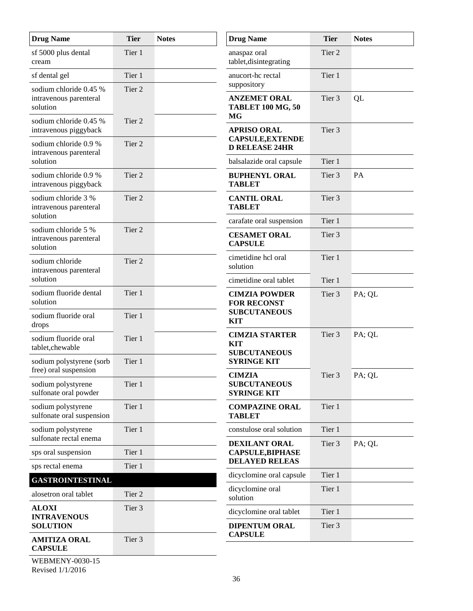| <b>Drug Name</b>                                          | <b>Tier</b>       | <b>Notes</b> | <b>Drug Name</b>                                           | <b>Tier</b>       | <b>Notes</b> |
|-----------------------------------------------------------|-------------------|--------------|------------------------------------------------------------|-------------------|--------------|
| sf 5000 plus dental<br>cream                              | Tier 1            |              | anaspaz oral<br>tablet, disintegrating                     | Tier 2            |              |
| sf dental gel<br>sodium chloride 0.45 %                   | Tier 1<br>Tier 2  |              | anucort-he rectal<br>suppository                           | Tier 1            |              |
| intravenous parenteral<br>solution                        |                   |              | <b>ANZEMET ORAL</b><br><b>TABLET 100 MG, 50</b><br>MG      | Tier 3            | QL           |
| sodium chloride 0.45 %<br>intravenous piggyback           | Tier <sub>2</sub> |              | <b>APRISO ORAL</b>                                         | Tier 3            |              |
| sodium chloride 0.9 %<br>intravenous parenteral           | Tier 2            |              | CAPSULE, EXTENDE<br><b>D RELEASE 24HR</b>                  |                   |              |
| solution                                                  |                   |              | balsalazide oral capsule                                   | Tier 1            |              |
| sodium chloride 0.9 %<br>intravenous piggyback            | Tier <sub>2</sub> |              | <b>BUPHENYL ORAL</b><br><b>TABLET</b>                      | Tier <sub>3</sub> | PA           |
| sodium chloride 3 %<br>intravenous parenteral             | Tier 2            |              | <b>CANTIL ORAL</b><br><b>TABLET</b>                        | Tier 3            |              |
| solution                                                  |                   |              | carafate oral suspension                                   | Tier 1            |              |
| sodium chloride 5 %<br>intravenous parenteral<br>solution | Tier 2            |              | <b>CESAMET ORAL</b><br><b>CAPSULE</b>                      | Tier 3            |              |
| sodium chloride<br>intravenous parenteral                 | Tier 2            |              | cimetidine hcl oral<br>solution                            | Tier 1            |              |
| solution                                                  |                   |              | cimetidine oral tablet                                     | Tier 1            |              |
| sodium fluoride dental<br>solution                        | Tier 1            |              | <b>CIMZIA POWDER</b><br><b>FOR RECONST</b>                 | Tier 3            | PA; QL       |
| sodium fluoride oral<br>drops                             | Tier 1            |              | <b>SUBCUTANEOUS</b><br><b>KIT</b>                          |                   |              |
| sodium fluoride oral<br>tablet, che wable                 | Tier 1            |              | <b>CIMZIA STARTER</b><br><b>KIT</b><br><b>SUBCUTANEOUS</b> | Tier 3            | PA; QL       |
| sodium polystyrene (sorb<br>free) oral suspension         | Tier 1            |              | <b>SYRINGE KIT</b>                                         | Tier <sub>3</sub> |              |
| sodium polystyrene<br>sulfonate oral powder               | Tier 1            |              | <b>CIMZIA</b><br><b>SUBCUTANEOUS</b><br><b>SYRINGE KIT</b> |                   | PA; QL       |
| sodium polystyrene<br>sulfonate oral suspension           | Tier 1            |              | <b>COMPAZINE ORAL</b><br><b>TABLET</b>                     | Tier 1            |              |
| sodium polystyrene                                        | Tier 1            |              | constulose oral solution                                   | Tier 1            |              |
| sulfonate rectal enema                                    |                   |              | DEXILANT ORAL                                              | Tier 3            | PA; QL       |
| sps oral suspension<br>sps rectal enema                   | Tier 1<br>Tier 1  |              | <b>CAPSULE,BIPHASE</b><br><b>DELAYED RELEAS</b>            |                   |              |
| <b>GASTROINTESTINAL</b>                                   |                   |              | dicyclomine oral capsule                                   | Tier 1            |              |
| alosetron oral tablet                                     | Tier 2            |              | dicyclomine oral<br>solution                               | Tier 1            |              |
| <b>ALOXI</b><br><b>INTRAVENOUS</b>                        | Tier 3            |              | dicyclomine oral tablet                                    | Tier 1            |              |
| <b>SOLUTION</b>                                           |                   |              | <b>DIPENTUM ORAL</b><br><b>CAPSULE</b>                     | Tier 3            |              |
| <b>AMITIZA ORAL</b><br><b>CAPSULE</b>                     | Tier 3            |              |                                                            |                   |              |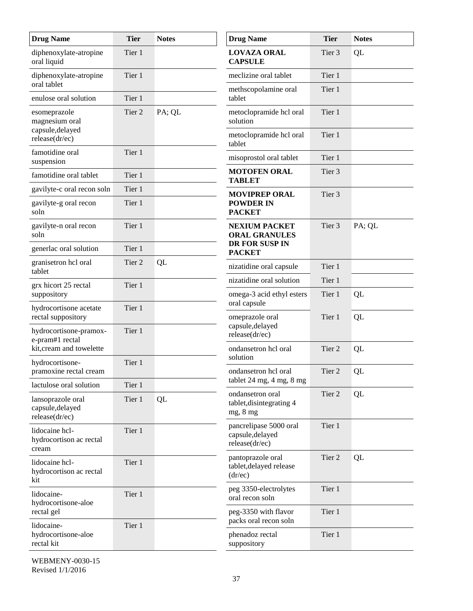| <b>Drug Name</b>                                        | <b>Tier</b> | <b>Notes</b> | <b>Drug Name</b>                                             | <b>Tier</b>       | <b>Notes</b> |
|---------------------------------------------------------|-------------|--------------|--------------------------------------------------------------|-------------------|--------------|
| diphenoxylate-atropine<br>oral liquid                   | Tier 1      |              | <b>LOVAZA ORAL</b><br><b>CAPSULE</b>                         | Tier 3            | QL           |
| diphenoxylate-atropine<br>oral tablet                   | Tier 1      |              | meclizine oral tablet                                        | Tier 1            |              |
| enulose oral solution                                   | Tier 1      |              | methscopolamine oral<br>tablet                               | Tier 1            |              |
| esomeprazole<br>magnesium oral                          | Tier 2      | PA; QL       | metoclopramide hcl oral<br>solution                          | Tier 1            |              |
| capsule, delayed<br>release(dr/ec)                      |             |              | metoclopramide hcl oral<br>tablet                            | Tier 1            |              |
| famotidine oral<br>suspension                           | Tier 1      |              | misoprostol oral tablet                                      | Tier 1            |              |
| famotidine oral tablet                                  | Tier 1      |              | <b>MOTOFEN ORAL</b><br><b>TABLET</b>                         | Tier <sub>3</sub> |              |
| gavilyte-c oral recon soln                              | Tier 1      |              | <b>MOVIPREP ORAL</b>                                         | Tier <sub>3</sub> |              |
| gavilyte-g oral recon<br>soln                           | Tier 1      |              | <b>POWDER IN</b><br><b>PACKET</b>                            |                   |              |
| gavilyte-n oral recon<br>soln                           | Tier 1      |              | <b>NEXIUM PACKET</b><br><b>ORAL GRANULES</b>                 | Tier <sub>3</sub> | PA; QL       |
| generlac oral solution                                  | Tier 1      |              | DR FOR SUSP IN<br><b>PACKET</b>                              |                   |              |
| granisetron hcl oral<br>tablet                          | Tier 2      | QL           | nizatidine oral capsule                                      | Tier 1            |              |
| grx hicort 25 rectal                                    | Tier 1      |              | nizatidine oral solution                                     | Tier 1            |              |
| suppository                                             |             |              | omega-3 acid ethyl esters<br>oral capsule                    | Tier 1            | QL           |
| hydrocortisone acetate<br>rectal suppository            | Tier 1      |              | omeprazole oral                                              | Tier 1            | QL           |
| hydrocortisone-pramox-<br>e-pram#1 rectal               | Tier 1      |              | capsule, delayed<br>release(dr/ec)                           | Tier 2            |              |
| kit, cream and towelette                                |             |              | ondansetron hcl oral<br>solution                             |                   | QL           |
| hydrocortisone-<br>pramoxine rectal cream               | Tier 1      |              | ondansetron hcl oral                                         | Tier 2            | QL           |
| lactulose oral solution                                 | Tier 1      |              | tablet 24 mg, 4 mg, 8 mg                                     |                   |              |
| lansoprazole oral<br>capsule, delayed<br>release(dr/ec) | Tier 1      | QL           | ondansetron oral<br>tablet, disintegrating 4<br>mg, 8 mg     | Tier 2            | QL           |
| lidocaine hcl-<br>hydrocortison ac rectal<br>cream      | Tier 1      |              | pancrelipase 5000 oral<br>capsule, delayed<br>release(dr/ec) | Tier 1            |              |
| lidocaine hcl-<br>hydrocortison ac rectal<br>kit        | Tier 1      |              | pantoprazole oral<br>tablet, delayed release<br>(dr/ec)      | Tier 2            | QL           |
| lidocaine-<br>hydrocortisone-aloe                       | Tier 1      |              | peg 3350-electrolytes<br>oral recon soln                     | Tier 1            |              |
| rectal gel                                              |             |              | peg-3350 with flavor<br>packs oral recon soln                | Tier 1            |              |
| lidocaine-<br>hydrocortisone-aloe<br>rectal kit         | Tier 1      |              | phenadoz rectal<br>suppository                               | Tier 1            |              |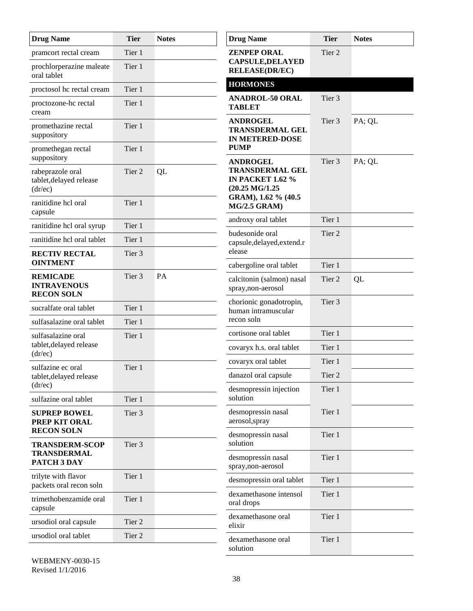| <b>Drug Name</b>                                           | <b>Tier</b>       | <b>Notes</b> | <b>Drug Name</b>                                                                                     | <b>Tier</b>       | <b>Notes</b> |
|------------------------------------------------------------|-------------------|--------------|------------------------------------------------------------------------------------------------------|-------------------|--------------|
| pramcort rectal cream                                      | Tier 1            |              | <b>ZENPEP ORAL</b>                                                                                   | Tier <sub>2</sub> |              |
| prochlorperazine maleate<br>oral tablet                    | Tier 1            |              | <b>CAPSULE, DELAYED</b><br><b>RELEASE(DR/EC)</b>                                                     |                   |              |
| proctosol hc rectal cream                                  | Tier 1            |              | <b>HORMONES</b>                                                                                      |                   |              |
| proctozone-hc rectal<br>cream                              | Tier 1            |              | <b>ANADROL-50 ORAL</b><br><b>TABLET</b>                                                              | Tier 3            |              |
| promethazine rectal<br>suppository                         | Tier 1            |              | <b>ANDROGEL</b><br><b>TRANSDERMAL GEL</b><br><b>IN METERED-DOSE</b>                                  | Tier <sub>3</sub> | PA; QL       |
| promethegan rectal<br>suppository                          | Tier 1            |              | <b>PUMP</b><br><b>ANDROGEL</b>                                                                       | Tier 3            | PA; QL       |
| rabeprazole oral<br>tablet, delayed release<br>(dr/ec)     | Tier 2            | QL           | <b>TRANSDERMAL GEL</b><br><b>IN PACKET 1.62 %</b><br>$(20.25 \text{ MG}/1.25$<br>GRAM), 1.62 % (40.5 |                   |              |
| ranitidine hcl oral<br>capsule                             | Tier 1            |              | <b>MG/2.5 GRAM)</b>                                                                                  |                   |              |
| ranitidine hcl oral syrup                                  | Tier 1            |              | androxy oral tablet                                                                                  | Tier 1            |              |
| ranitidine hcl oral tablet                                 | Tier 1            |              | budesonide oral<br>capsule, delayed, extend.r                                                        | Tier <sub>2</sub> |              |
| <b>RECTIV RECTAL</b><br><b>OINTMENT</b>                    | Tier 3            |              | elease                                                                                               |                   |              |
|                                                            |                   |              | cabergoline oral tablet                                                                              | Tier 1            |              |
| <b>REMICADE</b><br><b>INTRAVENOUS</b><br><b>RECON SOLN</b> | Tier <sub>3</sub> | PA           | calcitonin (salmon) nasal<br>spray, non-aerosol                                                      | Tier 2            | QL           |
| sucralfate oral tablet                                     | Tier 1            |              | chorionic gonadotropin,<br>human intramuscular                                                       | Tier 3            |              |
| sulfasalazine oral tablet                                  | Tier 1            |              | recon soln                                                                                           |                   |              |
| sulfasalazine oral                                         | Tier 1            |              | cortisone oral tablet                                                                                | Tier 1            |              |
| tablet, delayed release<br>(dr/ec)                         |                   |              | covaryx h.s. oral tablet                                                                             | Tier 1            |              |
| sulfazine ec oral                                          | Tier 1            |              | covaryx oral tablet                                                                                  | Tier 1            |              |
| tablet, delayed release<br>(dr/ec)                         |                   |              | danazol oral capsule                                                                                 | Tier 2            |              |
| sulfazine oral tablet                                      | Tier 1            |              | desmopressin injection<br>solution                                                                   | Tier 1            |              |
| <b>SUPREP BOWEL</b><br>PREP KIT ORAL                       | Tier 3            |              | desmopressin nasal<br>aerosol, spray                                                                 | Tier 1            |              |
| <b>RECON SOLN</b><br><b>TRANSDERM-SCOP</b>                 | Tier 3            |              | desmopressin nasal<br>solution                                                                       | Tier 1            |              |
| <b>TRANSDERMAL</b><br>PATCH 3 DAY                          |                   |              | desmopressin nasal<br>spray, non-aerosol                                                             | Tier 1            |              |
| trilyte with flavor<br>packets oral recon soln             | Tier 1            |              | desmopressin oral tablet                                                                             | Tier 1            |              |
| trimethobenzamide oral<br>capsule                          | Tier 1            |              | dexamethasone intensol<br>oral drops                                                                 | Tier 1            |              |
| ursodiol oral capsule                                      | Tier 2            |              | dexamethasone oral<br>elixir                                                                         | Tier 1            |              |
| ursodiol oral tablet                                       | Tier 2            |              | dexamethasone oral                                                                                   | Tier 1            |              |
|                                                            |                   |              | solution                                                                                             |                   |              |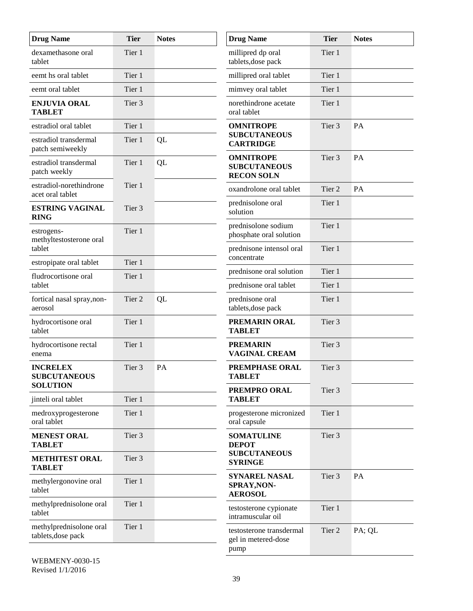| <b>Drug Name</b>                                          | <b>Tier</b> | <b>Notes</b> | <b>Drug Name</b>                                             | <b>Tier</b>       | <b>Notes</b> |
|-----------------------------------------------------------|-------------|--------------|--------------------------------------------------------------|-------------------|--------------|
| dexamethasone oral<br>tablet                              | Tier 1      |              | millipred dp oral<br>tablets, dose pack                      | Tier 1            |              |
| eemt hs oral tablet                                       | Tier 1      |              | millipred oral tablet                                        | Tier 1            |              |
| eemt oral tablet                                          | Tier 1      |              | mimvey oral tablet                                           | Tier 1            |              |
| <b>ENJUVIA ORAL</b><br><b>TABLET</b>                      | Tier 3      |              | norethindrone acetate<br>oral tablet                         | Tier 1            |              |
| estradiol oral tablet                                     | Tier 1      |              | <b>OMNITROPE</b>                                             | Tier 3            | PA           |
| estradiol transdermal<br>patch semiweekly                 | Tier 1      | QL           | <b>SUBCUTANEOUS</b><br><b>CARTRIDGE</b>                      |                   |              |
| estradiol transdermal<br>patch weekly                     | Tier 1      | QL           | <b>OMNITROPE</b><br><b>SUBCUTANEOUS</b><br><b>RECON SOLN</b> | Tier 3            | PA           |
| estradiol-norethindrone<br>acet oral tablet               | Tier 1      |              | oxandrolone oral tablet                                      | Tier 2            | PA           |
| <b>ESTRING VAGINAL</b><br><b>RING</b>                     | Tier 3      |              | prednisolone oral<br>solution                                | Tier 1            |              |
| estrogens-<br>methyltestosterone oral                     | Tier 1      |              | prednisolone sodium<br>phosphate oral solution               | Tier 1            |              |
| tablet                                                    | Tier 1      |              | prednisone intensol oral<br>concentrate                      | Tier 1            |              |
| estropipate oral tablet                                   |             |              | prednisone oral solution                                     | Tier 1            |              |
| fludrocortisone oral<br>tablet                            | Tier 1      |              | prednisone oral tablet                                       | Tier 1            |              |
| fortical nasal spray, non-<br>aerosol                     | Tier 2      | QL           | prednisone oral<br>tablets, dose pack                        | Tier 1            |              |
| hydrocortisone oral<br>tablet                             | Tier 1      |              | PREMARIN ORAL<br><b>TABLET</b>                               | Tier <sub>3</sub> |              |
| hydrocortisone rectal<br>enema                            | Tier 1      |              | <b>PREMARIN</b><br>VAGINAL CREAM                             | Tier 3            |              |
| <b>INCRELEX</b><br><b>SUBCUTANEOUS</b><br><b>SOLUTION</b> | Tier 3      | PA           | <b>PREMPHASE ORAL</b><br><b>TABLET</b>                       | Tier 3            |              |
|                                                           | Tier 1      |              | PREMPRO ORAL<br><b>TABLET</b>                                | Tier 3            |              |
| jinteli oral tablet                                       |             |              |                                                              |                   |              |
| medroxyprogesterone<br>oral tablet                        | Tier 1      |              | progesterone micronized<br>oral capsule                      | Tier 1            |              |
| <b>MENEST ORAL</b><br><b>TABLET</b>                       | Tier 3      |              | <b>SOMATULINE</b><br><b>DEPOT</b>                            | Tier 3            |              |
| <b>METHITEST ORAL</b><br><b>TABLET</b>                    | Tier 3      |              | <b>SUBCUTANEOUS</b><br><b>SYRINGE</b>                        |                   |              |
| methylergonovine oral<br>tablet                           | Tier 1      |              | SYNAREL NASAL<br>SPRAY, NON-<br><b>AEROSOL</b>               | Tier 3            | PA           |
| methylprednisolone oral<br>tablet                         | Tier 1      |              | testosterone cypionate<br>intramuscular oil                  | Tier 1            |              |
| methylprednisolone oral<br>tablets, dose pack             | Tier 1      |              | testosterone transdermal<br>gel in metered-dose<br>pump      | Tier 2            | PA; QL       |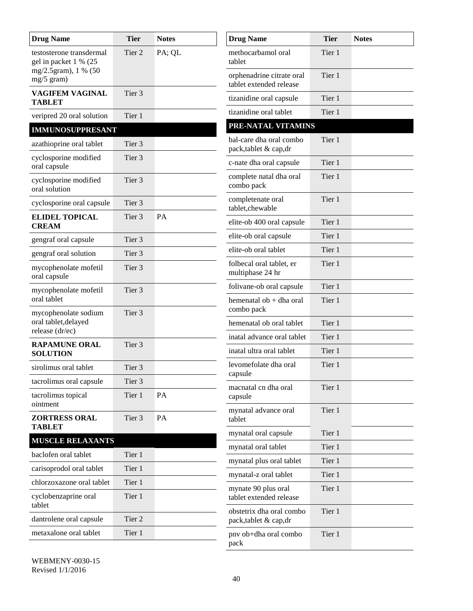| <b>Drug Name</b>                                  | <b>Tier</b>       | <b>Notes</b> | <b>Drug Name</b>                                     | <b>Tier</b> | <b>Notes</b> |
|---------------------------------------------------|-------------------|--------------|------------------------------------------------------|-------------|--------------|
| testosterone transdermal<br>gel in packet 1 % (25 | Tier 2            | PA; QL       | methocarbamol oral<br>tablet                         | Tier 1      |              |
| mg/2.5gram), 1 % (50<br>mg/5 gram)                |                   |              | orphenadrine citrate oral<br>tablet extended release | Tier 1      |              |
| <b>VAGIFEM VAGINAL</b><br><b>TABLET</b>           | Tier <sub>3</sub> |              | tizanidine oral capsule                              | Tier 1      |              |
| veripred 20 oral solution                         | Tier 1            |              | tizanidine oral tablet                               | Tier 1      |              |
| <b>IMMUNOSUPPRESANT</b>                           |                   |              | PRE-NATAL VITAMINS                                   |             |              |
| azathioprine oral tablet                          | Tier 3            |              | bal-care dha oral combo<br>pack,tablet & cap,dr      | Tier 1      |              |
| cyclosporine modified<br>oral capsule             | Tier 3            |              | c-nate dha oral capsule                              | Tier 1      |              |
| cyclosporine modified<br>oral solution            | Tier <sub>3</sub> |              | complete natal dha oral<br>combo pack                | Tier 1      |              |
| cyclosporine oral capsule                         | Tier 3            |              | completenate oral<br>tablet, chewable                | Tier 1      |              |
| <b>ELIDEL TOPICAL</b><br><b>CREAM</b>             | Tier 3            | PA           | elite-ob 400 oral capsule                            | Tier 1      |              |
| gengraf oral capsule                              | Tier <sub>3</sub> |              | elite-ob oral capsule                                | Tier 1      |              |
| gengraf oral solution                             | Tier <sub>3</sub> |              | elite-ob oral tablet                                 | Tier 1      |              |
| mycophenolate mofetil<br>oral capsule             | Tier 3            |              | folbecal oral tablet, er<br>multiphase 24 hr         | Tier 1      |              |
| mycophenolate mofetil                             | Tier 3            |              | folivane-ob oral capsule                             | Tier 1      |              |
| oral tablet<br>mycophenolate sodium               | Tier 3            |              | hemenatal ob + dha oral<br>combo pack                | Tier 1      |              |
| oral tablet, delayed                              |                   |              | hemenatal ob oral tablet                             | Tier 1      |              |
| release (dr/ec)                                   |                   |              | inatal advance oral tablet                           | Tier 1      |              |
| <b>RAPAMUNE ORAL</b><br><b>SOLUTION</b>           | Tier 3            |              | inatal ultra oral tablet                             | Tier 1      |              |
| sirolimus oral tablet                             | Tier 3            |              | levomefolate dha oral<br>capsule                     | Tier 1      |              |
| tacrolimus oral capsule                           | Tier 3            |              | macnatal cn dha oral                                 | Tier 1      |              |
| tacrolimus topical<br>ointment                    | Tier 1            | PA           | capsule                                              |             |              |
| <b>ZORTRESS ORAL</b><br><b>TABLET</b>             | Tier 3            | PA           | mynatal advance oral<br>tablet                       | Tier 1      |              |
| <b>MUSCLE RELAXANTS</b>                           |                   |              | mynatal oral capsule                                 | Tier 1      |              |
| baclofen oral tablet                              | Tier 1            |              | mynatal oral tablet                                  | Tier 1      |              |
| carisoprodol oral tablet                          | Tier 1            |              | mynatal plus oral tablet                             | Tier 1      |              |
| chlorzoxazone oral tablet                         | Tier 1            |              | mynatal-z oral tablet                                | Tier 1      |              |
| cyclobenzaprine oral<br>tablet                    | Tier 1            |              | mynate 90 plus oral<br>tablet extended release       | Tier 1      |              |
| dantrolene oral capsule                           | Tier 2            |              | obstetrix dha oral combo<br>pack,tablet & cap,dr     | Tier 1      |              |
| metaxalone oral tablet                            | Tier 1            |              | pnv ob+dha oral combo                                | Tier 1      |              |
|                                                   |                   |              | pack                                                 |             |              |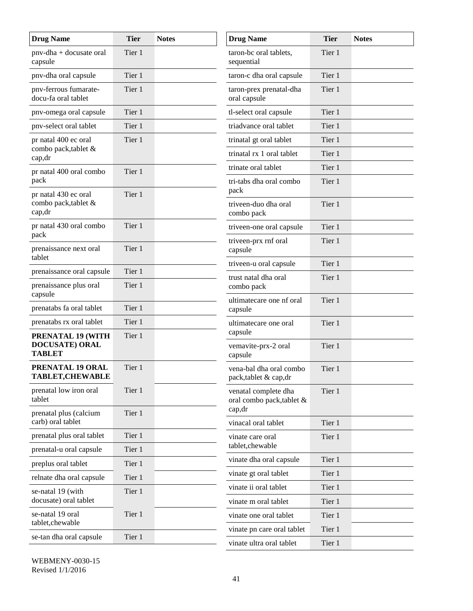| <b>Drug Name</b>                                    | <b>Tier</b>      | <b>Notes</b> | <b>Drug Name</b>                                 | <b>Tier</b> | <b>Notes</b> |
|-----------------------------------------------------|------------------|--------------|--------------------------------------------------|-------------|--------------|
| pnv-dha + docusate oral<br>capsule                  | Tier 1           |              | taron-bc oral tablets,<br>sequential             | Tier 1      |              |
| pnv-dha oral capsule                                | Tier 1           |              | taron-c dha oral capsule                         | Tier 1      |              |
| pnv-ferrous fumarate-<br>docu-fa oral tablet        | Tier 1           |              | taron-prex prenatal-dha<br>oral capsule          | Tier 1      |              |
| pnv-omega oral capsule                              | Tier 1           |              | tl-select oral capsule                           | Tier 1      |              |
| pnv-select oral tablet                              | Tier 1           |              | triadvance oral tablet                           | Tier 1      |              |
| pr natal 400 ec oral                                | Tier 1           |              | trinatal gt oral tablet                          | Tier 1      |              |
| combo pack, tablet &<br>cap,dr                      |                  |              | trinatal rx 1 oral tablet                        | Tier 1      |              |
| pr natal 400 oral combo                             | Tier 1           |              | trinate oral tablet                              | Tier 1      |              |
| pack<br>pr natal 430 ec oral                        | Tier 1           |              | tri-tabs dha oral combo<br>pack                  | Tier 1      |              |
| combo pack, tablet &<br>cap,dr                      |                  |              | triveen-duo dha oral<br>combo pack               | Tier 1      |              |
| pr natal 430 oral combo                             | Tier 1           |              | triveen-one oral capsule                         | Tier 1      |              |
| pack<br>prenaissance next oral                      | Tier 1           |              | triveen-prx rnf oral<br>capsule                  | Tier 1      |              |
| tablet                                              |                  |              | triveen-u oral capsule                           | Tier 1      |              |
| prenaissance oral capsule<br>prenaissance plus oral | Tier 1<br>Tier 1 |              | trust natal dha oral<br>combo pack               | Tier 1      |              |
| capsule<br>prenatabs fa oral tablet                 | Tier 1           |              | ultimatecare one nf oral<br>capsule              | Tier 1      |              |
| prenatabs rx oral tablet                            | Tier 1           |              | ultimatecare one oral                            | Tier 1      |              |
| PRENATAL 19 (WITH                                   | Tier 1           |              | capsule                                          |             |              |
| <b>DOCUSATE) ORAL</b><br><b>TABLET</b>              |                  |              | vemavite-prx-2 oral<br>capsule                   | Tier 1      |              |
| PRENATAL 19 ORAL<br><b>TABLET,CHEWABLE</b>          | Tier 1           |              | vena-bal dha oral combo<br>pack,tablet & cap,dr  | Tier 1      |              |
| prenatal low iron oral<br>tablet                    | Tier 1           |              | venatal complete dha<br>oral combo pack,tablet & | Tier 1      |              |
| prenatal plus (calcium<br>carb) oral tablet         | Tier 1           |              | cap,dr<br>vinacal oral tablet                    | Tier 1      |              |
| prenatal plus oral tablet                           | Tier 1           |              | vinate care oral                                 | Tier 1      |              |
| prenatal-u oral capsule                             | Tier 1           |              | tablet, chewable                                 |             |              |
| preplus oral tablet                                 | Tier 1           |              | vinate dha oral capsule                          | Tier 1      |              |
| relnate dha oral capsule                            | Tier 1           |              | vinate gt oral tablet                            | Tier 1      |              |
| se-natal 19 (with                                   | Tier 1           |              | vinate ii oral tablet                            | Tier 1      |              |
| docusate) oral tablet                               |                  |              | vinate m oral tablet                             | Tier 1      |              |
| se-natal 19 oral<br>tablet, che wable               | Tier 1           |              | vinate one oral tablet                           | Tier 1      |              |
| se-tan dha oral capsule                             | Tier 1           |              | vinate pn care oral tablet                       | Tier 1      |              |
|                                                     |                  |              | vinate ultra oral tablet                         | Tier 1      |              |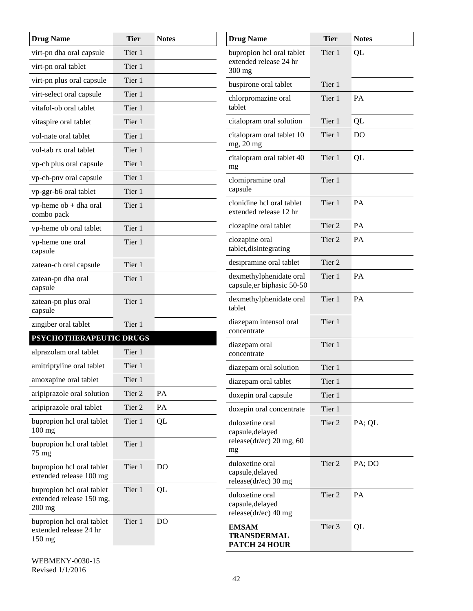| <b>Drug Name</b>                                                  | <b>Tier</b> | <b>Notes</b> | <b>Drug Name</b>                                               | <b>Tier</b> | <b>Notes</b>   |
|-------------------------------------------------------------------|-------------|--------------|----------------------------------------------------------------|-------------|----------------|
| virt-pn dha oral capsule                                          | Tier 1      |              | bupropion hcl oral tablet                                      | Tier 1      | QL             |
| virt-pn oral tablet                                               | Tier 1      |              | extended release 24 hr<br>300 mg                               |             |                |
| virt-pn plus oral capsule                                         | Tier 1      |              | buspirone oral tablet                                          | Tier 1      |                |
| virt-select oral capsule                                          | Tier 1      |              | chlorpromazine oral                                            | Tier 1      | PA             |
| vitafol-ob oral tablet                                            | Tier 1      |              | tablet                                                         |             |                |
| vitaspire oral tablet                                             | Tier 1      |              | citalopram oral solution                                       | Tier 1      | QL             |
| vol-nate oral tablet                                              | Tier 1      |              | citalopram oral tablet 10                                      | Tier 1      | D <sub>O</sub> |
| vol-tab rx oral tablet                                            | Tier 1      |              | mg, 20 mg                                                      |             |                |
| vp-ch plus oral capsule                                           | Tier 1      |              | citalopram oral tablet 40<br>mg                                | Tier 1      | QL             |
| vp-ch-pnv oral capsule                                            | Tier 1      |              | clomipramine oral                                              | Tier 1      |                |
| vp-ggr-b6 oral tablet                                             | Tier 1      |              | capsule                                                        |             |                |
| $vp$ -heme $ob + dh$ a oral<br>combo pack                         | Tier 1      |              | clonidine hcl oral tablet<br>extended release 12 hr            | Tier 1      | PA             |
| vp-heme ob oral tablet                                            | Tier 1      |              | clozapine oral tablet                                          | Tier 2      | PA             |
| vp-heme one oral<br>capsule                                       | Tier 1      |              | clozapine oral<br>tablet, disintegrating                       | Tier 2      | PA             |
| zatean-ch oral capsule                                            | Tier 1      |              | desipramine oral tablet                                        | Tier 2      |                |
| zatean-pn dha oral<br>capsule                                     | Tier 1      |              | dexmethylphenidate oral<br>capsule, er biphasic 50-50          | Tier 1      | PA             |
| zatean-pn plus oral<br>capsule                                    | Tier 1      |              | dexmethylphenidate oral<br>tablet                              | Tier 1      | PA             |
| zingiber oral tablet                                              | Tier 1      |              | diazepam intensol oral<br>concentrate                          | Tier 1      |                |
| PSYCHOTHERAPEUTIC DRUGS                                           |             |              | diazepam oral                                                  | Tier 1      |                |
| alprazolam oral tablet                                            | Tier 1      |              | concentrate                                                    |             |                |
| amitriptyline oral tablet                                         | Tier 1      |              | diazepam oral solution                                         | Tier 1      |                |
| amoxapine oral tablet                                             | Tier 1      |              | diazepam oral tablet                                           | Tier 1      |                |
| aripiprazole oral solution                                        | Tier 2      | PA           | doxepin oral capsule                                           | Tier 1      |                |
| aripiprazole oral tablet                                          | Tier 2      | PA           | doxepin oral concentrate                                       | Tier 1      |                |
| bupropion hcl oral tablet<br>100 mg                               | Tier 1      | QL           | duloxetine oral<br>capsule, delayed                            | Tier 2      | PA; QL         |
| bupropion hcl oral tablet<br>75 mg                                | Tier 1      |              | release( $dr/ec$ ) 20 mg, 60<br>mg                             |             |                |
| bupropion hcl oral tablet<br>extended release 100 mg              | Tier 1      | <b>DO</b>    | duloxetine oral<br>capsule, delayed<br>release $(dr/ec)$ 30 mg | Tier 2      | PA; DO         |
| bupropion hcl oral tablet<br>extended release 150 mg,<br>$200$ mg | Tier 1      | QL           | duloxetine oral<br>capsule, delayed<br>release(dr/ec) 40 mg    | Tier 2      | PA             |
| bupropion hcl oral tablet<br>extended release 24 hr<br>150 mg     | Tier 1      | <b>DO</b>    | <b>EMSAM</b><br><b>TRANSDERMAL</b><br>PATCH 24 HOUR            | Tier 3      | QL             |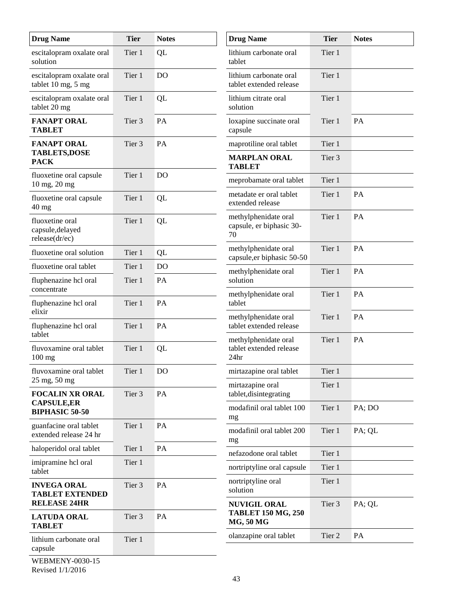| <b>Drug Name</b>                                           | <b>Tier</b> | <b>Notes</b>   | <b>Drug Name</b>                                                     | <b>Tier</b> | <b>Notes</b> |
|------------------------------------------------------------|-------------|----------------|----------------------------------------------------------------------|-------------|--------------|
| escitalopram oxalate oral<br>solution                      | Tier 1      | QL             | lithium carbonate oral<br>tablet                                     | Tier 1      |              |
| escitalopram oxalate oral<br>tablet 10 mg, 5 mg            | Tier 1      | <b>DO</b>      | lithium carbonate oral<br>tablet extended release                    | Tier 1      |              |
| escitalopram oxalate oral<br>tablet 20 mg                  | Tier 1      | QL             | lithium citrate oral<br>solution                                     | Tier 1      |              |
| <b>FANAPT ORAL</b><br><b>TABLET</b>                        | Tier 3      | PA             | loxapine succinate oral<br>capsule                                   | Tier 1      | PA           |
| <b>FANAPT ORAL</b>                                         | Tier 3      | PA             | maprotiline oral tablet                                              | Tier 1      |              |
| <b>TABLETS,DOSE</b><br><b>PACK</b>                         |             |                | <b>MARPLAN ORAL</b><br><b>TABLET</b>                                 | Tier 3      |              |
| fluoxetine oral capsule<br>10 mg, 20 mg                    | Tier 1      | D <sub>O</sub> | meprobamate oral tablet                                              | Tier 1      |              |
| fluoxetine oral capsule<br>$40$ mg                         | Tier 1      | QL             | metadate er oral tablet<br>extended release                          | Tier 1      | PA           |
| fluoxetine oral<br>capsule, delayed<br>release(dr/ec)      | Tier 1      | QL             | methylphenidate oral<br>capsule, er biphasic 30-<br>70               | Tier 1      | PA           |
| fluoxetine oral solution                                   | Tier 1      | QL             | methylphenidate oral<br>capsule, er biphasic 50-50                   | Tier 1      | PA           |
| fluoxetine oral tablet                                     | Tier 1      | D <sub>O</sub> | methylphenidate oral                                                 | Tier 1      | PA           |
| fluphenazine hcl oral<br>concentrate                       | Tier 1      | PA             | solution                                                             |             |              |
| fluphenazine hcl oral<br>elixir                            | Tier 1      | PA             | methylphenidate oral<br>tablet                                       | Tier 1      | PA           |
| fluphenazine hcl oral<br>tablet                            | Tier 1      | PA             | methylphenidate oral<br>tablet extended release                      | Tier 1      | PA           |
| fluvoxamine oral tablet<br>$100$ mg                        | Tier 1      | QL             | methylphenidate oral<br>tablet extended release<br>24hr              | Tier 1      | PA           |
| fluvoxamine oral tablet                                    | Tier 1      | D <sub>O</sub> | mirtazapine oral tablet                                              | Tier 1      |              |
| $25 \text{ mg}, 50 \text{ mg}$<br><b>FOCALIN XR ORAL</b>   | Tier 3      | PA             | mirtazapine oral<br>tablet, disintegrating                           | Tier 1      |              |
| <b>CAPSULE,ER</b><br><b>BIPHASIC 50-50</b>                 |             |                | modafinil oral tablet 100<br>mg                                      | Tier 1      | PA; DO       |
| guanfacine oral tablet<br>extended release 24 hr           | Tier 1      | PA             | modafinil oral tablet 200<br>mg                                      | Tier 1      | PA; QL       |
| haloperidol oral tablet                                    | Tier 1      | PA             | nefazodone oral tablet                                               | Tier 1      |              |
| imipramine hcl oral<br>tablet                              | Tier 1      |                | nortriptyline oral capsule                                           | Tier 1      |              |
| <b>INVEGA ORAL</b><br><b>TABLET EXTENDED</b>               | Tier 3      | PA             | nortriptyline oral<br>solution                                       | Tier 1      |              |
| <b>RELEASE 24HR</b><br><b>LATUDA ORAL</b><br><b>TABLET</b> | Tier 3      | PA             | <b>NUVIGIL ORAL</b><br><b>TABLET 150 MG, 250</b><br><b>MG, 50 MG</b> | Tier 3      | PA; QL       |
| lithium carbonate oral                                     | Tier 1      |                | olanzapine oral tablet                                               | Tier 2      | PA           |
| capsule                                                    |             |                |                                                                      |             |              |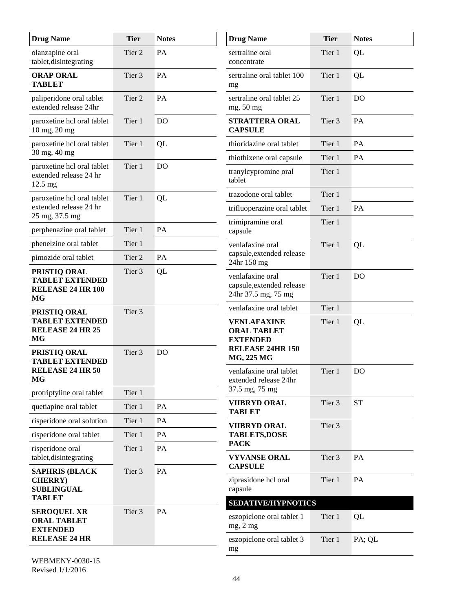| <b>Drug Name</b>                                                          | <b>Tier</b> | <b>Notes</b>   | <b>Drug Name</b>                                                                       | <b>Tier</b> | <b>Notes</b>   |
|---------------------------------------------------------------------------|-------------|----------------|----------------------------------------------------------------------------------------|-------------|----------------|
| olanzapine oral<br>tablet, disintegrating                                 | Tier 2      | PA             | sertraline oral<br>concentrate                                                         | Tier 1      | QL             |
| <b>ORAP ORAL</b><br><b>TABLET</b>                                         | Tier 3      | PA             | sertraline oral tablet 100<br>mg                                                       | Tier 1      | QL             |
| paliperidone oral tablet<br>extended release 24hr                         | Tier 2      | PA             | sertraline oral tablet 25<br>$mg$ , 50 mg                                              | Tier 1      | D <sub>O</sub> |
| paroxetine hcl oral tablet<br>10 mg, 20 mg                                | Tier 1      | D <sub>O</sub> | <b>STRATTERA ORAL</b><br><b>CAPSULE</b>                                                | Tier 3      | PA             |
| paroxetine hcl oral tablet                                                | Tier 1      | QL             | thioridazine oral tablet                                                               | Tier 1      | PA             |
| 30 mg, 40 mg                                                              |             |                | thiothixene oral capsule                                                               | Tier 1      | PA             |
| paroxetine hcl oral tablet<br>extended release 24 hr<br>$12.5 \text{ mg}$ | Tier 1      | D <sub>O</sub> | tranylcypromine oral<br>tablet                                                         | Tier 1      |                |
| paroxetine hcl oral tablet                                                | Tier 1      | QL             | trazodone oral tablet                                                                  | Tier 1      |                |
| extended release 24 hr                                                    |             |                | trifluoperazine oral tablet                                                            | Tier 1      | PA             |
| 25 mg, 37.5 mg<br>perphenazine oral tablet                                | Tier 1      | PA             | trimipramine oral<br>capsule                                                           | Tier 1      |                |
| phenelzine oral tablet                                                    | Tier 1      |                | venlafaxine oral                                                                       | Tier 1      | QL             |
| pimozide oral tablet                                                      | Tier 2      | PA             | capsule, extended release<br>24hr 150 mg                                               |             |                |
| PRISTIQ ORAL<br><b>TABLET EXTENDED</b><br><b>RELEASE 24 HR 100</b><br>MG  | Tier 3      | QL             | venlafaxine oral<br>capsule, extended release<br>24hr 37.5 mg, 75 mg                   | Tier 1      | D <sub>O</sub> |
| PRISTIQ ORAL                                                              | Tier 3      |                | venlafaxine oral tablet                                                                | Tier 1      |                |
| <b>TABLET EXTENDED</b><br><b>RELEASE 24 HR 25</b><br>MG<br>PRISTIQ ORAL   | Tier 3      | D <sub>O</sub> | <b>VENLAFAXINE</b><br><b>ORAL TABLET</b><br><b>EXTENDED</b><br><b>RELEASE 24HR 150</b> | Tier 1      | QL             |
| <b>TABLET EXTENDED</b>                                                    |             |                | MG, 225 MG                                                                             |             |                |
| <b>RELEASE 24 HR 50</b><br>MG                                             |             |                | venlafaxine oral tablet<br>extended release 24hr<br>37.5 mg, 75 mg                     | Tier 1      | <b>DO</b>      |
| protriptyline oral tablet                                                 | Tier 1      |                | <b>VIIBRYD ORAL</b>                                                                    | Tier 3      | <b>ST</b>      |
| quetiapine oral tablet                                                    | Tier 1      | PA             | <b>TABLET</b>                                                                          |             |                |
| risperidone oral solution                                                 | Tier 1      | PA             | <b>VIIBRYD ORAL</b>                                                                    | Tier 3      |                |
| risperidone oral tablet                                                   | Tier 1      | PA             | <b>TABLETS,DOSE</b><br><b>PACK</b>                                                     |             |                |
| risperidone oral<br>tablet, disintegrating                                | Tier 1      | PA             | <b>VYVANSE ORAL</b>                                                                    | Tier 3      | PA             |
| <b>SAPHRIS (BLACK</b>                                                     | Tier 3      | PA             | <b>CAPSULE</b>                                                                         |             |                |
| <b>CHERRY</b> )<br><b>SUBLINGUAL</b><br><b>TABLET</b>                     |             |                | ziprasidone hcl oral<br>capsule                                                        | Tier 1      | PA             |
| <b>SEROQUEL XR</b>                                                        | Tier 3      | PA             | <b>SEDATIVE/HYPNOTICS</b>                                                              |             |                |
| <b>ORAL TABLET</b><br><b>EXTENDED</b>                                     |             |                | eszopiclone oral tablet 1<br>$mg$ , $2 mg$                                             | Tier 1      | QL             |
| <b>RELEASE 24 HR</b>                                                      |             |                | eszopiclone oral tablet 3<br>mg                                                        | Tier 1      | PA; QL         |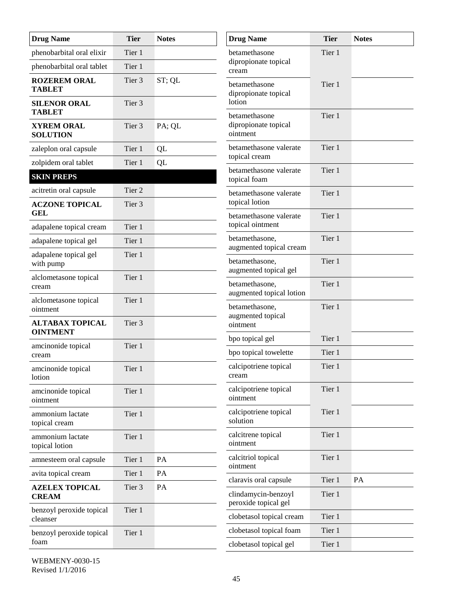| <b>Drug Name</b>                          | <b>Tier</b>       | <b>Notes</b> | <b>Drug Name</b>                            | <b>Tier</b> | <b>Notes</b> |
|-------------------------------------------|-------------------|--------------|---------------------------------------------|-------------|--------------|
| phenobarbital oral elixir                 | Tier 1            |              | betamethasone                               | Tier 1      |              |
| phenobarbital oral tablet                 | Tier 1            |              | dipropionate topical<br>cream               |             |              |
| <b>ROZEREM ORAL</b><br><b>TABLET</b>      | Tier <sub>3</sub> | ST; QL       | betamethasone<br>dipropionate topical       | Tier 1      |              |
| <b>SILENOR ORAL</b><br><b>TABLET</b>      | Tier 3            |              | lotion<br>betamethasone                     | Tier 1      |              |
| <b>XYREM ORAL</b><br><b>SOLUTION</b>      | Tier 3            | PA; QL       | dipropionate topical<br>ointment            |             |              |
| zaleplon oral capsule                     | Tier 1            | QL           | betamethasone valerate                      | Tier 1      |              |
| zolpidem oral tablet                      | Tier 1            | QL           | topical cream                               |             |              |
| <b>SKIN PREPS</b>                         |                   |              | betamethasone valerate<br>topical foam      | Tier 1      |              |
| acitretin oral capsule                    | Tier 2            |              | betamethasone valerate                      | Tier 1      |              |
| <b>ACZONE TOPICAL</b><br><b>GEL</b>       | Tier 3            |              | topical lotion<br>betamethasone valerate    | Tier 1      |              |
| adapalene topical cream                   | Tier 1            |              | topical ointment                            |             |              |
| adapalene topical gel                     | Tier 1            |              | betamethasone,<br>augmented topical cream   | Tier 1      |              |
| adapalene topical gel<br>with pump        | Tier 1            |              | betamethasone,<br>augmented topical gel     | Tier 1      |              |
| alclometasone topical<br>cream            | Tier 1            |              | betamethasone,<br>augmented topical lotion  | Tier 1      |              |
| alclometasone topical<br>ointment         | Tier 1            |              | betamethasone,<br>augmented topical         | Tier 1      |              |
| <b>ALTABAX TOPICAL</b><br><b>OINTMENT</b> | Tier 3            |              | ointment                                    |             |              |
| amcinonide topical                        | Tier 1            |              | bpo topical gel                             | Tier 1      |              |
| cream                                     |                   |              | bpo topical towelette                       | Tier 1      |              |
| amcinonide topical<br>lotion              | Tier 1            |              | calcipotriene topical<br>cream              | Tier 1      |              |
| amcinonide topical<br>ointment            | Tier 1            |              | calcipotriene topical<br>ointment           | Tier 1      |              |
| ammonium lactate<br>topical cream         | Tier 1            |              | calcipotriene topical<br>solution           | Tier 1      |              |
| ammonium lactate<br>topical lotion        | Tier 1            |              | calcitrene topical<br>ointment              | Tier 1      |              |
| amnesteem oral capsule                    | Tier 1            | PA           | calcitriol topical                          | Tier 1      |              |
| avita topical cream                       | Tier 1            | PA           | ointment                                    |             |              |
| <b>AZELEX TOPICAL</b>                     | Tier 3            | PA           | claravis oral capsule                       | Tier 1      | PA           |
| <b>CREAM</b>                              |                   |              | clindamycin-benzoyl<br>peroxide topical gel | Tier 1      |              |
| benzoyl peroxide topical<br>cleanser      | Tier 1            |              | clobetasol topical cream                    | Tier 1      |              |
| benzoyl peroxide topical                  | Tier 1            |              | clobetasol topical foam                     | Tier 1      |              |
| foam                                      |                   |              | clobetasol topical gel                      | Tier 1      |              |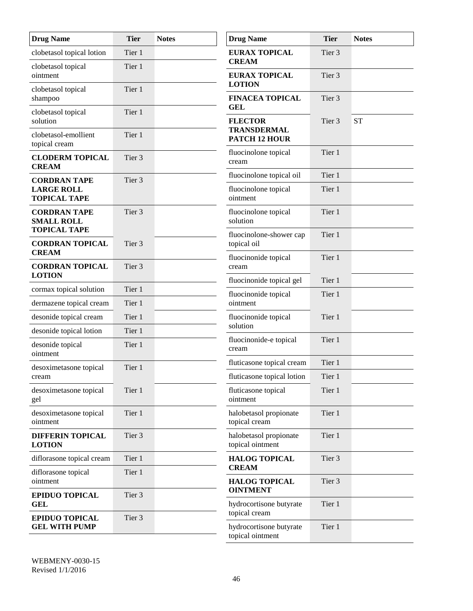| <b>Drug Name</b>                         | <b>Tier</b>       | <b>Notes</b> | <b>Drug Name</b>                           | <b>Tier</b>       | <b>Notes</b> |
|------------------------------------------|-------------------|--------------|--------------------------------------------|-------------------|--------------|
| clobetasol topical lotion                | Tier 1            |              | <b>EURAX TOPICAL</b>                       | Tier <sub>3</sub> |              |
| clobetasol topical                       | Tier 1            |              | <b>CREAM</b>                               |                   |              |
| ointment                                 |                   |              | <b>EURAX TOPICAL</b><br><b>LOTION</b>      | Tier <sub>3</sub> |              |
| clobetasol topical<br>shampoo            | Tier 1            |              | <b>FINACEA TOPICAL</b>                     | Tier 3            |              |
| clobetasol topical                       | Tier 1            |              | <b>GEL</b>                                 |                   |              |
| solution                                 |                   |              | <b>FLECTOR</b>                             | Tier 3            | <b>ST</b>    |
| clobetasol-emollient                     | Tier 1            |              | TRANSDERMAL<br><b>PATCH 12 HOUR</b>        |                   |              |
| topical cream                            |                   |              | fluocinolone topical                       | Tier 1            |              |
| <b>CLODERM TOPICAL</b><br><b>CREAM</b>   | Tier 3            |              | cream                                      |                   |              |
| <b>CORDRAN TAPE</b>                      | Tier 3            |              | fluocinolone topical oil                   | Tier 1            |              |
| <b>LARGE ROLL</b><br><b>TOPICAL TAPE</b> |                   |              | fluocinolone topical<br>ointment           | Tier 1            |              |
| <b>CORDRAN TAPE</b>                      | Tier <sub>3</sub> |              | fluocinolone topical                       | Tier 1            |              |
| <b>SMALL ROLL</b><br><b>TOPICAL TAPE</b> |                   |              | solution                                   |                   |              |
| <b>CORDRAN TOPICAL</b>                   | Tier 3            |              | fluocinolone-shower cap<br>topical oil     | Tier 1            |              |
| <b>CREAM</b>                             |                   |              | fluocinonide topical                       | Tier 1            |              |
| <b>CORDRAN TOPICAL</b>                   | Tier 3            |              | cream                                      |                   |              |
| <b>LOTION</b>                            |                   |              | fluocinonide topical gel                   | Tier 1            |              |
| cormax topical solution                  | Tier 1            |              | fluocinonide topical                       | Tier 1            |              |
| dermazene topical cream                  | Tier 1            |              | ointment                                   |                   |              |
| desonide topical cream                   | Tier 1            |              | fluocinonide topical<br>solution           | Tier 1            |              |
| desonide topical lotion                  | Tier 1            |              | fluocinonide-e topical                     | Tier 1            |              |
| desonide topical<br>ointment             | Tier 1            |              | cream                                      |                   |              |
| desoximetasone topical                   | Tier 1            |              | fluticasone topical cream                  | Tier 1            |              |
| cream                                    |                   |              | fluticasone topical lotion                 | Tier 1            |              |
| desoximetasone topical<br>gel            | Tier 1            |              | fluticasone topical<br>ointment            | Tier 1            |              |
| desoximetasone topical<br>ointment       | Tier 1            |              | halobetasol propionate<br>topical cream    | Tier 1            |              |
| <b>DIFFERIN TOPICAL</b><br><b>LOTION</b> | Tier 3            |              | halobetasol propionate<br>topical ointment | Tier 1            |              |
| diflorasone topical cream                | Tier 1            |              | <b>HALOG TOPICAL</b>                       | Tier 3            |              |
| diflorasone topical                      | Tier 1            |              | <b>CREAM</b>                               |                   |              |
| ointment                                 |                   |              | <b>HALOG TOPICAL</b><br><b>OINTMENT</b>    | Tier 3            |              |
| <b>EPIDUO TOPICAL</b><br><b>GEL</b>      | Tier 3            |              | hydrocortisone butyrate                    | Tier 1            |              |
| <b>EPIDUO TOPICAL</b>                    | Tier 3            |              | topical cream                              |                   |              |
| <b>GEL WITH PUMP</b>                     |                   |              | hydrocortisone butyrate                    | Tier 1            |              |
|                                          |                   |              | topical ointment                           |                   |              |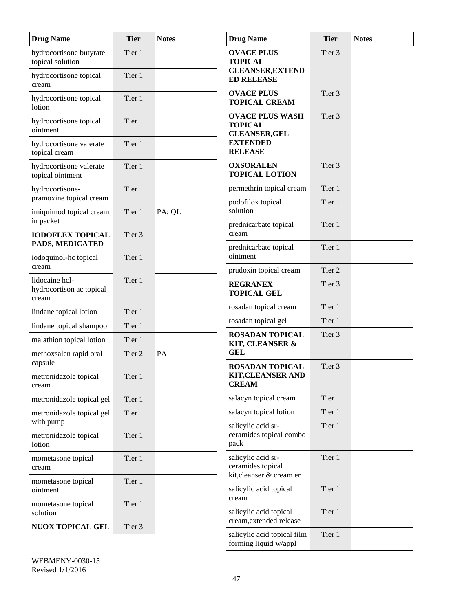| <b>Drug Name</b>                                    | <b>Tier</b> | <b>Notes</b> | <b>Drug Name</b>                                                    | <b>Tier</b>       | <b>Notes</b> |
|-----------------------------------------------------|-------------|--------------|---------------------------------------------------------------------|-------------------|--------------|
| hydrocortisone butyrate<br>topical solution         | Tier 1      |              | <b>OVACE PLUS</b><br><b>TOPICAL</b>                                 | Tier 3            |              |
| hydrocortisone topical<br>cream                     | Tier 1      |              | <b>CLEANSER, EXTEND</b><br><b>ED RELEASE</b>                        |                   |              |
| hydrocortisone topical<br>lotion                    | Tier 1      |              | <b>OVACE PLUS</b><br><b>TOPICAL CREAM</b>                           | Tier 3            |              |
| hydrocortisone topical<br>ointment                  | Tier 1      |              | <b>OVACE PLUS WASH</b><br><b>TOPICAL</b><br><b>CLEANSER, GEL</b>    | Tier 3            |              |
| hydrocortisone valerate<br>topical cream            | Tier 1      |              | <b>EXTENDED</b><br><b>RELEASE</b>                                   |                   |              |
| hydrocortisone valerate<br>topical ointment         | Tier 1      |              | <b>OXSORALEN</b><br><b>TOPICAL LOTION</b>                           | Tier <sub>3</sub> |              |
| hydrocortisone-                                     | Tier 1      |              | permethrin topical cream                                            | Tier 1            |              |
| pramoxine topical cream<br>imiquimod topical cream  | Tier 1      | PA; QL       | podofilox topical<br>solution                                       | Tier 1            |              |
| in packet<br><b>IODOFLEX TOPICAL</b>                | Tier 3      |              | prednicarbate topical<br>cream                                      | Tier 1            |              |
| PADS, MEDICATED<br>iodoquinol-hc topical            | Tier 1      |              | prednicarbate topical<br>ointment                                   | Tier 1            |              |
| cream                                               |             |              | prudoxin topical cream                                              | Tier 2            |              |
| lidocaine hcl-<br>hydrocortison ac topical<br>cream | Tier 1      |              | <b>REGRANEX</b><br><b>TOPICAL GEL</b>                               | Tier 3            |              |
| lindane topical lotion                              | Tier 1      |              | rosadan topical cream                                               | Tier 1            |              |
| lindane topical shampoo                             | Tier 1      |              | rosadan topical gel                                                 | Tier 1            |              |
| malathion topical lotion                            | Tier 1      |              | <b>ROSADAN TOPICAL</b><br><b>KIT, CLEANSER &amp;</b>                | Tier 3            |              |
| methoxsalen rapid oral<br>capsule                   | Tier 2      | PA           | <b>GEL</b><br><b>ROSADAN TOPICAL</b>                                | Tier 3            |              |
| metronidazole topical<br>cream                      | Tier 1      |              | <b>KIT, CLEANSER AND</b><br><b>CREAM</b>                            |                   |              |
| metronidazole topical gel                           | Tier 1      |              | salacyn topical cream                                               | Tier 1            |              |
| metronidazole topical gel<br>with pump              | Tier 1      |              | salacyn topical lotion                                              | Tier 1            |              |
| metronidazole topical<br>lotion                     | Tier 1      |              | salicylic acid sr-<br>ceramides topical combo<br>pack               | Tier 1            |              |
| mometasone topical<br>cream                         | Tier 1      |              | salicylic acid sr-<br>ceramides topical<br>kit, cleanser & cream er | Tier 1            |              |
| mometasone topical<br>ointment                      | Tier 1      |              | salicylic acid topical<br>cream                                     | Tier 1            |              |
| mometasone topical<br>solution                      | Tier 1      |              | salicylic acid topical<br>cream, extended release                   | Tier 1            |              |
| <b>NUOX TOPICAL GEL</b>                             | Tier 3      |              | salicylic acid topical film                                         | Tier 1            |              |
|                                                     |             |              | forming liquid w/appl                                               |                   |              |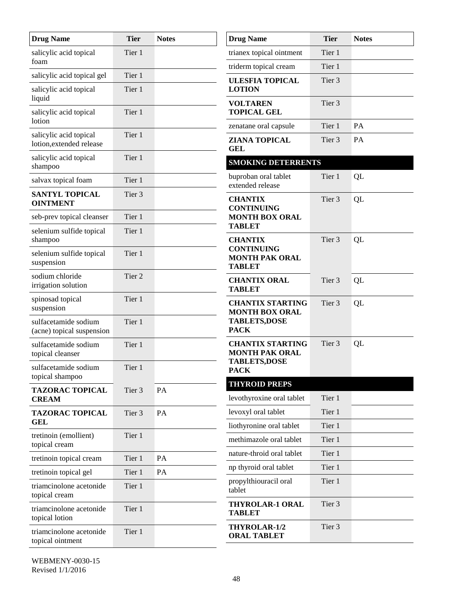| <b>Drug Name</b>                                   | <b>Tier</b> | <b>Notes</b> | <b>Drug Name</b>                                            | <b>Tier</b>       | <b>Notes</b> |
|----------------------------------------------------|-------------|--------------|-------------------------------------------------------------|-------------------|--------------|
| salicylic acid topical                             | Tier 1      |              | trianex topical ointment                                    | Tier 1            |              |
| foam                                               |             |              | triderm topical cream                                       | Tier 1            |              |
| salicylic acid topical gel                         | Tier 1      |              | <b>ULESFIA TOPICAL</b>                                      | Tier <sub>3</sub> |              |
| salicylic acid topical<br>liquid                   | Tier 1      |              | <b>LOTION</b>                                               |                   |              |
| salicylic acid topical<br>lotion                   | Tier 1      |              | <b>VOLTAREN</b><br><b>TOPICAL GEL</b>                       | Tier 3            |              |
|                                                    | Tier 1      |              | zenatane oral capsule                                       | Tier 1            | PA           |
| salicylic acid topical<br>lotion, extended release |             |              | ZIANA TOPICAL<br><b>GEL</b>                                 | Tier <sub>3</sub> | PA           |
| salicylic acid topical<br>shampoo                  | Tier 1      |              | <b>SMOKING DETERRENTS</b>                                   |                   |              |
| salvax topical foam                                | Tier 1      |              | buproban oral tablet<br>extended release                    | Tier 1            | QL           |
| <b>SANTYL TOPICAL</b><br><b>OINTMENT</b>           | Tier 3      |              | <b>CHANTIX</b><br><b>CONTINUING</b>                         | Tier 3            | QL           |
| seb-prev topical cleanser                          | Tier 1      |              | <b>MONTH BOX ORAL</b>                                       |                   |              |
| selenium sulfide topical<br>shampoo                | Tier 1      |              | <b>TABLET</b><br><b>CHANTIX</b>                             | Tier 3            | QL           |
| selenium sulfide topical<br>suspension             | Tier 1      |              | <b>CONTINUING</b><br><b>MONTH PAK ORAL</b><br><b>TABLET</b> |                   |              |
| sodium chloride<br>irrigation solution             | Tier 2      |              | <b>CHANTIX ORAL</b><br><b>TABLET</b>                        | Tier 3            | QL           |
| spinosad topical<br>suspension                     | Tier 1      |              | <b>CHANTIX STARTING</b><br><b>MONTH BOX ORAL</b>            | Tier 3            | QL           |
| sulfacetamide sodium<br>(acne) topical suspension  | Tier 1      |              | <b>TABLETS,DOSE</b><br><b>PACK</b>                          |                   |              |
| sulfacetamide sodium<br>topical cleanser           | Tier 1      |              | <b>CHANTIX STARTING</b><br><b>MONTH PAK ORAL</b>            | Tier 3            | QL           |
| sulfacetamide sodium<br>topical shampoo            | Tier 1      |              | <b>TABLETS,DOSE</b><br><b>PACK</b>                          |                   |              |
| <b>TAZORAC TOPICAL</b>                             | Tier 3      | PA           | <b>THYROID PREPS</b>                                        |                   |              |
| <b>CREAM</b>                                       |             |              | levothyroxine oral tablet                                   | Tier 1            |              |
| <b>TAZORAC TOPICAL</b><br>GEL                      | Tier 3      | PA           | levoxyl oral tablet                                         | Tier 1            |              |
| tretinoin (emollient)                              | Tier 1      |              | liothyronine oral tablet                                    | Tier 1            |              |
| topical cream                                      |             |              | methimazole oral tablet                                     | Tier 1            |              |
| tretinoin topical cream                            | Tier 1      | PA           | nature-throid oral tablet                                   | Tier 1            |              |
| tretinoin topical gel                              | Tier 1      | PA           | np thyroid oral tablet                                      | Tier 1            |              |
| triamcinolone acetonide<br>topical cream           | Tier 1      |              | propylthiouracil oral<br>tablet                             | Tier 1            |              |
| triamcinolone acetonide<br>topical lotion          | Tier 1      |              | THYROLAR-1 ORAL<br><b>TABLET</b>                            | Tier 3            |              |
| triamcinolone acetonide<br>topical ointment        | Tier 1      |              | <b>THYROLAR-1/2</b><br><b>ORAL TABLET</b>                   | Tier 3            |              |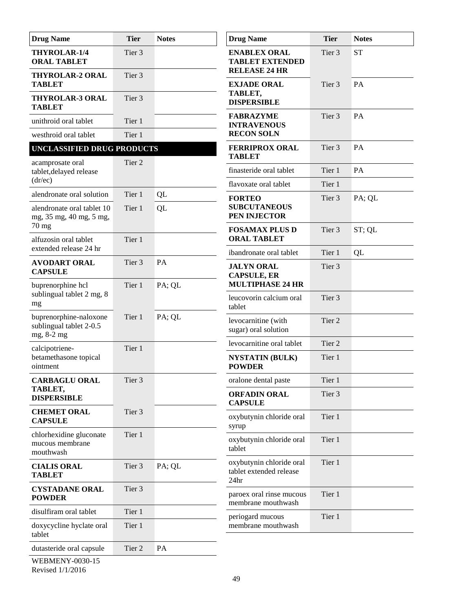| <b>Drug Name</b>                                                | <b>Tier</b> | <b>Notes</b> | <b>Drug Name</b>                                                        | <b>Tier</b>       | <b>Notes</b> |
|-----------------------------------------------------------------|-------------|--------------|-------------------------------------------------------------------------|-------------------|--------------|
| THYROLAR-1/4<br><b>ORAL TABLET</b>                              | Tier 3      |              | <b>ENABLEX ORAL</b><br><b>TABLET EXTENDED</b><br><b>RELEASE 24 HR</b>   | Tier 3            | <b>ST</b>    |
| <b>THYROLAR-2 ORAL</b><br><b>TABLET</b>                         | Tier 3      |              | <b>EXJADE ORAL</b><br>TABLET,                                           | Tier 3            | PA           |
| <b>THYROLAR-3 ORAL</b><br><b>TABLET</b>                         | Tier 3      |              | <b>DISPERSIBLE</b>                                                      |                   |              |
| unithroid oral tablet                                           | Tier 1      |              | <b>FABRAZYME</b><br><b>INTRAVENOUS</b>                                  | Tier <sub>3</sub> | PA           |
| westhroid oral tablet                                           | Tier 1      |              | <b>RECON SOLN</b>                                                       |                   |              |
| UNCLASSIFIED DRUG PRODUCTS                                      |             |              | <b>FERRIPROX ORAL</b><br><b>TABLET</b>                                  | Tier <sub>3</sub> | PA           |
| acamprosate oral<br>tablet, delayed release                     | Tier 2      |              | finasteride oral tablet                                                 | Tier 1            | PA           |
| (dr/ec)                                                         |             |              | flavoxate oral tablet                                                   | Tier 1            |              |
| alendronate oral solution                                       | Tier 1      | QL           | <b>FORTEO</b>                                                           | Tier 3            | PA; QL       |
| alendronate oral tablet 10<br>mg, 35 mg, 40 mg, 5 mg,           | Tier 1      | QL           | <b>SUBCUTANEOUS</b><br>PEN INJECTOR                                     |                   |              |
| $70$ mg                                                         | Tier 1      |              | <b>FOSAMAX PLUS D</b><br><b>ORAL TABLET</b>                             | Tier 3            | ST; QL       |
| alfuzosin oral tablet<br>extended release 24 hr                 |             |              | ibandronate oral tablet                                                 | Tier 1            | QL           |
| <b>AVODART ORAL</b><br><b>CAPSULE</b>                           | Tier 3      | PA           | <b>JALYN ORAL</b><br><b>CAPSULE, ER</b>                                 | Tier 3            |              |
| buprenorphine hcl<br>Tier 1                                     |             | PA; QL       | <b>MULTIPHASE 24 HR</b>                                                 |                   |              |
| sublingual tablet 2 mg, 8<br>mg                                 |             |              | leucovorin calcium oral<br>tablet                                       | Tier <sub>3</sub> |              |
| buprenorphine-naloxone<br>sublingual tablet 2-0.5<br>mg, 8-2 mg | Tier 1      | PA; QL       | levocarnitine (with<br>sugar) oral solution                             | Tier <sub>2</sub> |              |
| calcipotriene-                                                  | Tier 1      |              | levocarnitine oral tablet                                               | Tier 2            |              |
| betamethasone topical<br>ointment                               |             |              | <b>NYSTATIN (BULK)</b><br><b>POWDER</b>                                 | Tier 1            |              |
| <b>CARBAGLU ORAL</b>                                            | Tier 3      |              | oralone dental paste                                                    | Tier 1            |              |
| TABLET,<br><b>DISPERSIBLE</b>                                   |             |              | <b>ORFADIN ORAL</b><br><b>CAPSULE</b>                                   | Tier 3            |              |
| <b>CHEMET ORAL</b><br><b>CAPSULE</b>                            | Tier 3      |              | oxybutynin chloride oral<br>syrup                                       | Tier 1            |              |
| chlorhexidine gluconate<br>mucous membrane<br>mouthwash         | Tier 1      |              | oxybutynin chloride oral<br>tablet                                      | Tier 1            |              |
| <b>CIALIS ORAL</b><br><b>TABLET</b>                             | Tier 3      | PA; QL       | oxybutynin chloride oral<br>tablet extended release<br>24 <sub>hr</sub> | Tier 1            |              |
| <b>CYSTADANE ORAL</b><br><b>POWDER</b>                          | Tier 3      |              | paroex oral rinse mucous<br>membrane mouthwash                          | Tier 1            |              |
| disulfiram oral tablet                                          | Tier 1      |              | periogard mucous                                                        | Tier 1            |              |
| doxycycline hyclate oral<br>tablet                              | Tier 1      |              | membrane mouthwash                                                      |                   |              |
| dutasteride oral capsule                                        | Tier 2      | PA           |                                                                         |                   |              |
| WEDMENW 0020 15                                                 |             |              |                                                                         |                   |              |